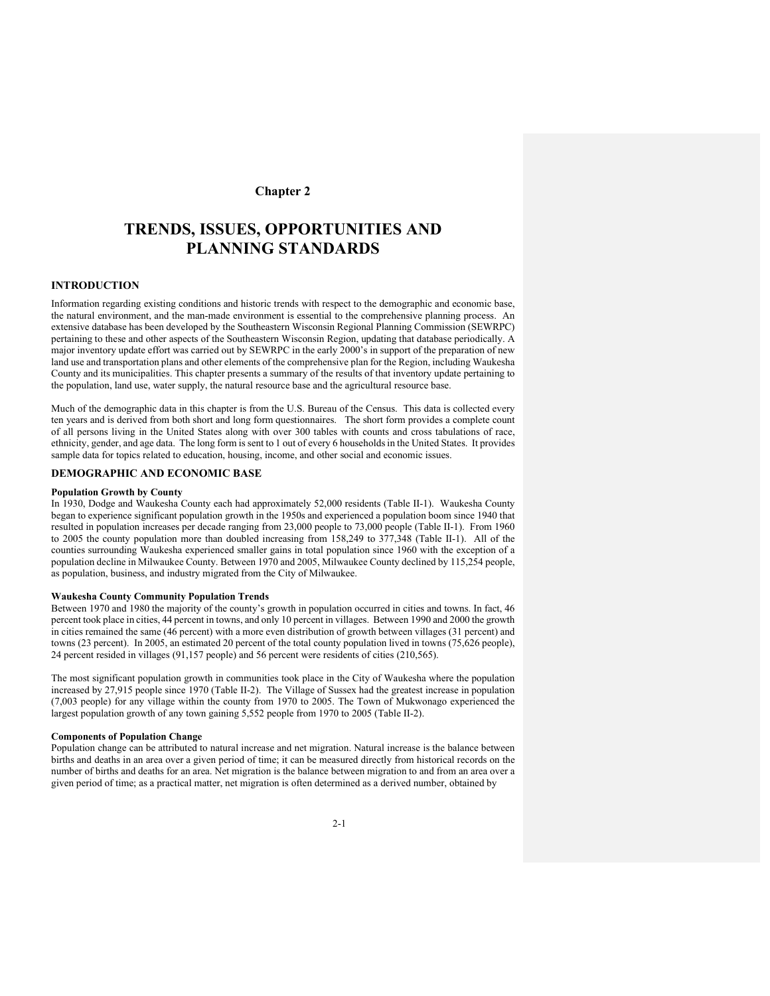# **Chapter 2**

# **TRENDS, ISSUES, OPPORTUNITIES AND PLANNING STANDARDS**

### **INTRODUCTION**

Information regarding existing conditions and historic trends with respect to the demographic and economic base, the natural environment, and the man-made environment is essential to the comprehensive planning process. An extensive database has been developed by the Southeastern Wisconsin Regional Planning Commission (SEWRPC) pertaining to these and other aspects of the Southeastern Wisconsin Region, updating that database periodically. A major inventory update effort was carried out by SEWRPC in the early 2000's in support of the preparation of new land use and transportation plans and other elements of the comprehensive plan for the Region, including Waukesha County and its municipalities. This chapter presents a summary of the results of that inventory update pertaining to the population, land use, water supply, the natural resource base and the agricultural resource base.

Much of the demographic data in this chapter is from the U.S. Bureau of the Census. This data is collected every ten years and is derived from both short and long form questionnaires. The short form provides a complete count of all persons living in the United States along with over 300 tables with counts and cross tabulations of race, ethnicity, gender, and age data. The long form is sent to 1 out of every 6 households in the United States. It provides sample data for topics related to education, housing, income, and other social and economic issues.

### **DEMOGRAPHIC AND ECONOMIC BASE**

#### **Population Growth by County**

In 1930, Dodge and Waukesha County each had approximately 52,000 residents (Table II-1). Waukesha County began to experience significant population growth in the 1950s and experienced a population boom since 1940 that resulted in population increases per decade ranging from 23,000 people to 73,000 people (Table II-1). From 1960 to 2005 the county population more than doubled increasing from 158,249 to 377,348 (Table II-1). All of the counties surrounding Waukesha experienced smaller gains in total population since 1960 with the exception of a population decline in Milwaukee County. Between 1970 and 2005, Milwaukee County declined by 115,254 people, as population, business, and industry migrated from the City of Milwaukee.

#### **Waukesha County Community Population Trends**

Between 1970 and 1980 the majority of the county's growth in population occurred in cities and towns. In fact, 46 percent took place in cities, 44 percent in towns, and only 10 percent in villages. Between 1990 and 2000 the growth in cities remained the same (46 percent) with a more even distribution of growth between villages (31 percent) and towns (23 percent). In 2005, an estimated 20 percent of the total county population lived in towns (75,626 people), 24 percent resided in villages (91,157 people) and 56 percent were residents of cities (210,565).

The most significant population growth in communities took place in the City of Waukesha where the population increased by 27,915 people since 1970 (Table II-2). The Village of Sussex had the greatest increase in population (7,003 people) for any village within the county from 1970 to 2005. The Town of Mukwonago experienced the largest population growth of any town gaining 5,552 people from 1970 to 2005 (Table II-2).

#### **Components of Population Change**

Population change can be attributed to natural increase and net migration. Natural increase is the balance between births and deaths in an area over a given period of time; it can be measured directly from historical records on the number of births and deaths for an area. Net migration is the balance between migration to and from an area over a given period of time; as a practical matter, net migration is often determined as a derived number, obtained by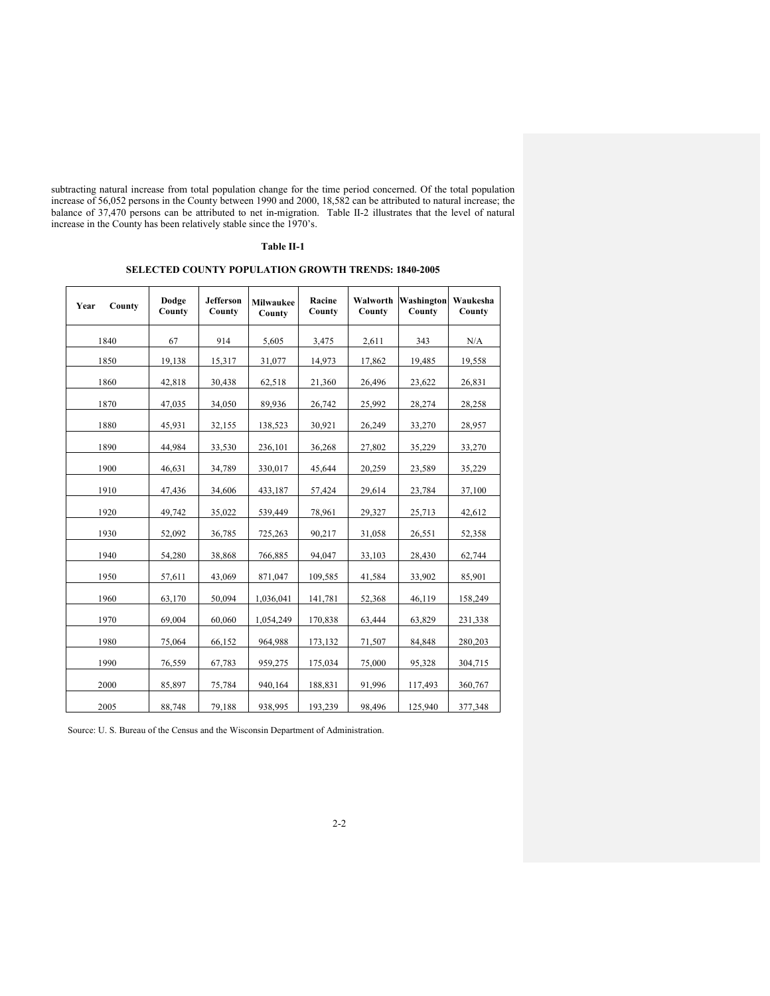subtracting natural increase from total population change for the time period concerned. Of the total population increase of 56,052 persons in the County between 1990 and 2000, 18,582 can be attributed to natural increase; the balance of 37,470 persons can be attributed to net in-migration. Table II-2 illustrates that the level of natural increase in the County has been relatively stable since the 1970's.

### **Table II-1**

# **SELECTED COUNTY POPULATION GROWTH TRENDS: 1840-2005**

| Year<br>County | Dodge<br>County | <b>Jefferson</b><br>County | <b>Milwaukee</b><br>County | Racine<br>County | Walworth<br>County | Washington<br>County | Waukesha<br>County |
|----------------|-----------------|----------------------------|----------------------------|------------------|--------------------|----------------------|--------------------|
| 1840           | 67              | 914                        | 5,605                      | 3,475            | 2,611              | 343                  | N/A                |
| 1850           | 19,138          | 15,317                     | 31,077                     | 14,973           | 17,862             | 19,485               | 19,558             |
| 1860           | 42,818          | 30,438                     | 62,518                     | 21,360           | 26,496             | 23,622               | 26,831             |
| 1870           | 47,035          | 34,050                     | 89,936                     | 26,742           | 25,992             | 28,274               | 28,258             |
| 1880           | 45,931          | 32,155                     | 138,523                    | 30,921           | 26,249             | 33,270               | 28,957             |
| 1890           | 44,984          | 33,530                     | 236,101                    | 36,268           | 27,802             | 35,229               | 33,270             |
| 1900           | 46,631          | 34,789                     | 330,017                    | 45,644           | 20,259             | 23,589               | 35,229             |
| 1910           | 47,436          | 34,606                     | 433,187                    | 57,424           | 29,614             | 23,784               | 37,100             |
| 1920           | 49,742          | 35,022                     | 539,449                    | 78,961           | 29,327             | 25,713               | 42,612             |
| 1930           | 52,092          | 36,785                     | 725,263                    | 90,217           | 31,058             | 26,551               | 52,358             |
| 1940           | 54,280          | 38,868                     | 766,885                    | 94,047           | 33,103             | 28,430               | 62,744             |
| 1950           | 57,611          | 43,069                     | 871,047                    | 109,585          | 41,584             | 33,902               | 85,901             |
| 1960           | 63,170          | 50,094                     | 1,036,041                  | 141,781          | 52,368             | 46,119               | 158,249            |
| 1970           | 69,004          | 60,060                     | 1,054,249                  | 170.838          | 63,444             | 63.829               | 231,338            |
| 1980           | 75,064          | 66,152                     | 964,988                    | 173,132          | 71,507             | 84,848               | 280,203            |
| 1990           | 76,559          | 67,783                     | 959,275                    | 175,034          | 75,000             | 95,328               | 304,715            |
| 2000           | 85,897          | 75,784                     | 940,164                    | 188,831          | 91,996             | 117,493              | 360,767            |
| 2005           | 88,748          | 79,188                     | 938,995                    | 193,239          | 98,496             | 125,940              | 377,348            |

Source: U. S. Bureau of the Census and the Wisconsin Department of Administration.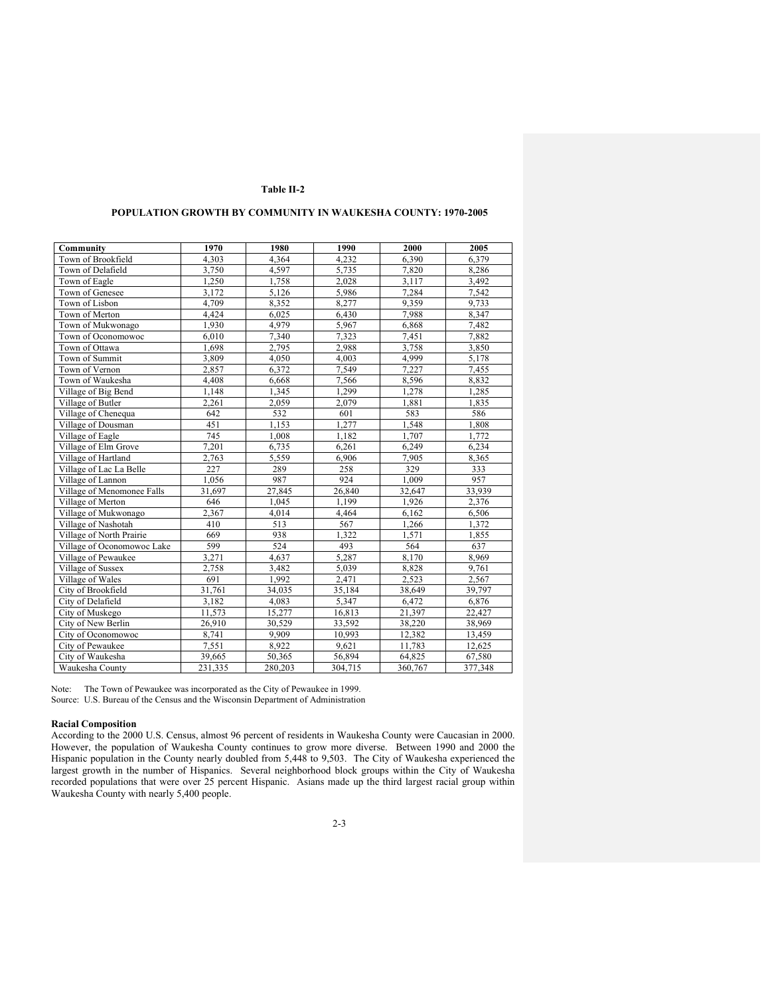### **POPULATION GROWTH BY COMMUNITY IN WAUKESHA COUNTY: 1970-2005**

| Community                  | 1970    | 1980    | 1990    | 2000    | 2005    |
|----------------------------|---------|---------|---------|---------|---------|
| Town of Brookfield         | 4.303   | 4.364   | 4.232   | 6.390   | 6.379   |
| Town of Delafield          | 3,750   | 4,597   | 5,735   | 7,820   | 8,286   |
| Town of Eagle              | 1,250   | 1,758   | 2,028   | 3,117   | 3,492   |
| Town of Genesee            | 3,172   | 5,126   | 5,986   | 7,284   | 7,542   |
| Town of Lisbon             | 4,709   | 8,352   | 8,277   | 9,359   | 9,733   |
| Town of Merton             | 4,424   | 6,025   | 6,430   | 7,988   | 8,347   |
| Town of Mukwonago          | 1,930   | 4,979   | 5,967   | 6,868   | 7,482   |
| Town of Oconomowoc         | 6,010   | 7,340   | 7,323   | 7,451   | 7,882   |
| Town of Ottawa             | 1,698   | 2,795   | 2,988   | 3,758   | 3,850   |
| Town of Summit             | 3.809   | 4,050   | 4,003   | 4.999   | 5.178   |
| Town of Vernon             | 2,857   | 6,372   | 7,549   | 7,227   | 7,455   |
| Town of Waukesha           | 4,408   | 6,668   | 7,566   | 8,596   | 8,832   |
| Village of Big Bend        | 1,148   | 1,345   | 1,299   | 1,278   | 1,285   |
| Village of Butler          | 2,261   | 2,059   | 2,079   | 1,881   | 1,835   |
| Village of Chenequa        | 642     | 532     | 601     | 583     | 586     |
| Village of Dousman         | 451     | 1,153   | 1,277   | 1,548   | 1,808   |
| Village of Eagle           | 745     | 1,008   | 1,182   | 1,707   | 1,772   |
| Village of Elm Grove       | 7,201   | 6,735   | 6,261   | 6,249   | 6,234   |
| Village of Hartland        | 2,763   | 5,559   | 6,906   | 7,905   | 8,365   |
| Village of Lac La Belle    | 227     | 289     | 258     | 329     | 333     |
| Village of Lannon          | 1,056   | 987     | 924     | 1,009   | 957     |
| Village of Menomonee Falls | 31,697  | 27,845  | 26,840  | 32,647  | 33,939  |
| Village of Merton          | 646     | 1,045   | 1,199   | 1,926   | 2,376   |
| Village of Mukwonago       | 2,367   | 4,014   | 4,464   | 6,162   | 6,506   |
| Village of Nashotah        | 410     | 513     | 567     | 1,266   | 1,372   |
| Village of North Prairie   | 669     | 938     | 1.322   | 1,571   | 1,855   |
| Village of Oconomowoc Lake | 599     | 524     | 493     | 564     | 637     |
| Village of Pewaukee        | 3,271   | 4,637   | 5,287   | 8,170   | 8,969   |
| Village of Sussex          | 2.758   | 3.482   | 5,039   | 8,828   | 9,761   |
| Village of Wales           | 691     | 1,992   | 2,471   | 2,523   | 2,567   |
| City of Brookfield         | 31,761  | 34,035  | 35,184  | 38,649  | 39,797  |
| City of Delafield          | 3,182   | 4,083   | 5,347   | 6,472   | 6,876   |
| City of Muskego            | 11,573  | 15,277  | 16,813  | 21,397  | 22,427  |
| City of New Berlin         | 26,910  | 30,529  | 33,592  | 38,220  | 38,969  |
| City of Oconomowoc         | 8,741   | 9,909   | 10,993  | 12,382  | 13,459  |
| City of Pewaukee           | 7,551   | 8,922   | 9,621   | 11,783  | 12,625  |
| City of Waukesha           | 39,665  | 50,365  | 56,894  | 64,825  | 67,580  |
| Waukesha County            | 231,335 | 280,203 | 304,715 | 360,767 | 377,348 |

Note: The Town of Pewaukee was incorporated as the City of Pewaukee in 1999. Source: U.S. Bureau of the Census and the Wisconsin Department of Administration

#### **Racial Composition**

According to the 2000 U.S. Census, almost 96 percent of residents in Waukesha County were Caucasian in 2000. However, the population of Waukesha County continues to grow more diverse. Between 1990 and 2000 the Hispanic population in the County nearly doubled from 5,448 to 9,503. The City of Waukesha experienced the largest growth in the number of Hispanics. Several neighborhood block groups within the City of Waukesha recorded populations that were over 25 percent Hispanic. Asians made up the third largest racial group within Waukesha County with nearly 5,400 people.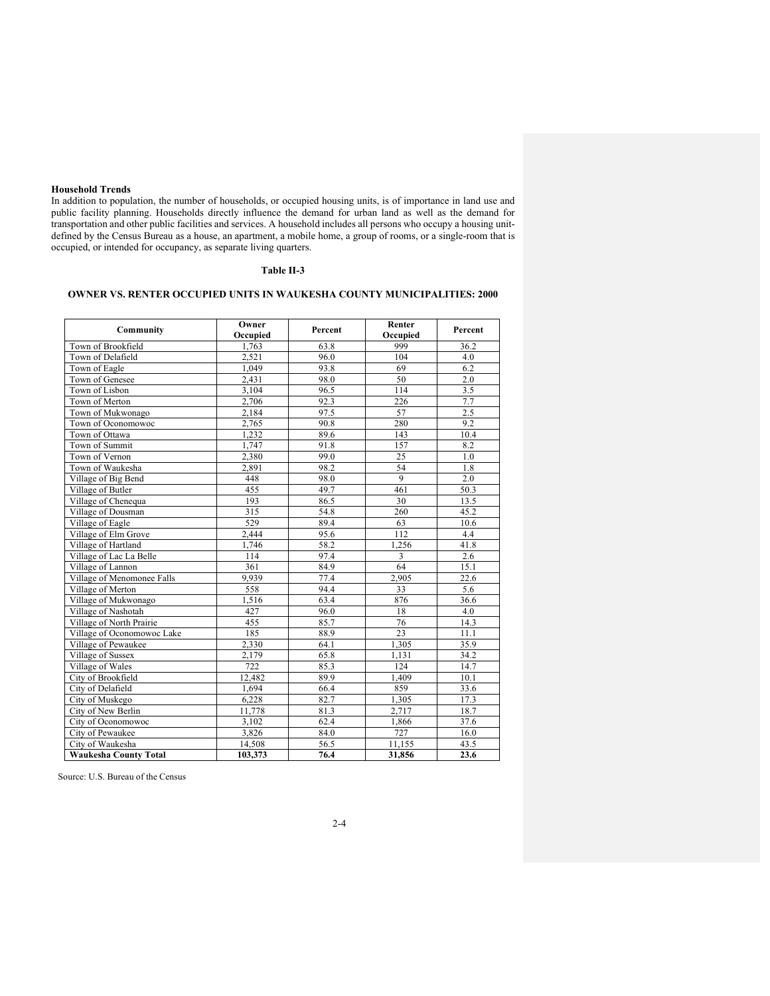### **Household Trends**

In addition to population, the number of households, or occupied housing units, is of importance in land use and public facility planning. Households directly influence the demand for urban land as well as the demand for transportation and other public facilities and services. A household includes all persons who occupy a housing unitdefined by the Census Bureau as a house, an apartment, a mobile home, a group of rooms, or a single-room that is occupied, or intended for occupancy, as separate living quarters.

# **Table II-3**

# **OWNER VS. RENTER OCCUPIED UNITS IN WAUKESHA COUNTY MUNICIPALITIES: 2000**

| Community                    | Owner<br>Occupied | Percent | Renter<br>Occupied | Percent |
|------------------------------|-------------------|---------|--------------------|---------|
| Town of Brookfield           | 1,763             | 63.8    | 999                | 36.2    |
| Town of Delafield            | 2.521             | 96.0    | 104                | 4.0     |
| Town of Eagle                | 1,049             | 93.8    | 69                 | 6.2     |
| Town of Genesee              | 2,431             | 98.0    | 50                 | 2.0     |
| Town of Lisbon               | 3,104             | 96.5    | 114                | 3.5     |
| Town of Merton               | 2,706             | 92.3    | 226                | 7.7     |
| Town of Mukwonago            | 2,184             | 97.5    | 57                 | 2.5     |
| Town of Oconomowoc           | 2,765             | 90.8    | 280                | 9.2     |
| Town of Ottawa               | 1,232             | 89.6    | 143                | 10.4    |
| Town of Summit               | 1,747             | 91.8    | 157                | 8.2     |
| Town of Vernon               | 2,380             | 99.0    | 25                 | 1.0     |
| Town of Waukesha             | 2,891             | 98.2    | 54                 | 1.8     |
| Village of Big Bend          | 448               | 98.0    | $\mathbf{Q}$       | 2.0     |
| Village of Butler            | 455               | 49.7    | 461                | 50.3    |
| Village of Chenequa          | 193               | 86.5    | 30                 | 13.5    |
| Village of Dousman           | 315               | 54.8    | 260                | 45.2    |
| Village of Eagle             | 529               | 89.4    | 63                 | 10.6    |
| Village of Elm Grove         | 2,444             | 95.6    | 112                | 4.4     |
| Village of Hartland          | 1,746             | 58.2    | 1,256              | 41.8    |
| Village of Lac La Belle      | 114               | 97.4    | 3                  | 2.6     |
| Village of Lannon            | 361               | 84.9    | 64                 | 15.1    |
| Village of Menomonee Falls   | 9,939             | 77.4    | 2,905              | 22.6    |
| Village of Merton            | 558               | 94.4    | 33                 | 5.6     |
| Village of Mukwonago         | 1,516             | 63.4    | 876                | 36.6    |
| Village of Nashotah          | 427               | 96.0    | 18                 | 4.0     |
| Village of North Prairie     | 455               | 85.7    | 76                 | 14.3    |
| Village of Oconomowoc Lake   | 185               | 88.9    | 23                 | 11.1    |
| Village of Pewaukee          | 2,330             | 64.1    | 1,305              | 35.9    |
| Village of Sussex            | 2,179             | 65.8    | 1,131              | 34.2    |
| Village of Wales             | 722               | 85.3    | 124                | 14.7    |
| City of Brookfield           | 12.482            | 89.9    | 1.409              | 10.1    |
| City of Delafield            | 1,694             | 66.4    | 859                | 33.6    |
| City of Muskego              | 6,228             | 82.7    | 1,305              | 17.3    |
| City of New Berlin           | 11,778            | 81.3    | 2,717              | 18.7    |
| City of Oconomowoc           | 3,102             | 62.4    | 1,866              | 37.6    |
| City of Pewaukee             | 3,826             | 84.0    | 727                | 16.0    |
| City of Waukesha             | 14,508            | 56.5    | 11,155             | 43.5    |
| <b>Waukesha County Total</b> | 103,373           | 76.4    | 31,856             | 23.6    |

Source: U.S. Bureau of the Census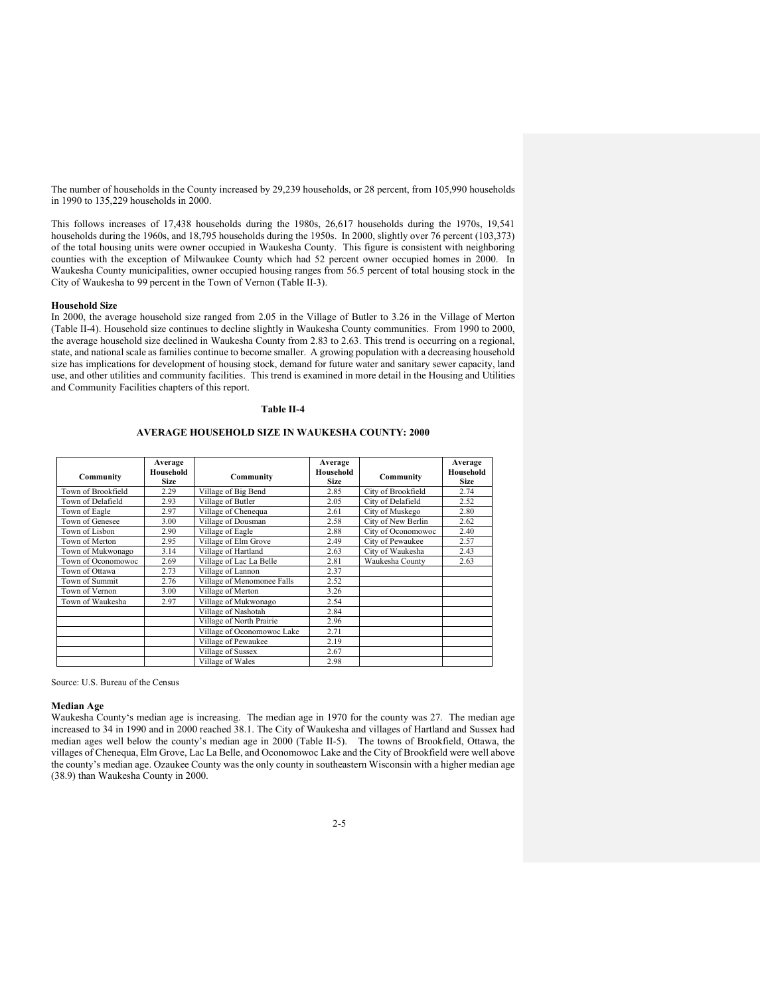The number of households in the County increased by 29,239 households, or 28 percent, from 105,990 households in 1990 to 135,229 households in 2000.

This follows increases of 17,438 households during the 1980s, 26,617 households during the 1970s, 19,541 households during the 1960s, and 18,795 households during the 1950s. In 2000, slightly over 76 percent (103,373) of the total housing units were owner occupied in Waukesha County. This figure is consistent with neighboring counties with the exception of Milwaukee County which had 52 percent owner occupied homes in 2000. In Waukesha County municipalities, owner occupied housing ranges from 56.5 percent of total housing stock in the City of Waukesha to 99 percent in the Town of Vernon (Table II-3).

#### **Household Size**

In 2000, the average household size ranged from 2.05 in the Village of Butler to 3.26 in the Village of Merton (Table II-4). Household size continues to decline slightly in Waukesha County communities. From 1990 to 2000, the average household size declined in Waukesha County from 2.83 to 2.63. This trend is occurring on a regional, state, and national scale as families continue to become smaller. A growing population with a decreasing household size has implications for development of housing stock, demand for future water and sanitary sewer capacity, land use, and other utilities and community facilities. This trend is examined in more detail in the Housing and Utilities and Community Facilities chapters of this report.

### **Table II-4**

### **AVERAGE HOUSEHOLD SIZE IN WAUKESHA COUNTY: 2000**

| Community          | Average<br>Household<br><b>Size</b> | Community                  | Average<br>Household<br><b>Size</b> | Community          | Average<br>Household<br><b>Size</b> |
|--------------------|-------------------------------------|----------------------------|-------------------------------------|--------------------|-------------------------------------|
| Town of Brookfield | 2.29                                | Village of Big Bend        | 2.85                                | City of Brookfield | 2.74                                |
| Town of Delafield  | 2.93                                | Village of Butler          | 2.05                                | City of Delafield  | 2.52                                |
| Town of Eagle      | 2.97                                | Village of Chenequa        | 2.61                                | City of Muskego    | 2.80                                |
| Town of Genesee    | 3.00                                | Village of Dousman         | 2.58                                | City of New Berlin | 2.62                                |
| Town of Lisbon     | 2.90                                | Village of Eagle           | 2.88                                | City of Oconomowoc | 2.40                                |
| Town of Merton     | 2.95                                | Village of Elm Grove       | 2.49                                | City of Pewaukee   | 2.57                                |
| Town of Mukwonago  | 3.14                                | Village of Hartland        | 2.63                                | City of Waukesha   | 2.43                                |
| Town of Oconomowoc | 2.69                                | Village of Lac La Belle    | 2.81                                | Waukesha County    | 2.63                                |
| Town of Ottawa     | 2.73                                | Village of Lannon          | 2.37                                |                    |                                     |
| Town of Summit     | 2.76                                | Village of Menomonee Falls | 2.52                                |                    |                                     |
| Town of Vernon     | 3.00                                | Village of Merton          | 3.26                                |                    |                                     |
| Town of Waukesha   | 2.97                                | Village of Mukwonago       | 2.54                                |                    |                                     |
|                    |                                     | Village of Nashotah        | 2.84                                |                    |                                     |
|                    |                                     | Village of North Prairie   | 2.96                                |                    |                                     |
|                    |                                     | Village of Oconomowoc Lake | 2.71                                |                    |                                     |
|                    |                                     | Village of Pewaukee        | 2.19                                |                    |                                     |
|                    |                                     | Village of Sussex          | 2.67                                |                    |                                     |
|                    |                                     | Village of Wales           | 2.98                                |                    |                                     |

Source: U.S. Bureau of the Census

#### **Median Age**

Waukesha County's median age is increasing. The median age in 1970 for the county was 27. The median age increased to 34 in 1990 and in 2000 reached 38.1. The City of Waukesha and villages of Hartland and Sussex had median ages well below the county's median age in 2000 (Table II-5). The towns of Brookfield, Ottawa, the villages of Chenequa, Elm Grove, Lac La Belle, and Oconomowoc Lake and the City of Brookfield were well above the county's median age. Ozaukee County was the only county in southeastern Wisconsin with a higher median age (38.9) than Waukesha County in 2000.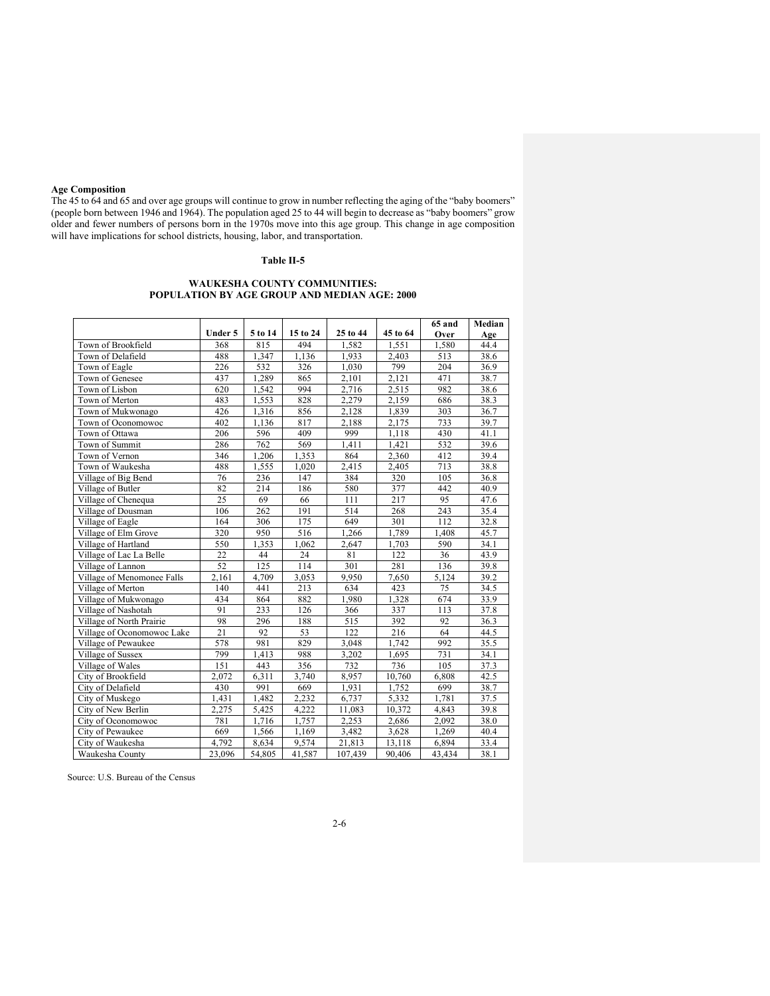### **Age Composition**

The 45 to 64 and 65 and over age groups will continue to grow in number reflecting the aging of the "baby boomers" (people born between 1946 and 1964). The population aged 25 to 44 will begin to decrease as "baby boomers" grow older and fewer numbers of persons born in the 1970s move into this age group. This change in age composition will have implications for school districts, housing, labor, and transportation.

# **Table II-5**

#### **WAUKESHA COUNTY COMMUNITIES: POPULATION BY AGE GROUP AND MEDIAN AGE: 2000**

|                            |         |         |          |          |          | 65 and | Median |
|----------------------------|---------|---------|----------|----------|----------|--------|--------|
|                            | Under 5 | 5 to 14 | 15 to 24 | 25 to 44 | 45 to 64 | Over   | Age    |
| Town of Brookfield         | 368     | 815     | 494      | 1,582    | 1,551    | 1,580  | 44.4   |
| Town of Delafield          | 488     | 1,347   | 1,136    | 1,933    | 2,403    | 513    | 38.6   |
| Town of Eagle              | 226     | 532     | 326      | 1,030    | 799      | 204    | 36.9   |
| Town of Genesee            | 437     | 1,289   | 865      | 2,101    | 2,121    | 471    | 38.7   |
| Town of Lisbon             | 620     | 1,542   | 994      | 2,716    | 2,515    | 982    | 38.6   |
| Town of Merton             | 483     | 1,553   | 828      | 2,279    | 2,159    | 686    | 38.3   |
| Town of Mukwonago          | 426     | 1,316   | 856      | 2,128    | 1,839    | 303    | 36.7   |
| Town of Oconomowoc         | 402     | 1,136   | 817      | 2,188    | 2,175    | 733    | 39.7   |
| Town of Ottawa             | 206     | 596     | 409      | 999      | 1,118    | 430    | 41.1   |
| Town of Summit             | 286     | 762     | 569      | 1,411    | 1,421    | 532    | 39.6   |
| Town of Vernon             | 346     | 1,206   | 1.353    | 864      | 2,360    | 412    | 39.4   |
| Town of Waukesha           | 488     | 1,555   | 1,020    | 2,415    | 2,405    | 713    | 38.8   |
| Village of Big Bend        | 76      | 236     | 147      | 384      | 320      | 105    | 36.8   |
| Village of Butler          | 82      | 214     | 186      | 580      | 377      | 442    | 40.9   |
| Village of Chenequa        | 25      | 69      | 66       | 111      | 217      | 95     | 47.6   |
| Village of Dousman         | 106     | 262     | 191      | 514      | 268      | 243    | 35.4   |
| Village of Eagle           | 164     | 306     | 175      | 649      | 301      | 112    | 32.8   |
| Village of Elm Grove       | 320     | 950     | 516      | 1,266    | 1,789    | 1,408  | 45.7   |
| Village of Hartland        | 550     | 1,353   | 1,062    | 2,647    | 1,703    | 590    | 34.1   |
| Village of Lac La Belle    | 22      | 44      | 24       | 81       | 122      | 36     | 43.9   |
| Village of Lannon          | 52      | 125     | 114      | 301      | 281      | 136    | 39.8   |
| Village of Menomonee Falls | 2,161   | 4,709   | 3,053    | 9,950    | 7,650    | 5,124  | 39.2   |
| Village of Merton          | 140     | 441     | 213      | 634      | 423      | 75     | 34.5   |
| Village of Mukwonago       | 434     | 864     | 882      | 1,980    | 1,328    | 674    | 33.9   |
| Village of Nashotah        | 91      | 233     | 126      | 366      | 337      | 113    | 37.8   |
| Village of North Prairie   | 98      | 296     | 188      | 515      | 392      | 92     | 36.3   |
| Village of Oconomowoc Lake | 21      | 92      | 53       | 122      | 216      | 64     | 44.5   |
| Village of Pewaukee        | 578     | 981     | 829      | 3,048    | 1,742    | 992    | 35.5   |
| Village of Sussex          | 799     | 1,413   | 988      | 3,202    | 1,695    | 731    | 34.1   |
| Village of Wales           | 151     | 443     | 356      | 732      | 736      | 105    | 37.3   |
| City of Brookfield         | 2,072   | 6,311   | 3,740    | 8,957    | 10,760   | 6,808  | 42.5   |
| City of Delafield          | 430     | 991     | 669      | 1,931    | 1,752    | 699    | 38.7   |
| City of Muskego            | 1,431   | 1,482   | 2,232    | 6,737    | 5,332    | 1,781  | 37.5   |
| City of New Berlin         | 2.275   | 5,425   | 4.222    | 11,083   | 10,372   | 4,843  | 39.8   |
| City of Oconomowoc         | 781     | 1,716   | 1,757    | 2,253    | 2,686    | 2,092  | 38.0   |
| City of Pewaukee           | 669     | 1,566   | 1,169    | 3,482    | 3,628    | 1,269  | 40.4   |
| City of Waukesha           | 4,792   | 8,634   | 9,574    | 21,813   | 13,118   | 6,894  | 33.4   |
| Waukesha County            | 23,096  | 54,805  | 41,587   | 107,439  | 90,406   | 43,434 | 38.1   |

Source: U.S. Bureau of the Census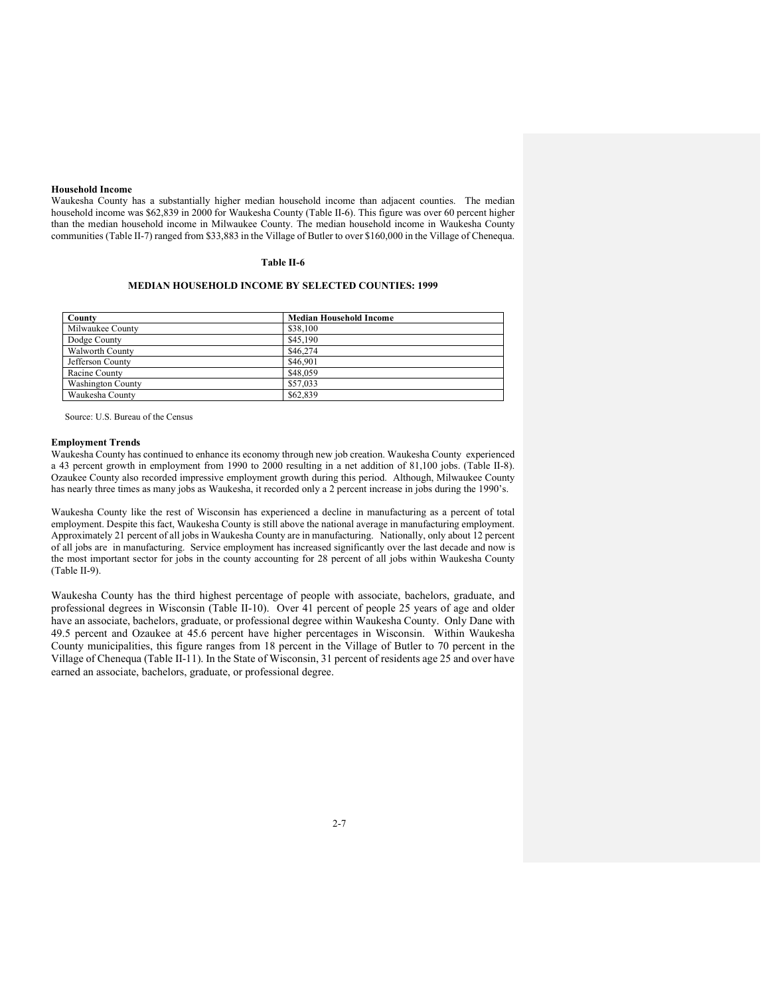### **Household Income**

Waukesha County has a substantially higher median household income than adjacent counties. The median household income was \$62,839 in 2000 for Waukesha County (Table II-6). This figure was over 60 percent higher than the median household income in Milwaukee County. The median household income in Waukesha County communities (Table II-7) ranged from \$33,883 in the Village of Butler to over \$160,000 in the Village of Chenequa.

# **Table II-6**

### **MEDIAN HOUSEHOLD INCOME BY SELECTED COUNTIES: 1999**

| County                   | <b>Median Household Income</b> |
|--------------------------|--------------------------------|
| Milwaukee County         | \$38,100                       |
| Dodge County             | \$45,190                       |
| Walworth County          | \$46,274                       |
| Jefferson County         | \$46,901                       |
| Racine County            | \$48,059                       |
| <b>Washington County</b> | \$57,033                       |
| Waukesha County          | \$62,839                       |

Source: U.S. Bureau of the Census

#### **Employment Trends**

Waukesha County has continued to enhance its economy through new job creation. Waukesha County experienced a 43 percent growth in employment from 1990 to 2000 resulting in a net addition of 81,100 jobs. (Table II-8). Ozaukee County also recorded impressive employment growth during this period. Although, Milwaukee County has nearly three times as many jobs as Waukesha, it recorded only a 2 percent increase in jobs during the 1990's.

Waukesha County like the rest of Wisconsin has experienced a decline in manufacturing as a percent of total employment. Despite this fact, Waukesha County is still above the national average in manufacturing employment. Approximately 21 percent of all jobs in Waukesha County are in manufacturing. Nationally, only about 12 percent of all jobs are in manufacturing. Service employment has increased significantly over the last decade and now is the most important sector for jobs in the county accounting for 28 percent of all jobs within Waukesha County (Table II-9).

Waukesha County has the third highest percentage of people with associate, bachelors, graduate, and professional degrees in Wisconsin (Table II-10). Over 41 percent of people 25 years of age and older have an associate, bachelors, graduate, or professional degree within Waukesha County. Only Dane with 49.5 percent and Ozaukee at 45.6 percent have higher percentages in Wisconsin. Within Waukesha County municipalities, this figure ranges from 18 percent in the Village of Butler to 70 percent in the Village of Chenequa (Table II-11). In the State of Wisconsin, 31 percent of residents age 25 and over have earned an associate, bachelors, graduate, or professional degree.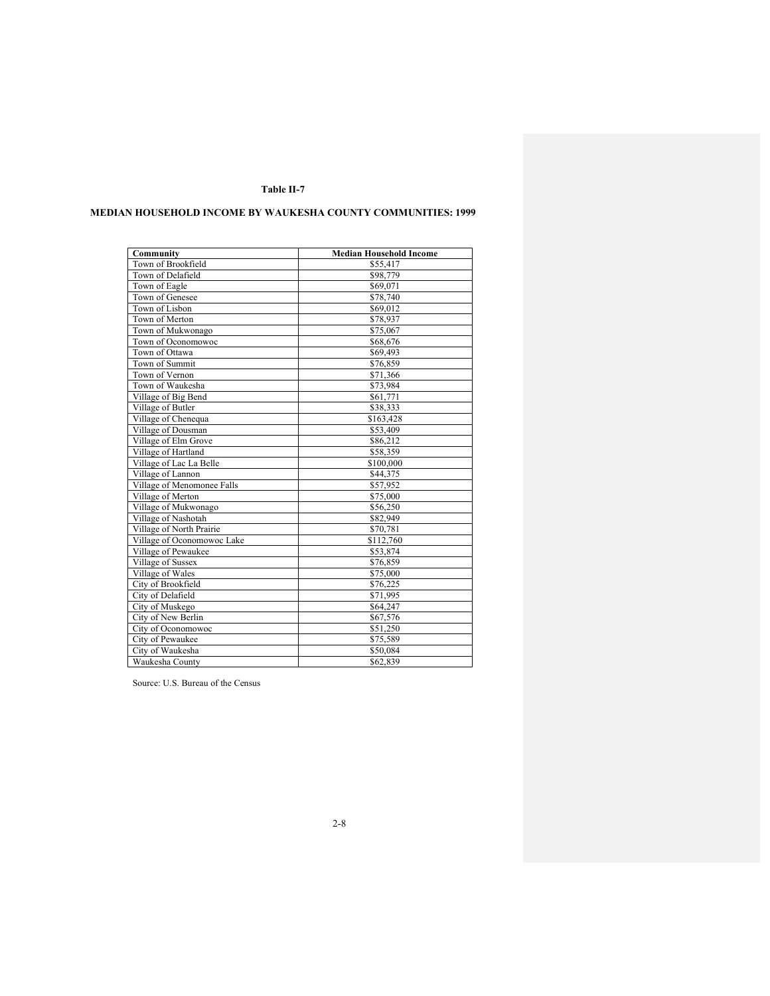# **MEDIAN HOUSEHOLD INCOME BY WAUKESHA COUNTY COMMUNITIES: 1999**

| Community                  | <b>Median Household Income</b> |
|----------------------------|--------------------------------|
| Town of Brookfield         | \$55,417                       |
| Town of Delafield          | \$98,779                       |
| Town of Eagle              | \$69,071                       |
| Town of Genesee            | \$78,740                       |
| Town of Lisbon             | \$69,012                       |
| Town of Merton             | \$78,937                       |
| Town of Mukwonago          | \$75,067                       |
| Town of Oconomowoc         | \$68,676                       |
| Town of Ottawa             | \$69,493                       |
| Town of Summit             | \$76,859                       |
| Town of Vernon             | \$71,366                       |
| Town of Waukesha           | \$73,984                       |
| Village of Big Bend        | \$61,771                       |
| Village of Butler          | \$38,333                       |
| Village of Chenequa        | \$163,428                      |
| Village of Dousman         | \$53,409                       |
| Village of Elm Grove       | \$86,212                       |
| Village of Hartland        | \$58,359                       |
| Village of Lac La Belle    | \$100,000                      |
| Village of Lannon          | \$44,375                       |
| Village of Menomonee Falls | \$57,952                       |
| Village of Merton          | \$75,000                       |
| Village of Mukwonago       | \$56,250                       |
| Village of Nashotah        | \$82,949                       |
| Village of North Prairie   | \$70,781                       |
| Village of Oconomowoc Lake | \$112,760                      |
| Village of Pewaukee        | \$53,874                       |
| Village of Sussex          | \$76,859                       |
| Village of Wales           | \$75,000                       |
| City of Brookfield         | \$76,225                       |
| City of Delafield          | \$71,995                       |
| City of Muskego            | \$64,247                       |
| City of New Berlin         | \$67,576                       |
| City of Oconomowoc         | \$51,250                       |
| City of Pewaukee           | \$75,589                       |
| City of Waukesha           | \$50,084                       |
| Waukesha County            | \$62,839                       |

Source: U.S. Bureau of the Census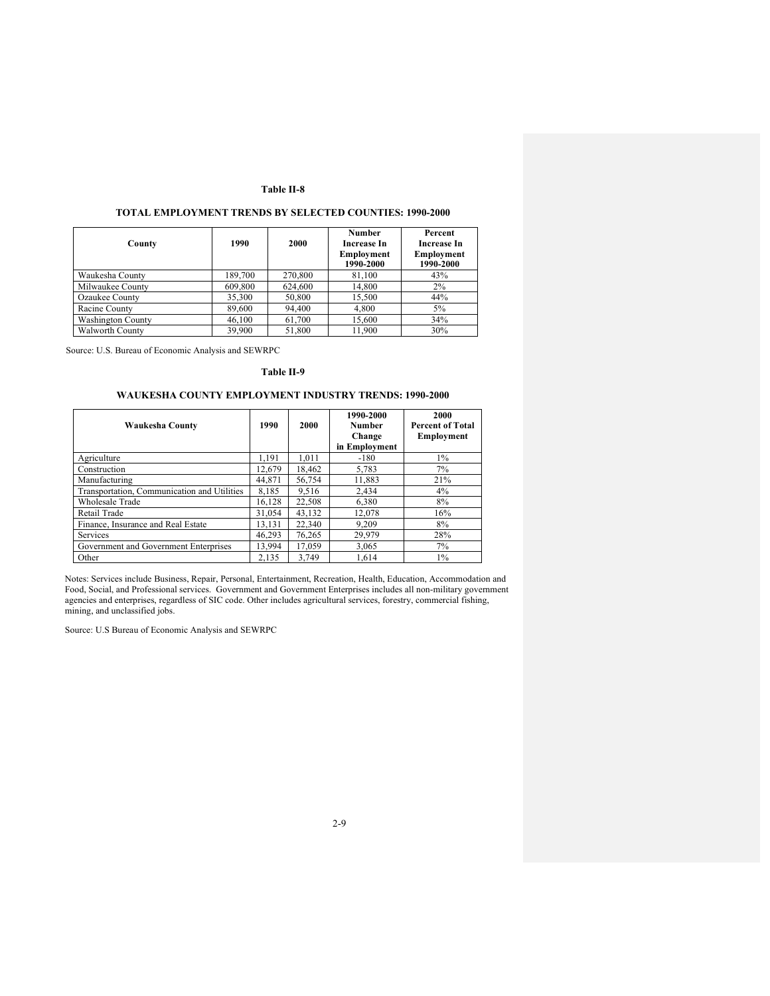# **TOTAL EMPLOYMENT TRENDS BY SELECTED COUNTIES: 1990-2000**

| County                   | 1990    | 2000    | Number<br>Increase In<br>Employment<br>1990-2000 | Percent<br>Increase In<br>Employment<br>1990-2000 |
|--------------------------|---------|---------|--------------------------------------------------|---------------------------------------------------|
| Waukesha County          | 189,700 | 270,800 | 81.100                                           | 43%                                               |
| Milwaukee County         | 609,800 | 624,600 | 14,800                                           | 2%                                                |
| Ozaukee County           | 35,300  | 50,800  | 15.500                                           | 44%                                               |
| Racine County            | 89,600  | 94,400  | 4,800                                            | 5%                                                |
| <b>Washington County</b> | 46,100  | 61,700  | 15,600                                           | 34%                                               |
| <b>Walworth County</b>   | 39,900  | 51.800  | 11.900                                           | 30%                                               |

Source: U.S. Bureau of Economic Analysis and SEWRPC

### **Table II-9**

# **WAUKESHA COUNTY EMPLOYMENT INDUSTRY TRENDS: 1990-2000**

| Waukesha County                             | 1990   | 2000   | 1990-2000<br>Number<br>Change<br>in Employment | 2000<br><b>Percent of Total</b><br>Employment |
|---------------------------------------------|--------|--------|------------------------------------------------|-----------------------------------------------|
| Agriculture                                 | 1,191  | 1.011  | $-180$                                         | $1\%$                                         |
| Construction                                | 12.679 | 18.462 | 5,783                                          | 7%                                            |
| Manufacturing                               | 44.871 | 56,754 | 11,883                                         | 21%                                           |
| Transportation, Communication and Utilities | 8.185  | 9.516  | 2.434                                          | 4%                                            |
| Wholesale Trade                             | 16.128 | 22,508 | 6,380                                          | 8%                                            |
| Retail Trade                                | 31.054 | 43,132 | 12.078                                         | 16%                                           |
| Finance, Insurance and Real Estate          | 13.131 | 22,340 | 9.209                                          | 8%                                            |
| Services                                    | 46.293 | 76.265 | 29.979                                         | 28%                                           |
| Government and Government Enterprises       | 13.994 | 17.059 | 3,065                                          | 7%                                            |
| Other                                       | 2,135  | 3.749  | 1.614                                          | $1\%$                                         |

Notes: Services include Business, Repair, Personal, Entertainment, Recreation, Health, Education, Accommodation and Food, Social, and Professional services. Government and Government Enterprises includes all non-military government agencies and enterprises, regardless of SIC code. Other includes agricultural services, forestry, commercial fishing, mining, and unclassified jobs.

Source: U.S Bureau of Economic Analysis and SEWRPC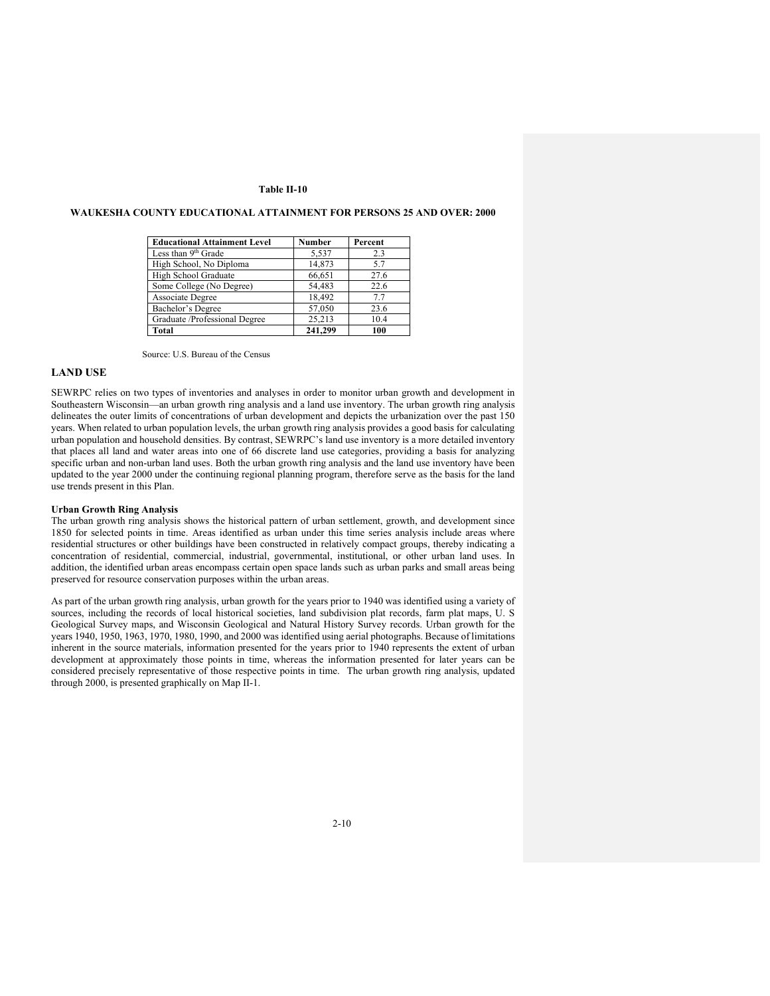### **Educational Attainment Level 11 Number 11 Percent**<br>Less than 9<sup>th</sup> Grade 15.537 2.3 Less than  $9^{th}$  Grade  $5.537$  2.3 High School, No Diploma 14,873 5.7<br>
High School Graduate 66,651 27.6 High School Graduate 66,651 27.6<br>
Some College (No Degree) 54,483 22.6 Some College (No Degree) 54,483 22.6<br>Associate Degree 18,492 7.7 Associate Degree 18,492 Bachelor's Degree 57,050 23.6<br>Graduate /Professional Degree 25,213 10.4 Graduate /Professional Degree **Total** 241,299 100

# **WAUKESHA COUNTY EDUCATIONAL ATTAINMENT FOR PERSONS 25 AND OVER: 2000**

Source: U.S. Bureau of the Census

# **LAND USE**

SEWRPC relies on two types of inventories and analyses in order to monitor urban growth and development in Southeastern Wisconsin—an urban growth ring analysis and a land use inventory. The urban growth ring analysis delineates the outer limits of concentrations of urban development and depicts the urbanization over the past 150 years. When related to urban population levels, the urban growth ring analysis provides a good basis for calculating urban population and household densities. By contrast, SEWRPC's land use inventory is a more detailed inventory that places all land and water areas into one of 66 discrete land use categories, providing a basis for analyzing specific urban and non-urban land uses. Both the urban growth ring analysis and the land use inventory have been updated to the year 2000 under the continuing regional planning program, therefore serve as the basis for the land use trends present in this Plan.

#### **Urban Growth Ring Analysis**

The urban growth ring analysis shows the historical pattern of urban settlement, growth, and development since 1850 for selected points in time. Areas identified as urban under this time series analysis include areas where residential structures or other buildings have been constructed in relatively compact groups, thereby indicating a concentration of residential, commercial, industrial, governmental, institutional, or other urban land uses. In addition, the identified urban areas encompass certain open space lands such as urban parks and small areas being preserved for resource conservation purposes within the urban areas.

As part of the urban growth ring analysis, urban growth for the years prior to 1940 was identified using a variety of sources, including the records of local historical societies, land subdivision plat records, farm plat maps, U. S Geological Survey maps, and Wisconsin Geological and Natural History Survey records. Urban growth for the years 1940, 1950, 1963, 1970, 1980, 1990, and 2000 was identified using aerial photographs. Because of limitations inherent in the source materials, information presented for the years prior to 1940 represents the extent of urban development at approximately those points in time, whereas the information presented for later years can be considered precisely representative of those respective points in time. The urban growth ring analysis, updated through 2000, is presented graphically on Map II-1.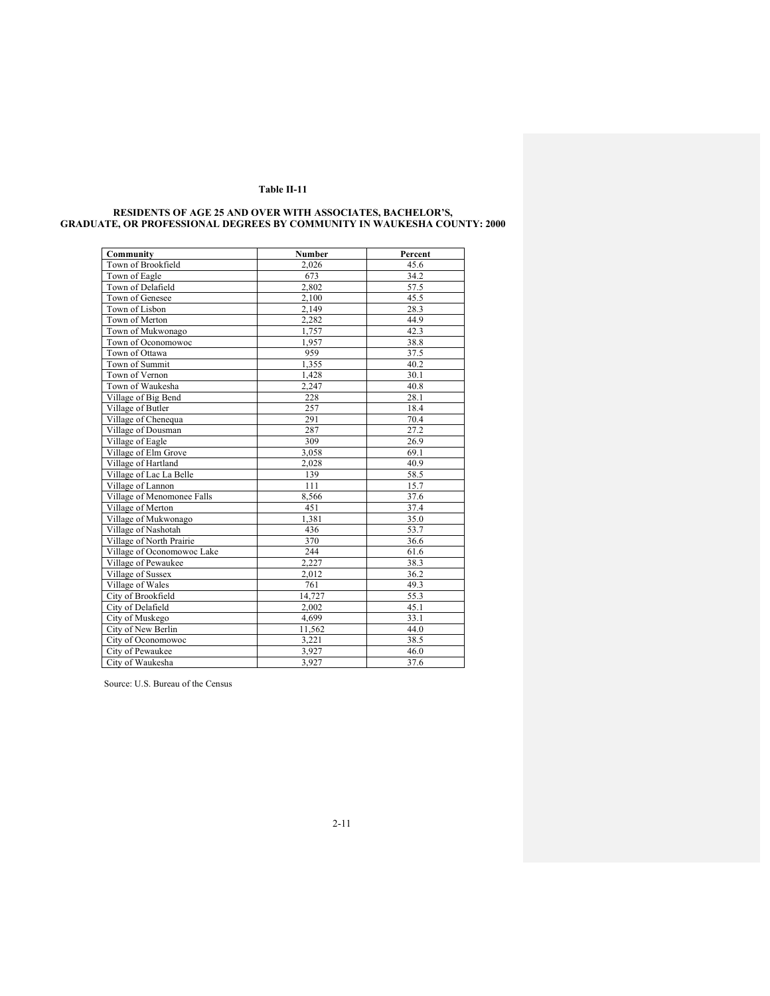| Community                  | Number | Percent |
|----------------------------|--------|---------|
| Town of Brookfield         | 2,026  | 45.6    |
| Town of Eagle              | 673    | 34.2    |
| Town of Delafield          | 2.802  | 57.5    |
| Town of Genesee            | 2,100  | 45.5    |
| Town of Lisbon             | 2,149  | 28.3    |
| Town of Merton             | 2,282  | 44.9    |
| Town of Mukwonago          | 1.757  | 42.3    |
| Town of Oconomowoc         | 1,957  | 38.8    |
| Town of Ottawa             | 959    | 37.5    |
| Town of Summit             | 1,355  | 40.2    |
| Town of Vernon             | 1,428  | 30.1    |
| Town of Waukesha           | 2,247  | 40.8    |
| Village of Big Bend        | 228    | 28.1    |
| Village of Butler          | 257    | 18.4    |
| Village of Chenequa        | 291    | 70.4    |
| Village of Dousman         | 287    | 27.2    |
| Village of Eagle           | 309    | 26.9    |
| Village of Elm Grove       | 3,058  | 69.1    |
| Village of Hartland        | 2.028  | 40.9    |
| Village of Lac La Belle    | 139    | 58.5    |
| Village of Lannon          | 111    | 15.7    |
| Village of Menomonee Falls | 8,566  | 37.6    |
| Village of Merton          | 451    | 37.4    |
| Village of Mukwonago       | 1.381  | 35.0    |
| Village of Nashotah        | 436    | 53.7    |
| Village of North Prairie   | 370    | 36.6    |
| Village of Oconomowoc Lake | 244    | 61.6    |
| Village of Pewaukee        | 2,227  | 38.3    |
| Village of Sussex          | 2,012  | 36.2    |
| Village of Wales           | 761    | 49.3    |
| City of Brookfield         | 14,727 | 55.3    |
| City of Delafield          | 2,002  | 45.1    |
| City of Muskego            | 4,699  | 33.1    |
| City of New Berlin         | 11,562 | 44.0    |
| City of Oconomowoc         | 3,221  | 38.5    |
| City of Pewaukee           | 3,927  | 46.0    |
| City of Waukesha           | 3.927  | 37.6    |

#### **RESIDENTS OF AGE 25 AND OVER WITH ASSOCIATES, BACHELOR'S, GRADUATE, OR PROFESSIONAL DEGREES BY COMMUNITY IN WAUKESHA COUNTY: 2000**

Source: U.S. Bureau of the Census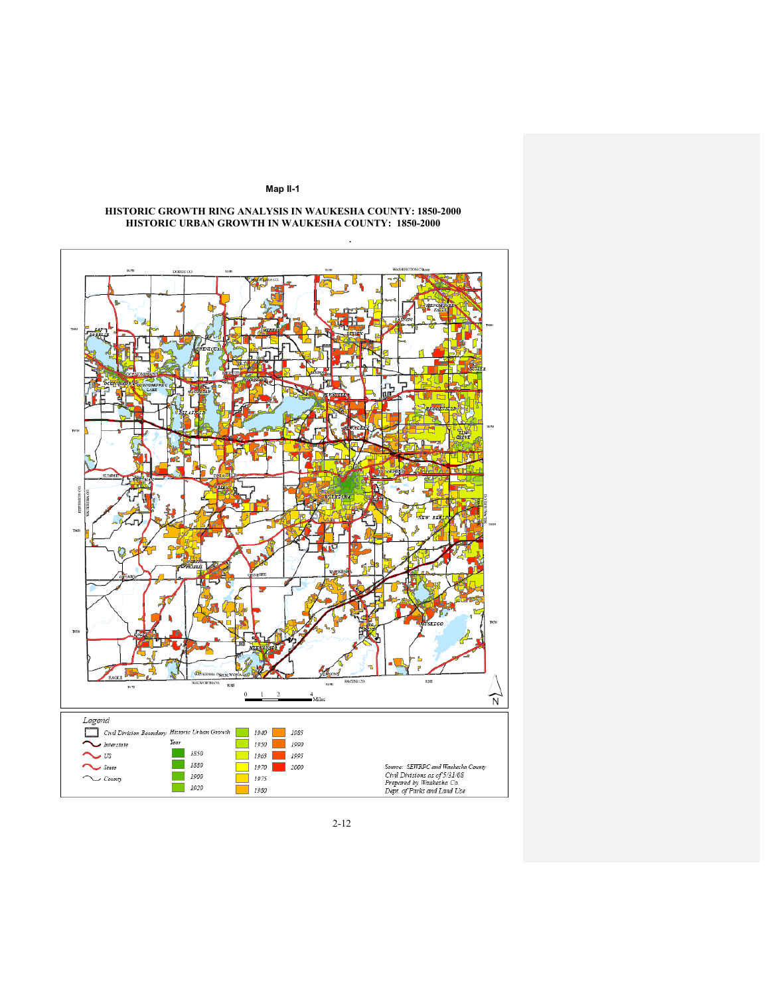

#### **HISTORIC GROWTH RING ANALYSIS IN WAUKESHA COUNTY: 1850-2000 HISTORIC URBAN GROWTH IN WAUKESHA COUNTY: 1850-2000**

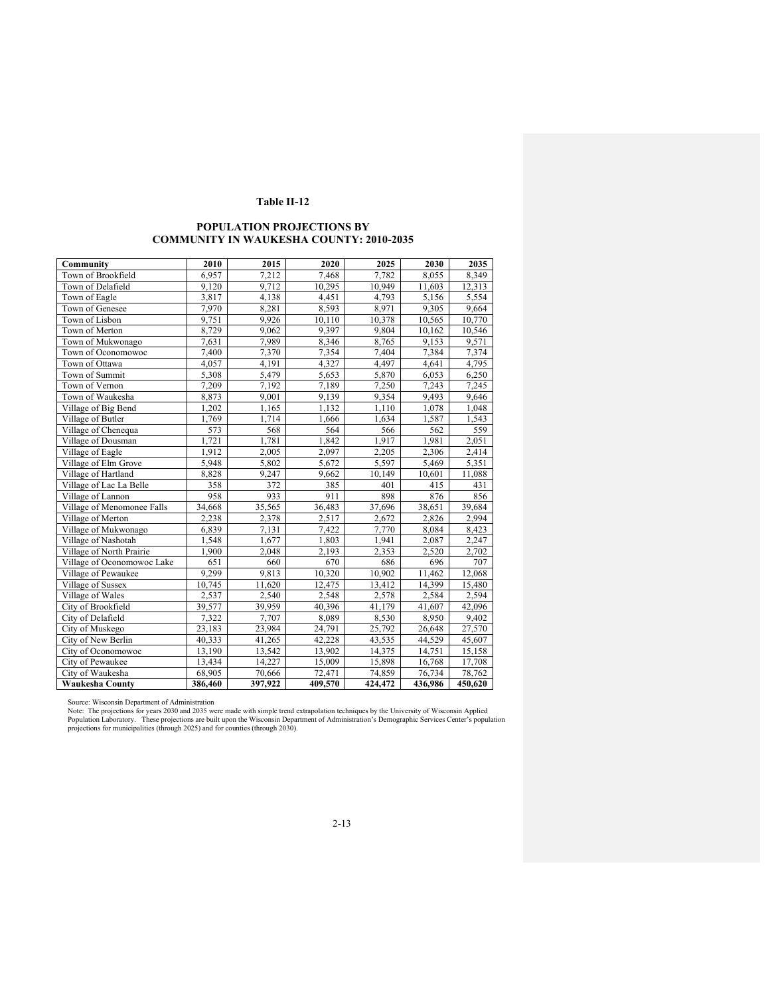# **POPULATION PROJECTIONS BY COMMUNITY IN WAUKESHA COUNTY: 2010-2035**

| Community                  | 2010    | 2015    | 2020    | 2025    | 2030    | 2035    |
|----------------------------|---------|---------|---------|---------|---------|---------|
| Town of Brookfield         | 6,957   | 7,212   | 7,468   | 7,782   | 8,055   | 8,349   |
| Town of Delafield          | 9,120   | 9,712   | 10,295  | 10,949  | 11,603  | 12,313  |
| Town of Eagle              | 3,817   | 4,138   | 4,451   | 4,793   | 5,156   | 5,554   |
| Town of Genesee            | 7,970   | 8,281   | 8,593   | 8,971   | 9,305   | 9,664   |
| Town of Lisbon             | 9,751   | 9,926   | 10,110  | 10,378  | 10,565  | 10,770  |
| Town of Merton             | 8,729   | 9,062   | 9,397   | 9,804   | 10,162  | 10,546  |
| Town of Mukwonago          | 7,631   | 7,989   | 8,346   | 8,765   | 9,153   | 9,571   |
| Town of Oconomowoc         | 7.400   | 7,370   | 7,354   | 7,404   | 7,384   | 7,374   |
| Town of Ottawa             | 4,057   | 4,191   | 4,327   | 4,497   | 4,641   | 4,795   |
| Town of Summit             | 5,308   | 5,479   | 5,653   | 5,870   | 6,053   | 6,250   |
| Town of Vernon             | 7,209   | 7,192   | 7,189   | 7,250   | 7,243   | 7,245   |
| Town of Waukesha           | 8,873   | 9,001   | 9,139   | 9,354   | 9,493   | 9,646   |
| Village of Big Bend        | 1,202   | 1,165   | 1,132   | 1,110   | 1,078   | 1,048   |
| Village of Butler          | 1,769   | 1,714   | 1,666   | 1,634   | 1,587   | 1,543   |
| Village of Chenequa        | 573     | 568     | 564     | 566     | 562     | 559     |
| Village of Dousman         | 1,721   | 1,781   | 1,842   | 1,917   | 1,981   | 2,051   |
| Village of Eagle           | 1,912   | 2,005   | 2,097   | 2,205   | 2,306   | 2,414   |
| Village of Elm Grove       | 5,948   | 5,802   | 5,672   | 5,597   | 5,469   | 5,351   |
| Village of Hartland        | 8,828   | 9,247   | 9,662   | 10,149  | 10,601  | 11,088  |
| Village of Lac La Belle    | 358     | 372     | 385     | 401     | 415     | 431     |
| Village of Lannon          | 958     | 933     | 911     | 898     | 876     | 856     |
| Village of Menomonee Falls | 34,668  | 35,565  | 36,483  | 37,696  | 38,651  | 39,684  |
| Village of Merton          | 2,238   | 2,378   | 2,517   | 2,672   | 2,826   | 2,994   |
| Village of Mukwonago       | 6,839   | 7,131   | 7,422   | 7,770   | 8,084   | 8,423   |
| Village of Nashotah        | 1,548   | 1,677   | 1,803   | 1,941   | 2,087   | 2,247   |
| Village of North Prairie   | 1,900   | 2,048   | 2,193   | 2,353   | 2,520   | 2,702   |
| Village of Oconomowoc Lake | 651     | 660     | 670     | 686     | 696     | 707     |
| Village of Pewaukee        | 9,299   | 9,813   | 10,320  | 10,902  | 11,462  | 12,068  |
| Village of Sussex          | 10,745  | 11,620  | 12,475  | 13,412  | 14,399  | 15,480  |
| Village of Wales           | 2,537   | 2,540   | 2,548   | 2,578   | 2,584   | 2,594   |
| City of Brookfield         | 39,577  | 39,959  | 40,396  | 41,179  | 41,607  | 42,096  |
| City of Delafield          | 7,322   | 7,707   | 8,089   | 8,530   | 8,950   | 9,402   |
| City of Muskego            | 23,183  | 23,984  | 24,791  | 25,792  | 26,648  | 27,570  |
| City of New Berlin         | 40,333  | 41,265  | 42,228  | 43,535  | 44,529  | 45,607  |
| City of Oconomowoc         | 13,190  | 13,542  | 13,902  | 14,375  | 14,751  | 15,158  |
| City of Pewaukee           | 13,434  | 14,227  | 15,009  | 15,898  | 16,768  | 17,708  |
| City of Waukesha           | 68,905  | 70,666  | 72,471  | 74,859  | 76,734  | 78,762  |
| <b>Waukesha County</b>     | 386,460 | 397,922 | 409,570 | 424,472 | 436,986 | 450,620 |

Source: Wisconsin Department of Administration<br>Note: The projections for years 2030 and 2035 were made with simple trend extrapolation techniques by the University of Wisconsin Applied<br>Population Laboratory. These projecti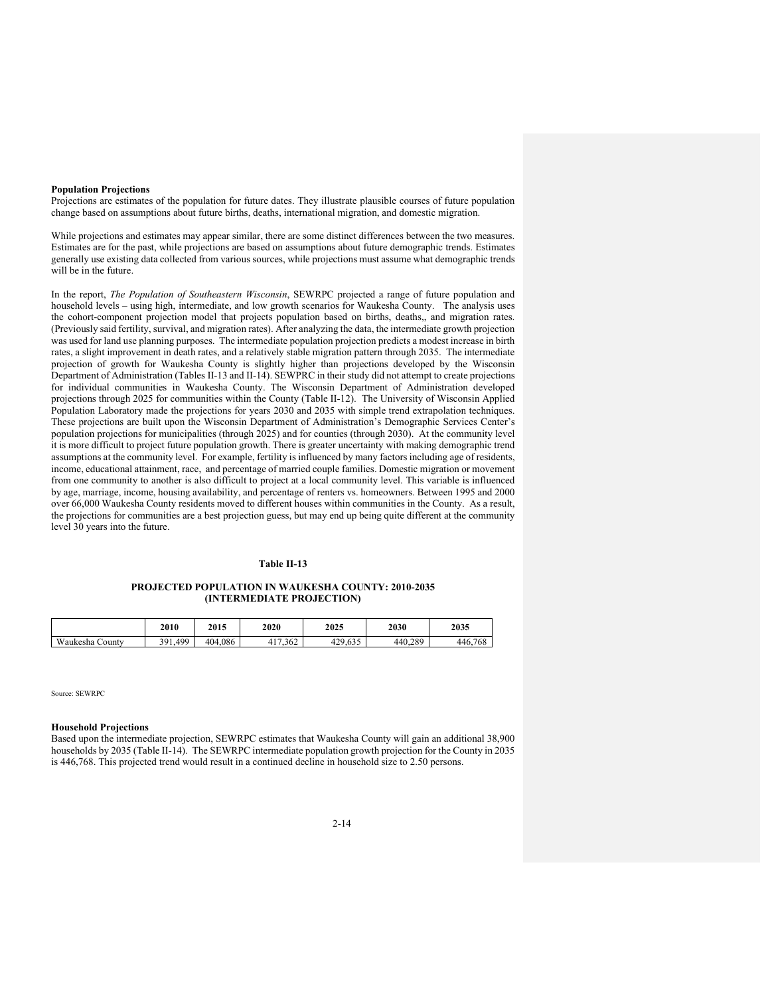### **Population Projections**

Projections are estimates of the population for future dates. They illustrate plausible courses of future population change based on assumptions about future births, deaths, international migration, and domestic migration.

While projections and estimates may appear similar, there are some distinct differences between the two measures. Estimates are for the past, while projections are based on assumptions about future demographic trends. Estimates generally use existing data collected from various sources, while projections must assume what demographic trends will be in the future.

In the report, *The Population of Southeastern Wisconsin*, SEWRPC projected a range of future population and household levels – using high, intermediate, and low growth scenarios for Waukesha County. The analysis uses the cohort-component projection model that projects population based on births, deaths,, and migration rates. (Previously said fertility, survival, and migration rates). After analyzing the data, the intermediate growth projection was used for land use planning purposes. The intermediate population projection predicts a modest increase in birth rates, a slight improvement in death rates, and a relatively stable migration pattern through 2035. The intermediate projection of growth for Waukesha County is slightly higher than projections developed by the Wisconsin Department of Administration (Tables II-13 and II-14). SEWPRC in their study did not attempt to create projections for individual communities in Waukesha County. The Wisconsin Department of Administration developed projections through 2025 for communities within the County (Table II-12). The University of Wisconsin Applied Population Laboratory made the projections for years 2030 and 2035 with simple trend extrapolation techniques. These projections are built upon the Wisconsin Department of Administration's Demographic Services Center's population projections for municipalities (through 2025) and for counties (through 2030). At the community level it is more difficult to project future population growth. There is greater uncertainty with making demographic trend assumptions at the community level. For example, fertility is influenced by many factors including age of residents, income, educational attainment, race, and percentage of married couple families. Domestic migration or movement from one community to another is also difficult to project at a local community level. This variable is influenced by age, marriage, income, housing availability, and percentage of renters vs. homeowners. Between 1995 and 2000 over 66,000 Waukesha County residents moved to different houses within communities in the County. As a result, the projections for communities are a best projection guess, but may end up being quite different at the community level 30 years into the future.

### **Table II-13**

### **PROJECTED POPULATION IN WAUKESHA COUNTY: 2010-2035 (INTERMEDIATE PROJECTION)**

|                 | 2010         | 2015    | 2020           | 2025    | 2030    | 2035         |
|-----------------|--------------|---------|----------------|---------|---------|--------------|
| Waukesha County | 1,499<br>301 | 404.086 | 117.362<br>41, | 429,635 | 440,289 | .768<br>446. |

Source: SEWRPC

#### **Household Projections**

Based upon the intermediate projection, SEWRPC estimates that Waukesha County will gain an additional 38,900 households by 2035 (Table II-14). The SEWRPC intermediate population growth projection for the County in 2035 is 446,768. This projected trend would result in a continued decline in household size to 2.50 persons.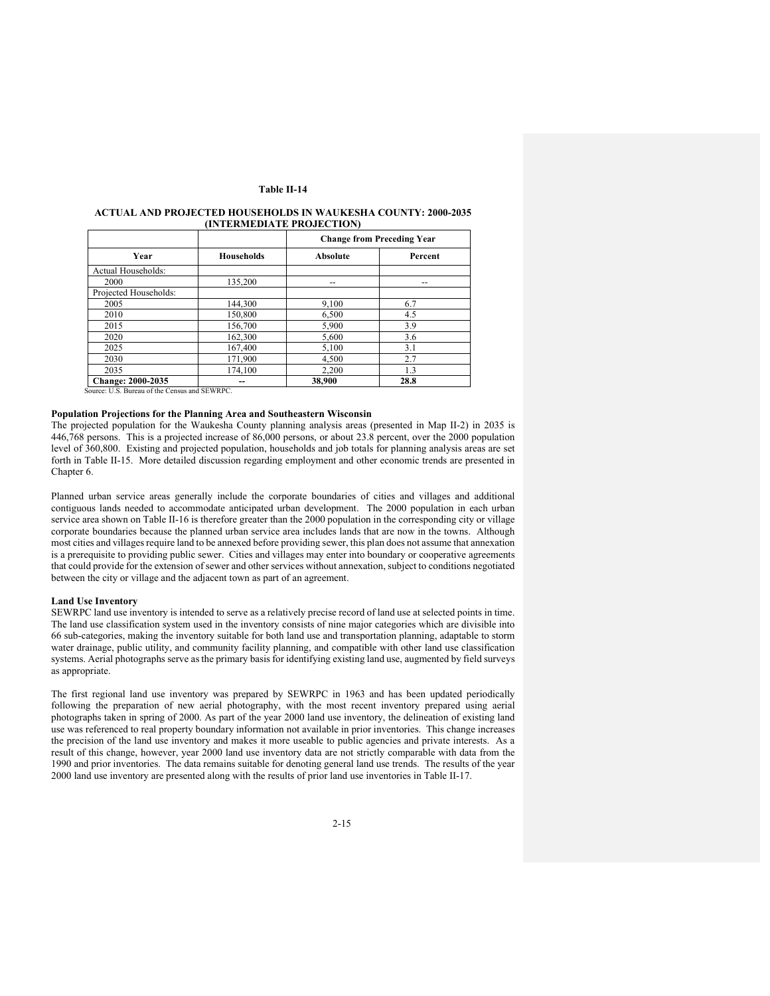|                          |                   |                 | <b>Change from Preceding Year</b> |
|--------------------------|-------------------|-----------------|-----------------------------------|
| Year                     | <b>Households</b> | <b>Absolute</b> | Percent                           |
| Actual Households:       |                   |                 |                                   |
| 2000                     | 135,200           | --              | --                                |
| Projected Households:    |                   |                 |                                   |
| 2005                     | 144,300           | 9,100           | 6.7                               |
| 2010                     | 150,800           | 6.500           | 4.5                               |
| 2015                     | 156,700           | 5,900           | 3.9                               |
| 2020                     | 162,300           | 5,600           | 3.6                               |
| 2025                     | 167,400           | 5,100           | 3.1                               |
| 2030                     | 171,900           | 4,500           | 2.7                               |
| 2035                     | 174.100           | 2.200           | 1.3                               |
| <b>Change: 2000-2035</b> |                   | 38,900          | 28.8                              |

### **ACTUAL AND PROJECTED HOUSEHOLDS IN WAUKESHA COUNTY: 2000-2035 (INTERMEDIATE PROJECTION)**

Source: U.S. Bureau of the Census and SEWRPC.

### **Population Projections for the Planning Area and Southeastern Wisconsin**

The projected population for the Waukesha County planning analysis areas (presented in Map II-2) in 2035 is 446,768 persons. This is a projected increase of 86,000 persons, or about 23.8 percent, over the 2000 population level of 360,800. Existing and projected population, households and job totals for planning analysis areas are set forth in Table II-15. More detailed discussion regarding employment and other economic trends are presented in Chapter 6.

Planned urban service areas generally include the corporate boundaries of cities and villages and additional contiguous lands needed to accommodate anticipated urban development. The 2000 population in each urban service area shown on Table II-16 is therefore greater than the 2000 population in the corresponding city or village corporate boundaries because the planned urban service area includes lands that are now in the towns. Although most cities and villages require land to be annexed before providing sewer, this plan does not assume that annexation is a prerequisite to providing public sewer. Cities and villages may enter into boundary or cooperative agreements that could provide for the extension of sewer and other services without annexation, subject to conditions negotiated between the city or village and the adjacent town as part of an agreement.

### **Land Use Inventory**

SEWRPC land use inventory is intended to serve as a relatively precise record of land use at selected points in time. The land use classification system used in the inventory consists of nine major categories which are divisible into 66 sub-categories, making the inventory suitable for both land use and transportation planning, adaptable to storm water drainage, public utility, and community facility planning, and compatible with other land use classification systems. Aerial photographs serve as the primary basis for identifying existing land use, augmented by field surveys as appropriate.

The first regional land use inventory was prepared by SEWRPC in 1963 and has been updated periodically following the preparation of new aerial photography, with the most recent inventory prepared using aerial photographs taken in spring of 2000. As part of the year 2000 land use inventory, the delineation of existing land use was referenced to real property boundary information not available in prior inventories. This change increases the precision of the land use inventory and makes it more useable to public agencies and private interests. As a result of this change, however, year 2000 land use inventory data are not strictly comparable with data from the 1990 and prior inventories. The data remains suitable for denoting general land use trends. The results of the year 2000 land use inventory are presented along with the results of prior land use inventories in Table II-17.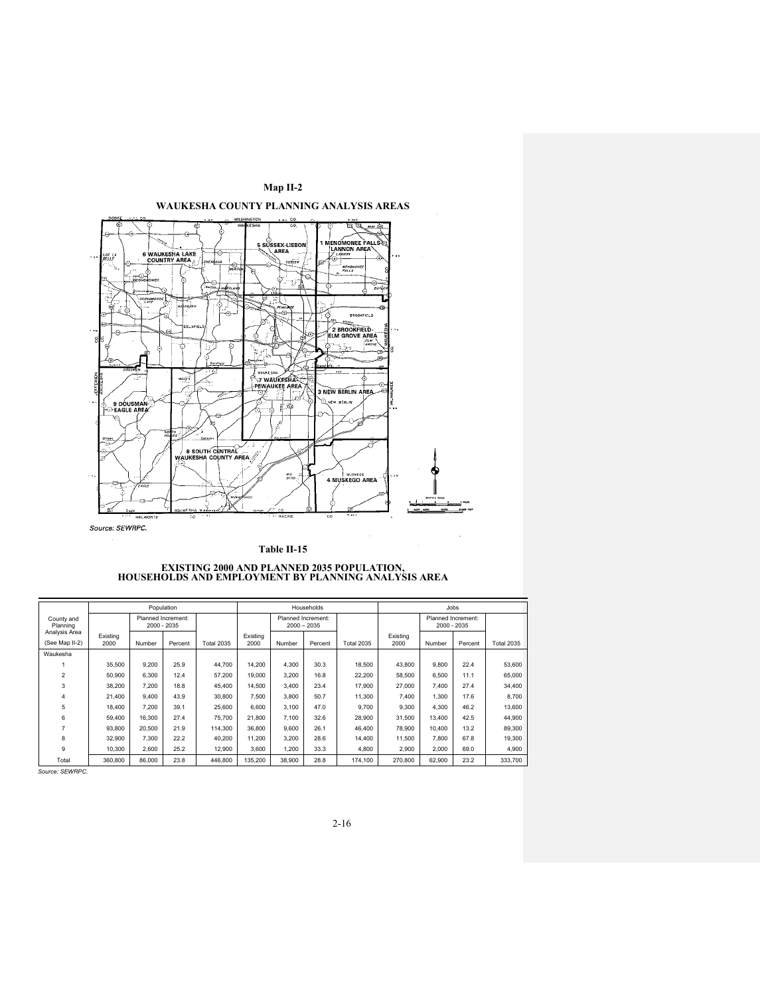



|                                 |                  |        | Population                        |                   | Households       |                    |               |                   | Jobs             |             |                    |                   |
|---------------------------------|------------------|--------|-----------------------------------|-------------------|------------------|--------------------|---------------|-------------------|------------------|-------------|--------------------|-------------------|
| County and<br>Planning          |                  |        | Planned Increment:<br>2000 - 2035 |                   |                  | Planned Increment: | $2000 - 2035$ |                   |                  | 2000 - 2035 | Planned Increment: |                   |
| Analysis Area<br>(See Map II-2) | Existing<br>2000 | Number | Percent                           | <b>Total 2035</b> | Existing<br>2000 | Number             | Percent       | <b>Total 2035</b> | Existing<br>2000 | Number      | Percent            | <b>Total 2035</b> |
| Waukesha                        |                  |        |                                   |                   |                  |                    |               |                   |                  |             |                    |                   |
|                                 | 35,500           | 9.200  | 25.9                              | 44.700            | 14.200           | 4.300              | 30.3          | 18,500            | 43,800           | 9,800       | 22.4               | 53,600            |
| 2                               | 50,900           | 6.300  | 12.4                              | 57,200            | 19,000           | 3.200              | 16.8          | 22.200            | 58,500           | 6.500       | 11.1               | 65,000            |
| 3                               | 38.200           | 7.200  | 18.8                              | 45.400            | 14.500           | 3.400              | 23.4          | 17,900            | 27,000           | 7.400       | 27.4               | 34.400            |
| 4                               | 21,400           | 9.400  | 43.9                              | 30,800            | 7.500            | 3.800              | 50.7          | 11.300            | 7.400            | 1.300       | 17.6               | 8.700             |
| 5                               | 18,400           | 7.200  | 39.1                              | 25,600            | 6.600            | 3.100              | 47.0          | 9.700             | 9.300            | 4.300       | 46.2               | 13,600            |
| 6                               | 59,400           | 16.300 | 27.4                              | 75,700            | 21.800           | 7.100              | 32.6          | 28,900            | 31.500           | 13,400      | 42.5               | 44.900            |
| 7                               | 93.800           | 20.500 | 21.9                              | 114,300           | 36,800           | 9.600              | 26.1          | 46.400            | 78,900           | 10.400      | 13.2               | 89,300            |
| 8                               | 32,900           | 7.300  | 22.2                              | 40.200            | 11.200           | 3.200              | 28.6          | 14.400            | 11.500           | 7.800       | 67.8               | 19,300            |
| 9                               | 10.300           | 2.600  | 25.2                              | 12.900            | 3.600            | 1.200              | 33.3          | 4.800             | 2.900            | 2,000       | 69.0               | 4.900             |
| Total                           | 360,800          | 86,000 | 23.8                              | 446.800           | 135.200          | 38.900             | 28.8          | 174.100           | 270,800          | 62,900      | 23.2               | 333.700           |
|                                 |                  |        |                                   |                   |                  |                    |               |                   |                  |             |                    |                   |

 *Source: SEWRPC.*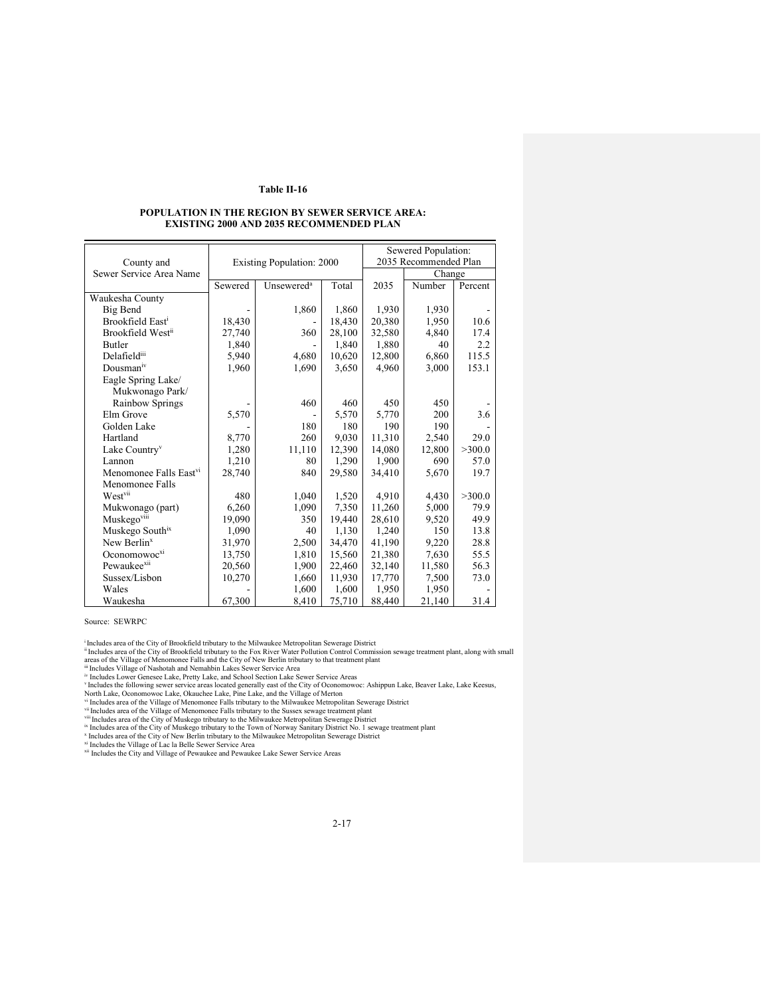#### **POPULATION IN THE REGION BY SEWER SERVICE AREA: EXISTING 2000 AND 2035 RECOMMENDED PLAN**

|                                    |         |                                  |        | Sewered Population: |                       |         |  |  |
|------------------------------------|---------|----------------------------------|--------|---------------------|-----------------------|---------|--|--|
| County and                         |         | <b>Existing Population: 2000</b> |        |                     | 2035 Recommended Plan |         |  |  |
| Sewer Service Area Name            |         |                                  |        | Change              |                       |         |  |  |
|                                    | Sewered | Unsewered <sup>a</sup>           | Total  | 2035                | Number                | Percent |  |  |
| Waukesha County                    |         |                                  |        |                     |                       |         |  |  |
| Big Bend                           |         | 1,860                            | 1,860  | 1,930               | 1,930                 |         |  |  |
| Brookfield East <sup>i</sup>       | 18,430  |                                  | 18,430 | 20,380              | 1,950                 | 10.6    |  |  |
| Brookfield Westii                  | 27,740  | 360                              | 28,100 | 32,580              | 4,840                 | 17.4    |  |  |
| <b>Butler</b>                      | 1,840   |                                  | 1,840  | 1,880               | 40                    | 2.2     |  |  |
| Delafieldiii                       | 5,940   | 4,680                            | 10,620 | 12,800              | 6,860                 | 115.5   |  |  |
| Dousman <sup>iv</sup>              | 1,960   | 1,690                            | 3,650  | 4,960               | 3,000                 | 153.1   |  |  |
| Eagle Spring Lake/                 |         |                                  |        |                     |                       |         |  |  |
| Mukwonago Park/                    |         |                                  |        |                     |                       |         |  |  |
| Rainbow Springs                    |         | 460                              | 460    | 450                 | 450                   |         |  |  |
| Elm Grove                          | 5,570   |                                  | 5,570  | 5,770               | 200                   | 3.6     |  |  |
| Golden Lake                        |         | 180                              | 180    | 190                 | 190                   |         |  |  |
| Hartland                           | 8,770   | 260                              | 9,030  | 11,310              | 2,540                 | 29.0    |  |  |
| Lake Country <sup>v</sup>          | 1,280   | 11,110                           | 12,390 | 14,080              | 12,800                | >300.0  |  |  |
| Lannon                             | 1,210   | 80                               | 1,290  | 1,900               | 690                   | 57.0    |  |  |
| Menomonee Falls East <sup>vi</sup> | 28,740  | 840                              | 29,580 | 34,410              | 5,670                 | 19.7    |  |  |
| Menomonee Falls                    |         |                                  |        |                     |                       |         |  |  |
| West <sup>vii</sup>                | 480     | 1,040                            | 1,520  | 4,910               | 4,430                 | >300.0  |  |  |
| Mukwonago (part)                   | 6,260   | 1,090                            | 7,350  | 11,260              | 5,000                 | 79.9    |  |  |
| Muskegoviii                        | 19,090  | 350                              | 19,440 | 28,610              | 9,520                 | 49.9    |  |  |
| Muskego Southix                    | 1,090   | 40                               | 1,130  | 1,240               | 150                   | 13.8    |  |  |
| New Berlin <sup>x</sup>            | 31,970  | 2,500                            | 34,470 | 41.190              | 9,220                 | 28.8    |  |  |
| Oconomowoc <sup>xi</sup>           | 13,750  | 1,810                            | 15,560 | 21,380              | 7,630                 | 55.5    |  |  |
| Pewaukee <sup>xii</sup>            | 20,560  | 1,900                            | 22,460 | 32,140              | 11,580                | 56.3    |  |  |
| Sussex/Lisbon                      | 10,270  | 1,660                            | 11,930 | 17,770              | 7,500                 | 73.0    |  |  |
| Wales                              |         | 1,600                            | 1,600  | 1,950               | 1,950                 |         |  |  |
| Waukesha                           | 67,300  | 8,410                            | 75,710 | 88,440              | 21,140                | 31.4    |  |  |

Source: SEWRPC

<sup>i</sup> Includes area of the City of Brookfield tributary to the Milwaukee Metropolitan Sewerage District<br>"Includes area of the City of Brookfield tributary to the Fox River Water Pollution Control Commission sewage treatment

<sup>iv</sup> Includes Lower Genesee Lake, Pretty Lake, and School Section Lake Sewer Service Areas<br><sup>iv</sup> Includes the following sewer service areas located generally east of the City of Oconomovoc: Ashippun Lake, Beaver Lake, Lake

<sup>x</sup> Includes area of the City of New Berlin tributary to the Milwaukee Metropolitan Sewerage District<br><sup>xi</sup> Includes the Village of Lac la Belle Sewer Service Area<br><sup>xii</sup> Includes the City and Village of Pewaukee and Pewauke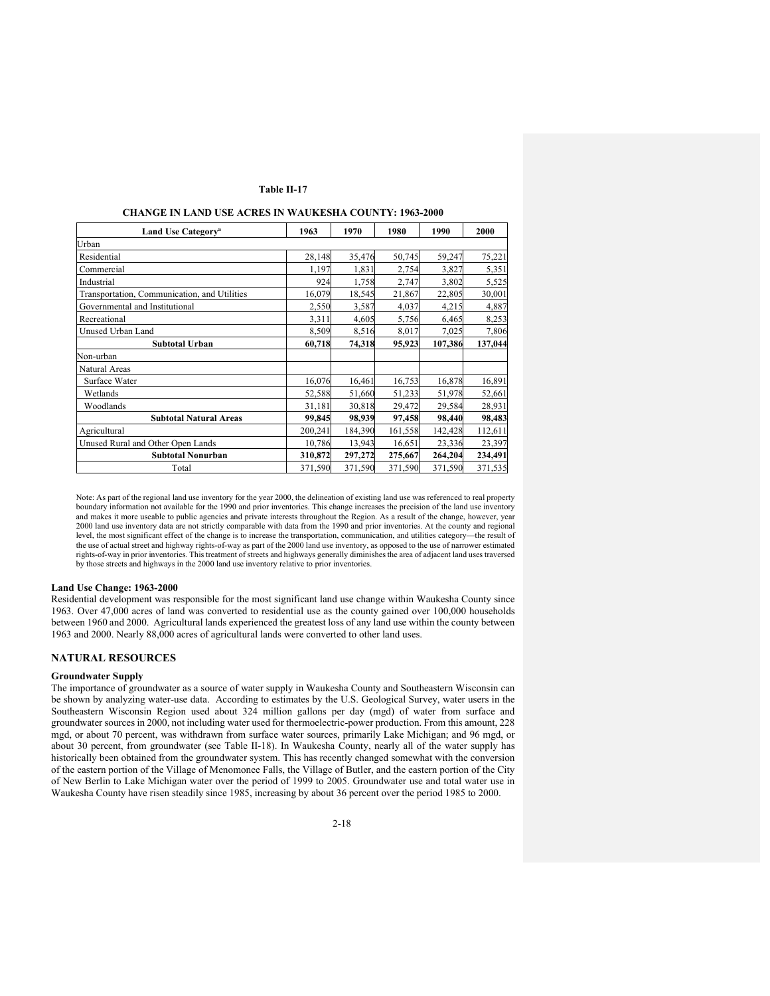#### **CHANGE IN LAND USE ACRES IN WAUKESHA COUNTY: 1963-2000**

| Land Use Category <sup>a</sup>               | 1963    | 1970    | 1980    | 1990    | 2000    |
|----------------------------------------------|---------|---------|---------|---------|---------|
| Urban                                        |         |         |         |         |         |
| Residential                                  | 28,148  | 35,476  | 50,745  | 59,247  | 75,221  |
| Commercial                                   | 1,197   | 1,831   | 2,754   | 3,827   | 5,351   |
| Industrial                                   | 924     | 1,758   | 2,747   | 3,802   | 5,525   |
| Transportation, Communication, and Utilities | 16,079  | 18,545  | 21,867  | 22,805  | 30,001  |
| Governmental and Institutional               | 2,550   | 3,587   | 4,037   | 4,215   | 4,887   |
| Recreational                                 | 3,311   | 4,605   | 5,756   | 6,465   | 8,253   |
| Unused Urban Land                            | 8,509   | 8,516   | 8,017   | 7,025   | 7,806   |
| Subtotal Urban                               | 60,718  | 74,318  | 95,923  | 107,386 | 137,044 |
| Non-urban                                    |         |         |         |         |         |
| Natural Areas                                |         |         |         |         |         |
| Surface Water                                | 16,076  | 16,461  | 16,753  | 16,878  | 16,891  |
| Wetlands                                     | 52,588  | 51,660  | 51,233  | 51,978  | 52,661  |
| Woodlands                                    | 31,181  | 30,818  | 29,472  | 29,584  | 28,931  |
| <b>Subtotal Natural Areas</b>                | 99,845  | 98,939  | 97,458  | 98,440  | 98,483  |
| Agricultural                                 | 200,241 | 184,390 | 161,558 | 142,428 | 112,611 |
| Unused Rural and Other Open Lands            | 10,786  | 13,943  | 16,651  | 23,336  | 23,397  |
| <b>Subtotal Nonurban</b>                     | 310,872 | 297,272 | 275,667 | 264,204 | 234,491 |
| Total                                        | 371,590 | 371,590 | 371,590 | 371,590 | 371,535 |

Note: As part of the regional land use inventory for the year 2000, the delineation of existing land use was referenced to real property boundary information not available for the 1990 and prior inventories. This change increases the precision of the land use inventory and makes it more useable to public agencies and private interests throughout the Region. As a result of the change, however, year 2000 land use inventory data are not strictly comparable with data from the 1990 and prior inventories. At the county and regional level, the most significant effect of the change is to increase the transportation, communication, and utilities category—the result of the use of actual street and highway rights-of-way as part of the 2000 land use inventory, as opposed to the use of narrower estimated rights-of-way in prior inventories. This treatment of streets and highways generally diminishes the area of adjacent land uses traversed by those streets and highways in the 2000 land use inventory relative to prior inventories.

#### **Land Use Change: 1963-2000**

Residential development was responsible for the most significant land use change within Waukesha County since 1963. Over 47,000 acres of land was converted to residential use as the county gained over 100,000 households between 1960 and 2000. Agricultural lands experienced the greatest loss of any land use within the county between 1963 and 2000. Nearly 88,000 acres of agricultural lands were converted to other land uses.

# **NATURAL RESOURCES**

#### **Groundwater Supply**

The importance of groundwater as a source of water supply in Waukesha County and Southeastern Wisconsin can be shown by analyzing water-use data. According to estimates by the U.S. Geological Survey, water users in the Southeastern Wisconsin Region used about 324 million gallons per day (mgd) of water from surface and groundwater sources in 2000, not including water used for thermoelectric-power production. From this amount, 228 mgd, or about 70 percent, was withdrawn from surface water sources, primarily Lake Michigan; and 96 mgd, or about 30 percent, from groundwater (see Table II-18). In Waukesha County, nearly all of the water supply has historically been obtained from the groundwater system. This has recently changed somewhat with the conversion of the eastern portion of the Village of Menomonee Falls, the Village of Butler, and the eastern portion of the City of New Berlin to Lake Michigan water over the period of 1999 to 2005. Groundwater use and total water use in Waukesha County have risen steadily since 1985, increasing by about 36 percent over the period 1985 to 2000.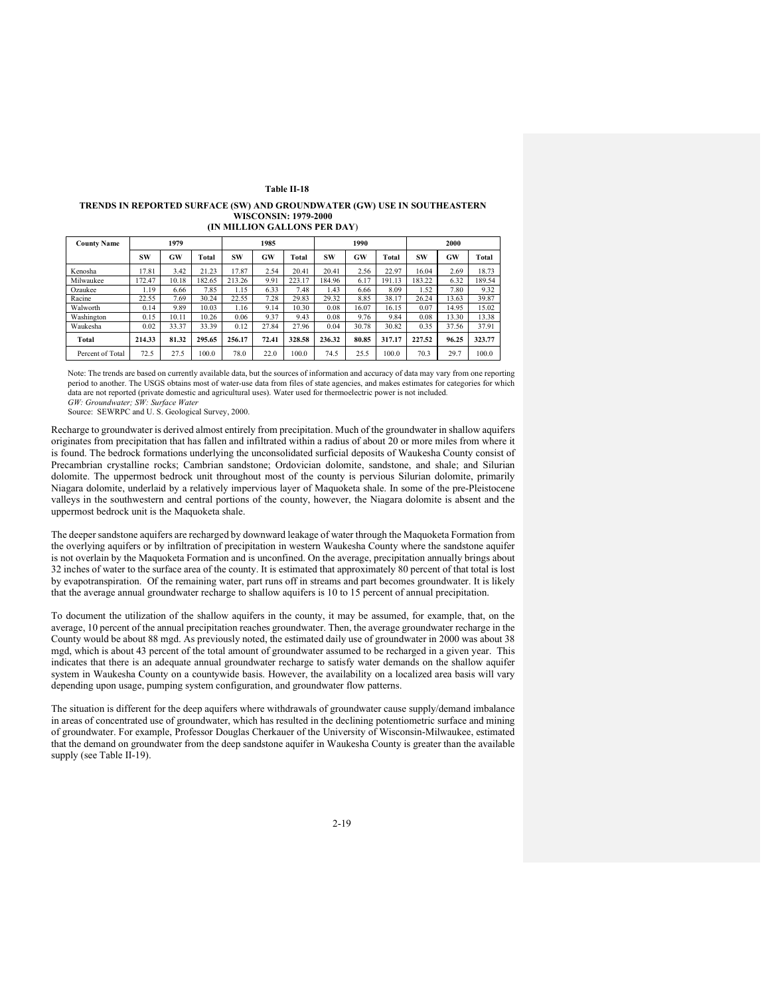### **TRENDS IN REPORTED SURFACE (SW) AND GROUNDWATER (GW) USE IN SOUTHEASTERN WISCONSIN: 1979-2000**

| (IN MILLION GALLONS PER DAY) |  |  |
|------------------------------|--|--|
|------------------------------|--|--|

| <b>County Name</b> | 1979   |       |        |        | 1985  |        |        | 1990  |        | 2000   |       |        |
|--------------------|--------|-------|--------|--------|-------|--------|--------|-------|--------|--------|-------|--------|
|                    | SW     | GW    | Total  | SW     | GW    | Total  | SW     | GW    | Total  | SW     | GW    | Total  |
| Kenosha            | 17.81  | 3.42  | 21.23  | 17.87  | 2.54  | 20.41  | 20.41  | 2.56  | 22.97  | 16.04  | 2.69  | 18.73  |
| Milwaukee          | 172.47 | 10.18 | 182.65 | 213.26 | 9.91  | 223.17 | 184.96 | 6.17  | 191.13 | 183.22 | 6.32  | 189.54 |
| Ozaukee            | 1.19   | 6.66  | 7.85   | 1.15   | 6.33  | 7.48   | 1.43   | 6.66  | 8.09   | 1.52   | 7.80  | 9.32   |
| Racine             | 22.55  | 7.69  | 30.24  | 22.55  | 7.28  | 29.83  | 29.32  | 8.85  | 38.17  | 26.24  | 13.63 | 39.87  |
| Walworth           | 0.14   | 9.89  | 10.03  | 1.16   | 9.14  | 10.30  | 0.08   | 16.07 | 16.15  | 0.07   | 14.95 | 15.02  |
| Washington         | 0.15   | 10.11 | 10.26  | 0.06   | 9.37  | 9.43   | 0.08   | 9.76  | 9.84   | 0.08   | 13.30 | 13.38  |
| Waukesha           | 0.02   | 33.37 | 33.39  | 0.12   | 27.84 | 27.96  | 0.04   | 30.78 | 30.82  | 0.35   | 37.56 | 37.91  |
| Total              | 214.33 | 81.32 | 295.65 | 256.17 | 72.41 | 328.58 | 236.32 | 80.85 | 317.17 | 227.52 | 96.25 | 323.77 |
| Percent of Total   | 72.5   | 27.5  | 100.0  | 78.0   | 22.0  | 100.0  | 74.5   | 25.5  | 100.0  | 70.3   | 29.7  | 100.0  |

Note: The trends are based on currently available data, but the sources of information and accuracy of data may vary from one reporting period to another. The USGS obtains most of water-use data from files of state agencies, and makes estimates for categories for which data are not reported (private domestic and agricultural uses). Water used for thermoelectric power is not included*. GW: Groundwater; SW: Surface Water*

Source: SEWRPC and U. S. Geological Survey, 2000.

Recharge to groundwater is derived almost entirely from precipitation. Much of the groundwater in shallow aquifers originates from precipitation that has fallen and infiltrated within a radius of about 20 or more miles from where it is found. The bedrock formations underlying the unconsolidated surficial deposits of Waukesha County consist of Precambrian crystalline rocks; Cambrian sandstone; Ordovician dolomite, sandstone, and shale; and Silurian dolomite. The uppermost bedrock unit throughout most of the county is pervious Silurian dolomite, primarily Niagara dolomite, underlaid by a relatively impervious layer of Maquoketa shale. In some of the pre-Pleistocene valleys in the southwestern and central portions of the county, however, the Niagara dolomite is absent and the uppermost bedrock unit is the Maquoketa shale.

The deeper sandstone aquifers are recharged by downward leakage of water through the Maquoketa Formation from the overlying aquifers or by infiltration of precipitation in western Waukesha County where the sandstone aquifer is not overlain by the Maquoketa Formation and is unconfined. On the average, precipitation annually brings about 32 inches of water to the surface area of the county. It is estimated that approximately 80 percent of that total is lost by evapotranspiration. Of the remaining water, part runs off in streams and part becomes groundwater. It is likely that the average annual groundwater recharge to shallow aquifers is 10 to 15 percent of annual precipitation.

To document the utilization of the shallow aquifers in the county, it may be assumed, for example, that, on the average, 10 percent of the annual precipitation reaches groundwater. Then, the average groundwater recharge in the County would be about 88 mgd. As previously noted, the estimated daily use of groundwater in 2000 was about 38 mgd, which is about 43 percent of the total amount of groundwater assumed to be recharged in a given year. This indicates that there is an adequate annual groundwater recharge to satisfy water demands on the shallow aquifer system in Waukesha County on a countywide basis. However, the availability on a localized area basis will vary depending upon usage, pumping system configuration, and groundwater flow patterns.

The situation is different for the deep aquifers where withdrawals of groundwater cause supply/demand imbalance in areas of concentrated use of groundwater, which has resulted in the declining potentiometric surface and mining of groundwater. For example, Professor Douglas Cherkauer of the University of Wisconsin-Milwaukee, estimated that the demand on groundwater from the deep sandstone aquifer in Waukesha County is greater than the available supply (see Table II-19).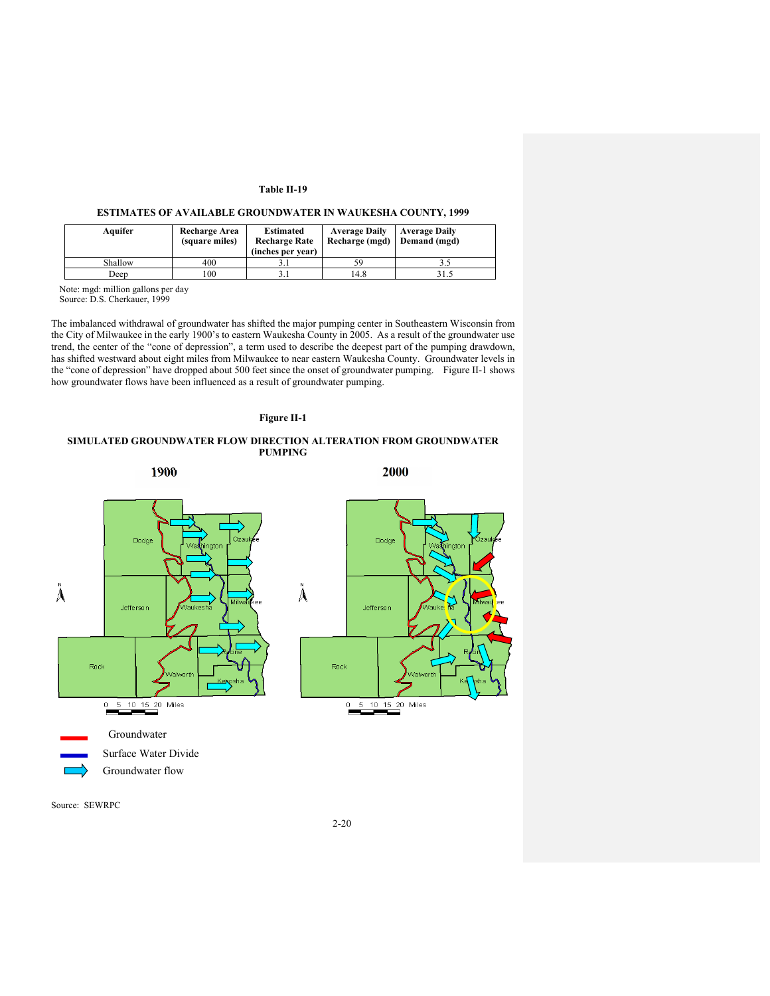## **ESTIMATES OF AVAILABLE GROUNDWATER IN WAUKESHA COUNTY, 1999**

| Aquifer | Recharge Area<br>(square miles) | Estimated<br><b>Recharge Rate</b><br>(inches per year) | <b>Average Daily</b><br>Recharge (mgd) Demand (mgd) | <b>Average Daily</b> |
|---------|---------------------------------|--------------------------------------------------------|-----------------------------------------------------|----------------------|
| Shallow | 400                             |                                                        | 59                                                  |                      |
| Deep    | 100                             |                                                        | 14.8                                                | 31.5                 |

Note: mgd: million gallons per day

Source: D.S. Cherkauer, 1999

The imbalanced withdrawal of groundwater has shifted the major pumping center in Southeastern Wisconsin from the City of Milwaukee in the early 1900's to eastern Waukesha County in 2005. As a result of the groundwater use trend, the center of the "cone of depression", a term used to describe the deepest part of the pumping drawdown, has shifted westward about eight miles from Milwaukee to near eastern Waukesha County. Groundwater levels in the "cone of depression" have dropped about 500 feet since the onset of groundwater pumping. Figure II-1 shows how groundwater flows have been influenced as a result of groundwater pumping.

### **Figure II-1**

### **SIMULATED GROUNDWATER FLOW DIRECTION ALTERATION FROM GROUNDWATER PUMPING**

**1900 2000** 





Source: SEWRPC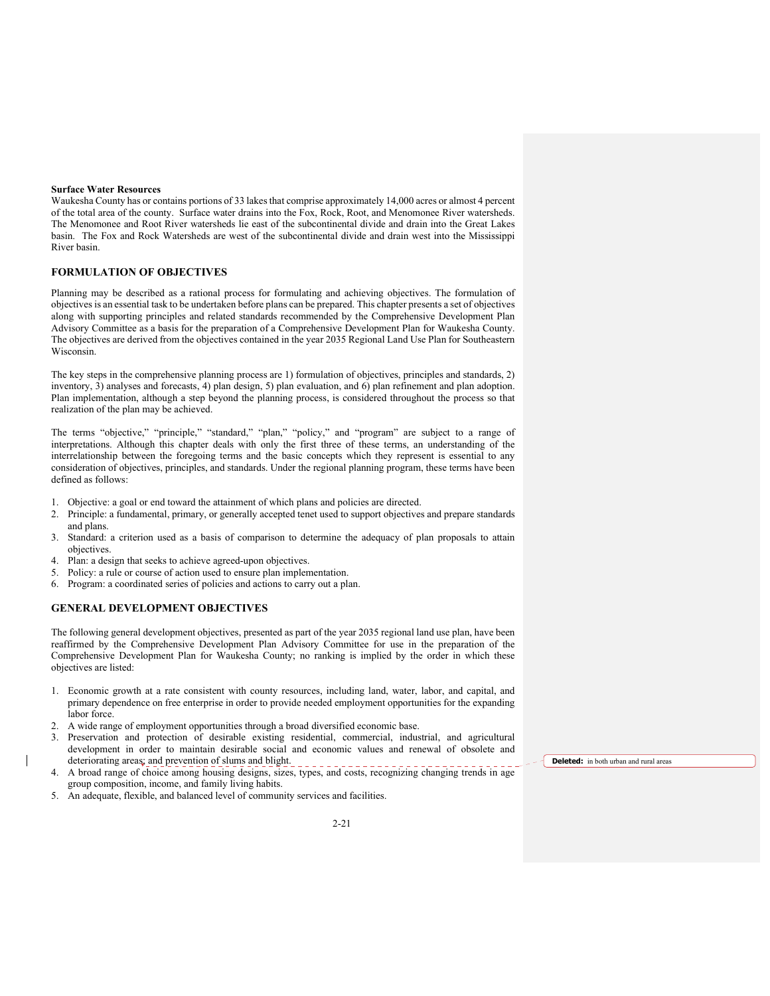#### **Surface Water Resources**

Waukesha County has or contains portions of 33 lakes that comprise approximately 14,000 acres or almost 4 percent of the total area of the county. Surface water drains into the Fox, Rock, Root, and Menomonee River watersheds. The Menomonee and Root River watersheds lie east of the subcontinental divide and drain into the Great Lakes basin. The Fox and Rock Watersheds are west of the subcontinental divide and drain west into the Mississippi River basin.

### **FORMULATION OF OBJECTIVES**

Planning may be described as a rational process for formulating and achieving objectives. The formulation of objectives is an essential task to be undertaken before plans can be prepared. This chapter presents a set of objectives along with supporting principles and related standards recommended by the Comprehensive Development Plan Advisory Committee as a basis for the preparation of a Comprehensive Development Plan for Waukesha County. The objectives are derived from the objectives contained in the year 2035 Regional Land Use Plan for Southeastern Wisconsin.

The key steps in the comprehensive planning process are 1) formulation of objectives, principles and standards, 2) inventory, 3) analyses and forecasts, 4) plan design, 5) plan evaluation, and 6) plan refinement and plan adoption. Plan implementation, although a step beyond the planning process, is considered throughout the process so that realization of the plan may be achieved.

The terms "objective," "principle," "standard," "plan," "policy," and "program" are subject to a range of interpretations. Although this chapter deals with only the first three of these terms, an understanding of the interrelationship between the foregoing terms and the basic concepts which they represent is essential to any consideration of objectives, principles, and standards. Under the regional planning program, these terms have been defined as follows:

- 1. Objective: a goal or end toward the attainment of which plans and policies are directed.
- 2. Principle: a fundamental, primary, or generally accepted tenet used to support objectives and prepare standards and plans.
- 3. Standard: a criterion used as a basis of comparison to determine the adequacy of plan proposals to attain objectives.
- 4. Plan: a design that seeks to achieve agreed-upon objectives.
- 5. Policy: a rule or course of action used to ensure plan implementation.
- 6. Program: a coordinated series of policies and actions to carry out a plan.

# **GENERAL DEVELOPMENT OBJECTIVES**

The following general development objectives, presented as part of the year 2035 regional land use plan, have been reaffirmed by the Comprehensive Development Plan Advisory Committee for use in the preparation of the Comprehensive Development Plan for Waukesha County; no ranking is implied by the order in which these objectives are listed:

- 1. Economic growth at a rate consistent with county resources, including land, water, labor, and capital, and primary dependence on free enterprise in order to provide needed employment opportunities for the expanding labor force.
- 2. A wide range of employment opportunities through a broad diversified economic base.
- 3. Preservation and protection of desirable existing residential, commercial, industrial, and agricultural development in order to maintain desirable social and economic values and renewal of obsolete and deteriorating areas; and prevention of slums and blight.
- 4. A broad range of choice among housing designs, sizes, types, and costs, recognizing changing trends in age group composition, income, and family living habits.
- An adequate, flexible, and balanced level of community services and facilities.

**Deleted:** in both urban and rural areas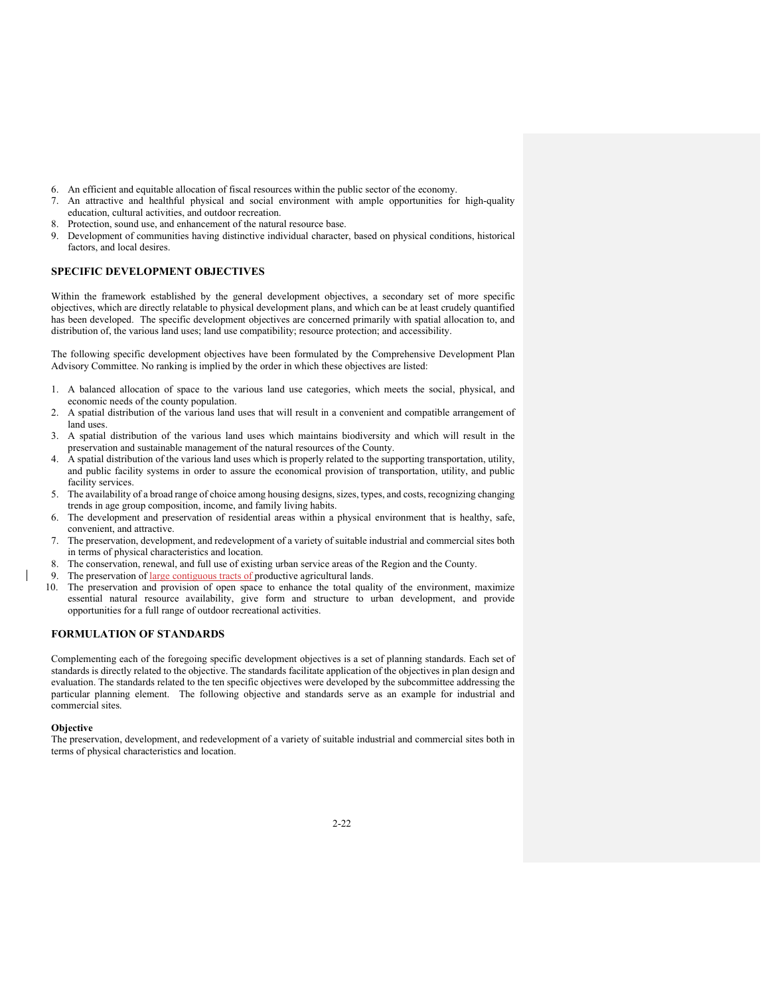- 6. An efficient and equitable allocation of fiscal resources within the public sector of the economy.
- 7. An attractive and healthful physical and social environment with ample opportunities for high-quality education, cultural activities, and outdoor recreation.
- 8. Protection, sound use, and enhancement of the natural resource base.
- 9. Development of communities having distinctive individual character, based on physical conditions, historical factors, and local desires.

#### **SPECIFIC DEVELOPMENT OBJECTIVES**

Within the framework established by the general development objectives, a secondary set of more specific objectives, which are directly relatable to physical development plans, and which can be at least crudely quantified has been developed. The specific development objectives are concerned primarily with spatial allocation to, and distribution of, the various land uses; land use compatibility; resource protection; and accessibility.

The following specific development objectives have been formulated by the Comprehensive Development Plan Advisory Committee. No ranking is implied by the order in which these objectives are listed:

- 1. A balanced allocation of space to the various land use categories, which meets the social, physical, and economic needs of the county population.
- 2. A spatial distribution of the various land uses that will result in a convenient and compatible arrangement of land uses.
- 3. A spatial distribution of the various land uses which maintains biodiversity and which will result in the preservation and sustainable management of the natural resources of the County.
- 4. A spatial distribution of the various land uses which is properly related to the supporting transportation, utility, and public facility systems in order to assure the economical provision of transportation, utility, and public facility services.
- 5. The availability of a broad range of choice among housing designs, sizes, types, and costs, recognizing changing trends in age group composition, income, and family living habits.
- 6. The development and preservation of residential areas within a physical environment that is healthy, safe, convenient, and attractive.
- 7. The preservation, development, and redevelopment of a variety of suitable industrial and commercial sites both in terms of physical characteristics and location.
- 8. The conservation, renewal, and full use of existing urban service areas of the Region and the County.
- 9. The preservation of large contiguous tracts of productive agricultural lands.
- 10. The preservation and provision of open space to enhance the total quality of the environment, maximize essential natural resource availability, give form and structure to urban development, and provide opportunities for a full range of outdoor recreational activities.

### **FORMULATION OF STANDARDS**

Complementing each of the foregoing specific development objectives is a set of planning standards. Each set of standards is directly related to the objective. The standards facilitate application of the objectives in plan design and evaluation. The standards related to the ten specific objectives were developed by the subcommittee addressing the particular planning element. The following objective and standards serve as an example for industrial and commercial sites.

#### **Objective**

The preservation, development, and redevelopment of a variety of suitable industrial and commercial sites both in terms of physical characteristics and location.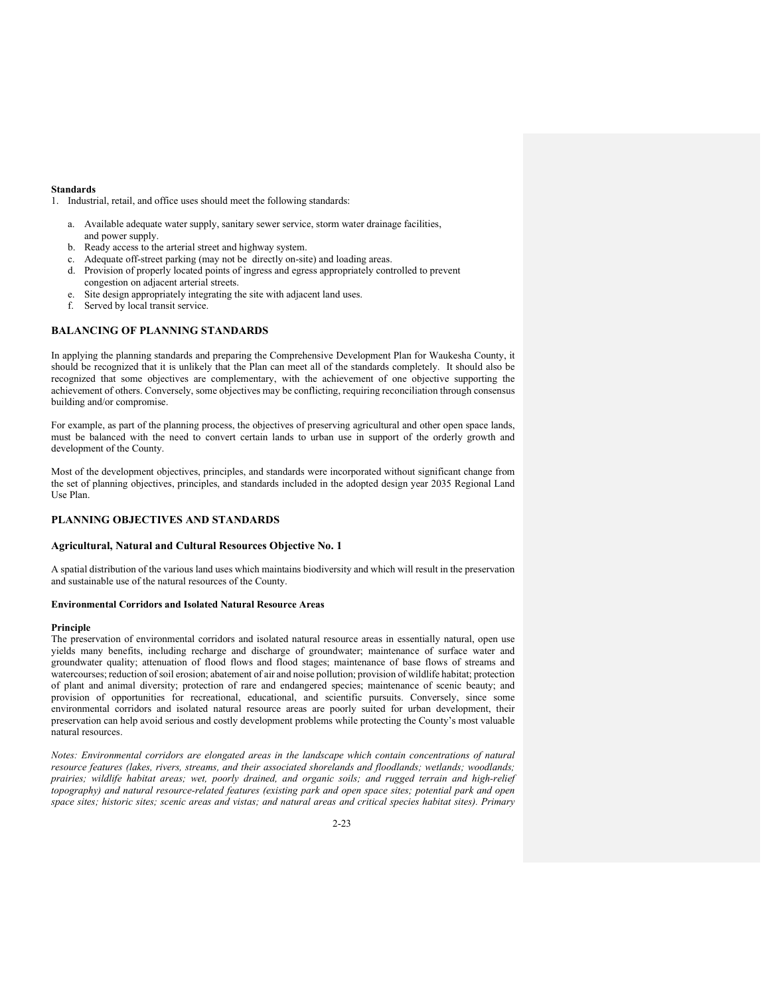### **Standards**

1. Industrial, retail, and office uses should meet the following standards:

- a. Available adequate water supply, sanitary sewer service, storm water drainage facilities, and power supply.
- b. Ready access to the arterial street and highway system.
- c. Adequate off-street parking (may not be directly on-site) and loading areas.
- d. Provision of properly located points of ingress and egress appropriately controlled to prevent congestion on adjacent arterial streets.
- e. Site design appropriately integrating the site with adjacent land uses.
- f. Served by local transit service.

# **BALANCING OF PLANNING STANDARDS**

In applying the planning standards and preparing the Comprehensive Development Plan for Waukesha County, it should be recognized that it is unlikely that the Plan can meet all of the standards completely. It should also be recognized that some objectives are complementary, with the achievement of one objective supporting the achievement of others. Conversely, some objectives may be conflicting, requiring reconciliation through consensus building and/or compromise.

For example, as part of the planning process, the objectives of preserving agricultural and other open space lands, must be balanced with the need to convert certain lands to urban use in support of the orderly growth and development of the County.

Most of the development objectives, principles, and standards were incorporated without significant change from the set of planning objectives, principles, and standards included in the adopted design year 2035 Regional Land Use Plan.

# **PLANNING OBJECTIVES AND STANDARDS**

### **Agricultural, Natural and Cultural Resources Objective No. 1**

A spatial distribution of the various land uses which maintains biodiversity and which will result in the preservation and sustainable use of the natural resources of the County.

#### **Environmental Corridors and Isolated Natural Resource Areas**

### **Principle**

The preservation of environmental corridors and isolated natural resource areas in essentially natural, open use yields many benefits, including recharge and discharge of groundwater; maintenance of surface water and groundwater quality; attenuation of flood flows and flood stages; maintenance of base flows of streams and watercourses; reduction of soil erosion; abatement of air and noise pollution; provision of wildlife habitat; protection of plant and animal diversity; protection of rare and endangered species; maintenance of scenic beauty; and provision of opportunities for recreational, educational, and scientific pursuits. Conversely, since some environmental corridors and isolated natural resource areas are poorly suited for urban development, their preservation can help avoid serious and costly development problems while protecting the County's most valuable natural resources.

*Notes: Environmental corridors are elongated areas in the landscape which contain concentrations of natural resource features (lakes, rivers, streams, and their associated shorelands and floodlands; wetlands; woodlands; prairies; wildlife habitat areas; wet, poorly drained, and organic soils; and rugged terrain and high-relief topography*) and natural resource-related features (existing park and open space sites; potential park and open *space sites; historic sites; scenic areas and vistas; and natural areas and critical species habitat sites). Primary*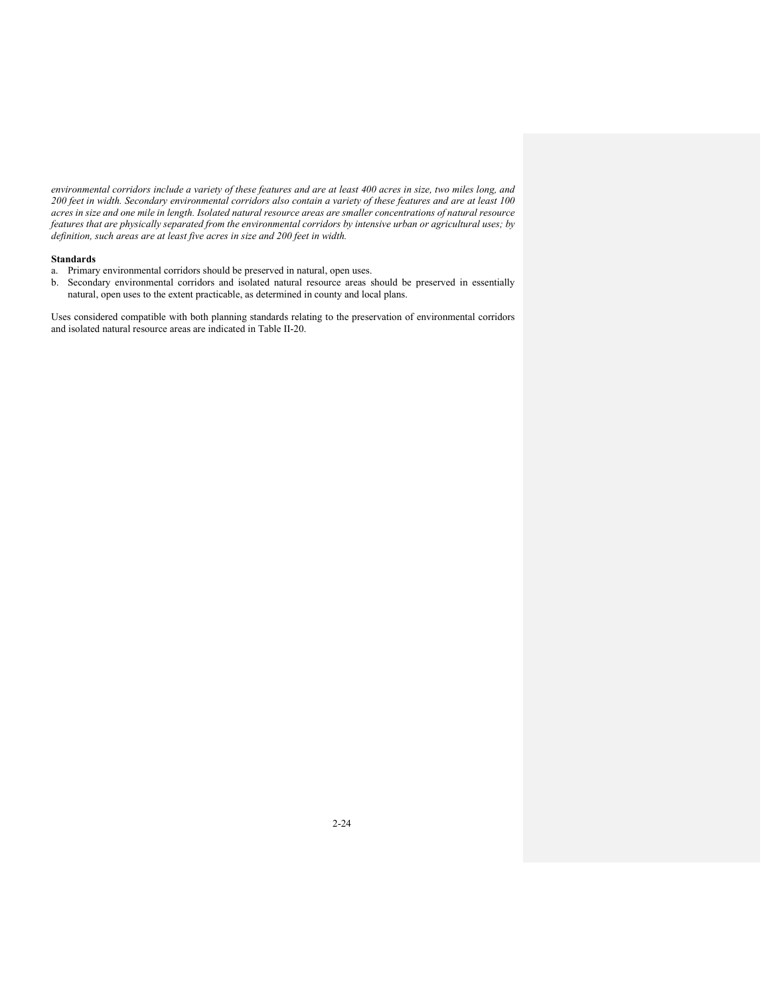*environmental corridors include a variety of these features and are at least 400 acres in size, two miles long, and 200 feet in width. Secondary environmental corridors also contain a variety of these features and are at least 100 acres in size and one mile in length. Isolated natural resource areas are smaller concentrations of natural resource features that are physically separated from the environmental corridors by intensive urban or agricultural uses; by definition, such areas are at least five acres in size and 200 feet in width.*

### **Standards**

- a. Primary environmental corridors should be preserved in natural, open uses.
- b. Secondary environmental corridors and isolated natural resource areas should be preserved in essentially natural, open uses to the extent practicable, as determined in county and local plans.

Uses considered compatible with both planning standards relating to the preservation of environmental corridors and isolated natural resource areas are indicated in Table II-20.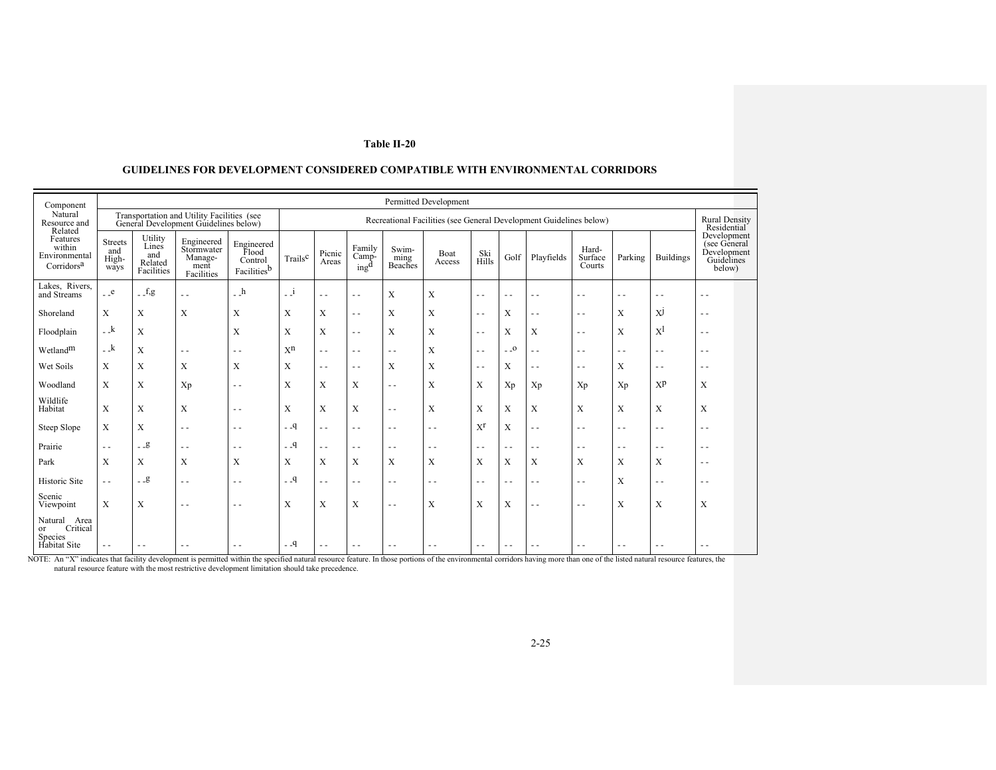| Component                                                           |                                        |                                                  |                                                                                     |                                               |                     |                                                                    |                                     |                          | Permitted Development |                                          |               |               |                            |               |                                     |                                                                    |
|---------------------------------------------------------------------|----------------------------------------|--------------------------------------------------|-------------------------------------------------------------------------------------|-----------------------------------------------|---------------------|--------------------------------------------------------------------|-------------------------------------|--------------------------|-----------------------|------------------------------------------|---------------|---------------|----------------------------|---------------|-------------------------------------|--------------------------------------------------------------------|
| Natural<br>Resource and<br>Related                                  |                                        |                                                  | Transportation and Utility Facilities (see<br>General Development Guidelines below) |                                               |                     | Recreational Facilities (see General Development Guidelines below) |                                     |                          |                       |                                          |               |               |                            |               | <b>Rural Density</b><br>Residential |                                                                    |
| Features<br>within<br>Environmental<br>Corridors <sup>a</sup>       | <b>Streets</b><br>and<br>High-<br>ways | Utility<br>Lines<br>and<br>Related<br>Facilities | Engineered<br>Stormwater<br>Manage-<br>ment<br>Facilities                           | Engineered<br>Flood<br>Control<br>Facilitiesb | Trails <sup>c</sup> | Picnic<br>Areas                                                    | Family<br>Camp-<br>ing <sup>d</sup> | Swim-<br>ming<br>Beaches | <b>Boat</b><br>Access | Ski<br>Hills                             | Golf          | Playfields    | Hard-<br>Surface<br>Courts | Parking       | <b>Buildings</b>                    | Development<br>(see General<br>Development<br>Guidelines<br>below) |
| Lakes, Rivers,<br>and Streams                                       | $_{-}$ $_{\rm e}$                      | $-f.g.$                                          | $\sim$ $\sim$                                                                       | $- h$                                         | $\Box$ i            | $\sim$ $\sim$                                                      | $\sim$ $\sim$                       | X                        | $\mathbf X$           | $\sim$ $\sim$                            | $\sim$ $\sim$ | $\sim$ $\sim$ | $\sim$ $\sim$              | $\sim$ $\sim$ | $\sim$ $\sim$                       | $\sim$ $\sim$                                                      |
| Shoreland                                                           | $\boldsymbol{\mathrm{X}}$              | X                                                | X                                                                                   | X                                             | X                   | X                                                                  | $\sim$ $\sim$                       | X                        | $\mathbf X$           | $\sim$ $\sim$                            | X             | $\sim$ $\sim$ | $\sim$ $\sim$              | X             | X <sup>J</sup>                      | $\sim$ $\sim$                                                      |
| Floodplain                                                          | $-k$                                   | $\mathbf X$                                      |                                                                                     | X                                             | X                   | $\mathbf X$                                                        | $\sim$ $\sim$                       | X                        | $\mathbf X$           | $\sim$ $\sim$                            | X             | $\mathbf X$   | $\sim$ $\sim$              | X             | $X^{\rm l}$                         | $\sim$ $\sim$                                                      |
| Wetland <sup>m</sup>                                                | $-k$                                   | X                                                | $\sim$ $\sim$                                                                       | $\sim$ $\sim$                                 | X <sup>n</sup>      | u u                                                                | $\sim$ $\sim$                       | $\sim$ $\sim$            | $\mathbf X$           | $\sim$ $\sim$                            | $\sim$ 0      | $\sim$ $\sim$ | $\sim$ $\sim$              | $\sim$ $\sim$ | $\sim$ $\sim$                       | $\sim$ $\sim$                                                      |
| Wet Soils                                                           | X                                      | X                                                | X                                                                                   | X                                             | X                   | $\overline{\phantom{a}}$                                           | $\sim$ $\sim$                       | X                        | X                     | $\frac{1}{2} \left( \frac{1}{2} \right)$ | X             | $\sim$ $\sim$ | $\sim$ $\sim$              | X             | $\sim$ $\sim$                       | $\sim$ $\sim$                                                      |
| Woodland                                                            | X                                      | X                                                | Xp                                                                                  | $\sim$ $\sim$                                 | X                   | X                                                                  | X                                   | $\sim$ $\sim$            | X                     | X                                        | Xp            | Xp            | Xp                         | Xp            | $X^p$                               | X                                                                  |
| Wildlife<br>Habitat                                                 | X                                      | $\mathbf{X}$                                     | $\mathbf X$                                                                         | $\sim$ $\sim$                                 | $\mathbf X$         | $\mathbf X$                                                        | $\mathbf X$                         | $\sim$ $\sim$            | $\mathbf X$           | X                                        | $\mathbf X$   | $\mathbf X$   | $\mathbf X$                | X             | $\mathbf{X}$                        | X                                                                  |
| Steep Slope                                                         | $\mathbf X$                            | $\mathbf X$                                      | $\sim$ $\sim$                                                                       | $\sim$ $\sim$                                 | $-9$                | $\sim$ $\sim$                                                      | $\sim$ $\sim$                       | $\sim$ $\sim$            | $\sim$ $\sim$         | $X^{r}$                                  | $\mathbf X$   | $\sim$ $\sim$ | $\sim$ $\sim$              | $\sim$ $\sim$ | $\sim$ $\sim$                       | $ -$                                                               |
| Prairie                                                             | $\sim$ $\sim$                          | $-9$                                             | $\sim$ $\sim$                                                                       | $\sim$ $\sim$                                 | $-9$                | $\sim$ $\sim$                                                      | $\sim$ $\sim$                       | $\sim$ $\sim$            | $\sim$ $\sim$         | $\sim$ $\sim$                            | $\sim$ $\sim$ | $\sim$ $\sim$ | $\sim$ $\sim$              | $\sim$ $\sim$ | $\sim$ $\sim$                       | $\sim$ $\sim$                                                      |
| Park                                                                | X                                      | X                                                | X                                                                                   | X                                             | X                   | X                                                                  | X                                   | X                        | X                     | X                                        | X             | $\mathbf X$   | X                          | X             | $\boldsymbol{\mathrm{X}}$           | $\sim$ $\sim$                                                      |
| Historic Site                                                       | $\sim$ $\sim$                          | $-9$                                             | $\sim$ $\sim$                                                                       | $\sim$ $\sim$                                 | $-9$                | $\overline{a}$                                                     | $\sim$ $\sim$                       | $\sim$ $\sim$            | $\sim$ $\sim$         | $\sim$ $\sim$                            | $\sim$ $\sim$ | $\sim$ $\sim$ | $\sim$ $\sim$              | X             | $\sim$ $\sim$                       | $\sim$ $\sim$                                                      |
| Scenic<br>Viewpoint                                                 | X                                      | X                                                | $\sim$ $\sim$                                                                       | $\sim$ $\sim$                                 | X                   | $\mathbf X$                                                        | X                                   | $\sim$ $\sim$            | X                     | X                                        | X             | $\sim$ $\sim$ | $\sim$ $\sim$              | X             | X                                   | X                                                                  |
| Natural<br>Area<br>Critical<br>or<br>Species<br><b>Habitat Site</b> | $\sim$ $\sim$                          | $\sim$ $\sim$                                    | $\sim$ $\sim$                                                                       | $\sim$ $\sim$                                 | $-9$                | $\sim$ $\sim$                                                      | $\sim$ $\sim$                       |                          | $\sim$ $\sim$         | $ -$                                     | $ -$          | $\sim$ $\sim$ | $\sim$ $\sim$              | $\sim$ $\sim$ | $\sim$ $\sim$                       | $\sim$ $\sim$                                                      |

# **GUIDELINES FOR DEVELOPMENT CONSIDERED COMPATIBLE WITH ENVIRONMENTAL CORRIDORS**

NOTE: An "X" indicates that facility development is permitted within the specified natural resource feature. In those portions of the environmental corridors having more than one of the listed natural resource features, th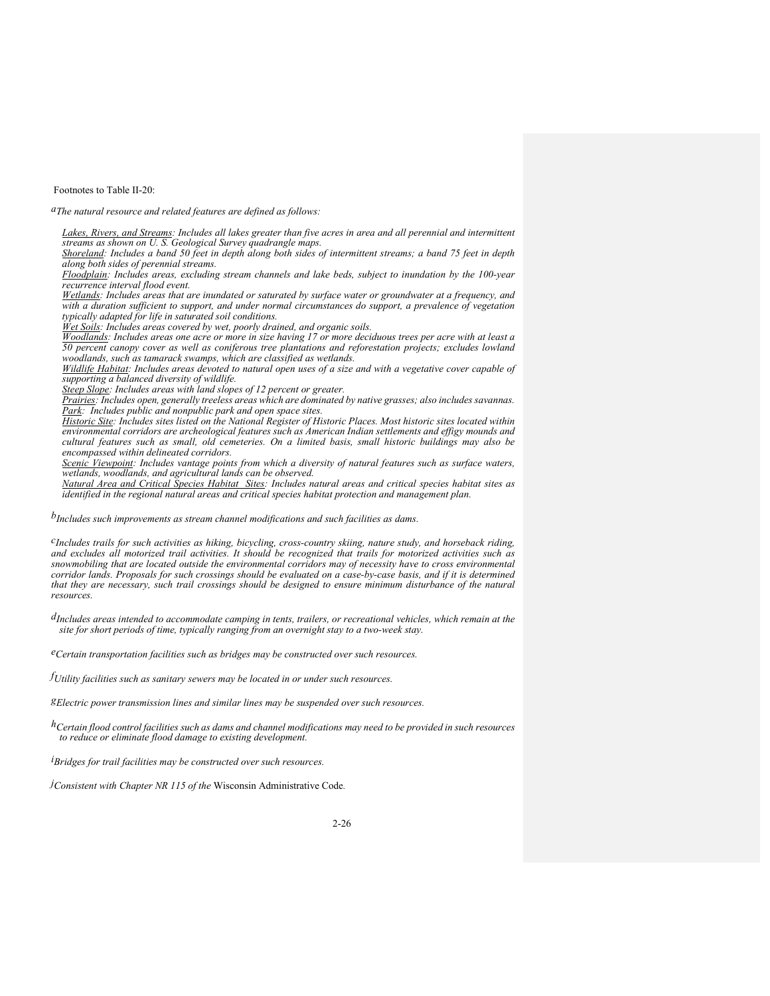Footnotes to Table II-20:

*aThe natural resource and related features are defined as follows:* 

Lakes, Rivers, and Streams: Includes all lakes greater than five acres in area and all perennial and intermittent *streams as shown on U. S. Geological Survey quadrangle maps.* 

*Shoreland: Includes a band 50 feet in depth along both sides of intermittent streams; a band 75 feet in depth along both sides of perennial streams.* 

*Floodplain: Includes areas, excluding stream channels and lake beds, subject to inundation by the 100-year recurrence interval flood event.* 

*Wetlands: Includes areas that are inundated or saturated by surface water or groundwater at a frequency, and with a duration sufficient to support, and under normal circumstances do support, a prevalence of vegetation typically adapted for life in saturated soil conditions.* 

*Wet Soils: Includes areas covered by wet, poorly drained, and organic soils.* 

*Woodlands: Includes areas one acre or more in size having 17 or more deciduous trees per acre with at least a 50 percent canopy cover as well as coniferous tree plantations and reforestation projects; excludes lowland woodlands, such as tamarack swamps, which are classified as wetlands.* 

*Wildlife Habitat: Includes areas devoted to natural open uses of a size and with a vegetative cover capable of supporting a balanced diversity of wildlife.* 

*Steep Slope: Includes areas with land slopes of 12 percent or greater.* 

*Prairies: Includes open, generally treeless areas which are dominated by native grasses; also includes savannas. Park: Includes public and nonpublic park and open space sites.* 

*Historic Site: Includes sites listed on the National Register of Historic Places. Most historic sites located within environmental corridors are archeological features such as American Indian settlements and effigy mounds and cultural features such as small, old cemeteries. On a limited basis, small historic buildings may also be encompassed within delineated corridors.* 

*Scenic Viewpoint: Includes vantage points from which a diversity of natural features such as surface waters, wetlands, woodlands, and agricultural lands can be observed.* 

*Natural Area and Critical Species Habitat Sites: Includes natural areas and critical species habitat sites as identified in the regional natural areas and critical species habitat protection and management plan.* 

*bIncludes such improvements as stream channel modifications and such facilities as dams.* 

*cIncludes trails for such activities as hiking, bicycling, cross-country skiing, nature study, and horseback riding, and excludes all motorized trail activities. It should be recognized that trails for motorized activities such as*  snowmobiling that are located outside the environmental corridors may of necessity have to cross environmental *corridor lands. Proposals for such crossings should be evaluated on a case-by-case basis, and if it is determined that they are necessary, such trail crossings should be designed to ensure minimum disturbance of the natural resources.* 

*dIncludes areas intended to accommodate camping in tents, trailers, or recreational vehicles, which remain at the site for short periods of time, typically ranging from an overnight stay to a two-week stay.* 

*eCertain transportation facilities such as bridges may be constructed over such resources.* 

*fUtility facilities such as sanitary sewers may be located in or under such resources.* 

*gElectric power transmission lines and similar lines may be suspended over such resources.* 

*hCertain flood control facilities such as dams and channel modifications may need to be provided in such resources to reduce or eliminate flood damage to existing development.* 

*iBridges for trail facilities may be constructed over such resources.* 

*jConsistent with Chapter NR 115 of the* Wisconsin Administrative Code*.*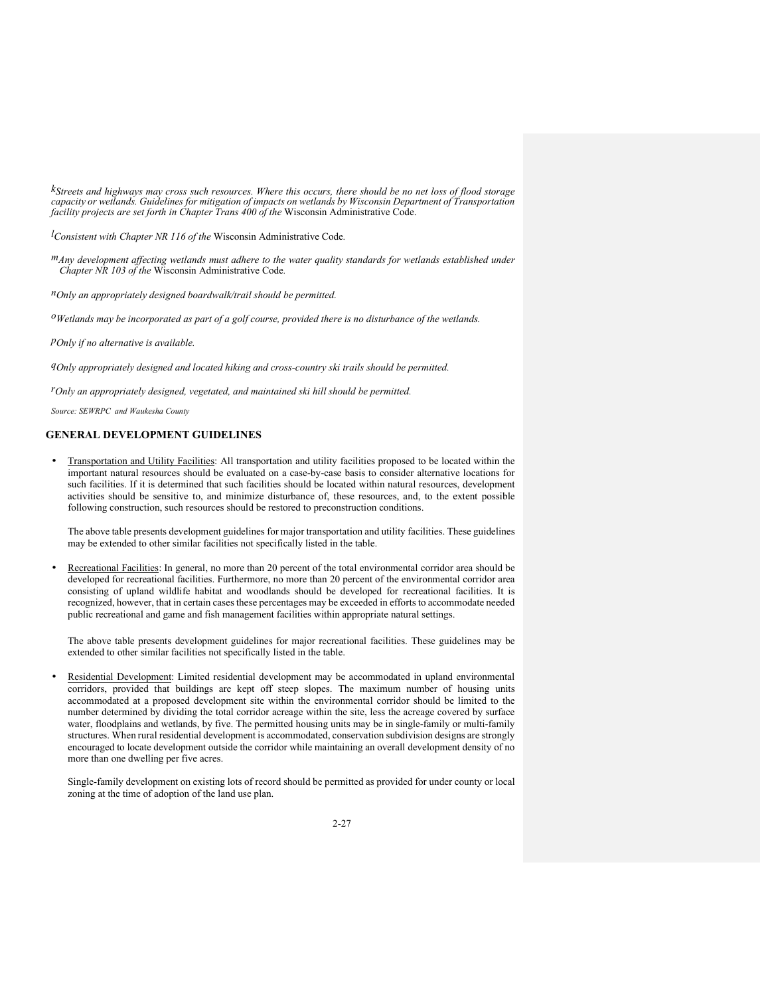*kStreets and highways may cross such resources. Where this occurs, there should be no net loss of flood storage capacity or wetlands. Guidelines for mitigation of impacts on wetlands by Wisconsin Department of Transportation facility projects are set forth in Chapter Trans 400 of the* Wisconsin Administrative Code.

*lConsistent with Chapter NR 116 of the* Wisconsin Administrative Code*.* 

*mAny development affecting wetlands must adhere to the water quality standards for wetlands established under Chapter NR 103 of the* Wisconsin Administrative Code*.* 

*nOnly an appropriately designed boardwalk/trail should be permitted.* 

*oWetlands may be incorporated as part of a golf course, provided there is no disturbance of the wetlands.* 

*pOnly if no alternative is available.* 

*qOnly appropriately designed and located hiking and cross-country ski trails should be permitted.* 

*rOnly an appropriately designed, vegetated, and maintained ski hill should be permitted.* 

*Source: SEWRPC and Waukesha County* 

# **GENERAL DEVELOPMENT GUIDELINES**

• Transportation and Utility Facilities: All transportation and utility facilities proposed to be located within the important natural resources should be evaluated on a case-by-case basis to consider alternative locations for such facilities. If it is determined that such facilities should be located within natural resources, development activities should be sensitive to, and minimize disturbance of, these resources, and, to the extent possible following construction, such resources should be restored to preconstruction conditions.

 The above table presents development guidelines for major transportation and utility facilities. These guidelines may be extended to other similar facilities not specifically listed in the table.

• Recreational Facilities: In general, no more than 20 percent of the total environmental corridor area should be developed for recreational facilities. Furthermore, no more than 20 percent of the environmental corridor area consisting of upland wildlife habitat and woodlands should be developed for recreational facilities. It is recognized, however, that in certain cases these percentages may be exceeded in efforts to accommodate needed public recreational and game and fish management facilities within appropriate natural settings.

 The above table presents development guidelines for major recreational facilities. These guidelines may be extended to other similar facilities not specifically listed in the table.

• Residential Development: Limited residential development may be accommodated in upland environmental corridors, provided that buildings are kept off steep slopes. The maximum number of housing units accommodated at a proposed development site within the environmental corridor should be limited to the number determined by dividing the total corridor acreage within the site, less the acreage covered by surface water, floodplains and wetlands, by five. The permitted housing units may be in single-family or multi-family structures. When rural residential development is accommodated, conservation subdivision designs are strongly encouraged to locate development outside the corridor while maintaining an overall development density of no more than one dwelling per five acres.

Single-family development on existing lots of record should be permitted as provided for under county or local zoning at the time of adoption of the land use plan.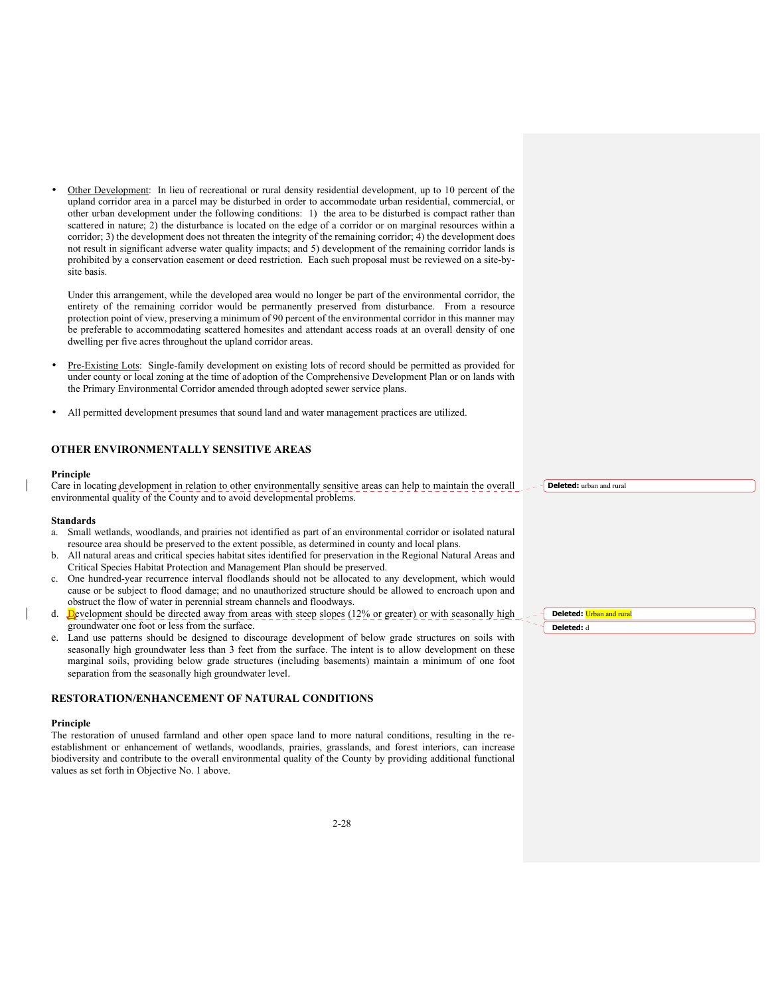• Other Development: In lieu of recreational or rural density residential development, up to 10 percent of the upland corridor area in a parcel may be disturbed in order to accommodate urban residential, commercial, or other urban development under the following conditions: 1) the area to be disturbed is compact rather than scattered in nature; 2) the disturbance is located on the edge of a corridor or on marginal resources within a corridor; 3) the development does not threaten the integrity of the remaining corridor; 4) the development does not result in significant adverse water quality impacts; and 5) development of the remaining corridor lands is prohibited by a conservation easement or deed restriction. Each such proposal must be reviewed on a site-bysite basis.

 Under this arrangement, while the developed area would no longer be part of the environmental corridor, the entirety of the remaining corridor would be permanently preserved from disturbance. From a resource protection point of view, preserving a minimum of 90 percent of the environmental corridor in this manner may be preferable to accommodating scattered homesites and attendant access roads at an overall density of one dwelling per five acres throughout the upland corridor areas.

- Pre-Existing Lots: Single-family development on existing lots of record should be permitted as provided for under county or local zoning at the time of adoption of the Comprehensive Development Plan or on lands with the Primary Environmental Corridor amended through adopted sewer service plans.
- All permitted development presumes that sound land and water management practices are utilized.

### **OTHER ENVIRONMENTALLY SENSITIVE AREAS**

#### **Principle**

Care in locating development in relation to other environmentally sensitive areas can help to maintain the overall environmental quality of the County and to avoid developmental problems.

#### **Standards**

- a. Small wetlands, woodlands, and prairies not identified as part of an environmental corridor or isolated natural resource area should be preserved to the extent possible, as determined in county and local plans.
- b. All natural areas and critical species habitat sites identified for preservation in the Regional Natural Areas and Critical Species Habitat Protection and Management Plan should be preserved.
- c. One hundred-year recurrence interval floodlands should not be allocated to any development, which would cause or be subject to flood damage; and no unauthorized structure should be allowed to encroach upon and obstruct the flow of water in perennial stream channels and floodways.
- d. Development should be directed away from areas with steep slopes (12% or greater) or with seasonally high groundwater one foot or less from the surface.
- e. Land use patterns should be designed to discourage development of below grade structures on soils with seasonally high groundwater less than 3 feet from the surface. The intent is to allow development on these marginal soils, providing below grade structures (including basements) maintain a minimum of one foot separation from the seasonally high groundwater level.

### **RESTORATION/ENHANCEMENT OF NATURAL CONDITIONS**

#### **Principle**

The restoration of unused farmland and other open space land to more natural conditions, resulting in the reestablishment or enhancement of wetlands, woodlands, prairies, grasslands, and forest interiors, can increase biodiversity and contribute to the overall environmental quality of the County by providing additional functional values as set forth in Objective No. 1 above.

**Deleted:** urban and rural

**Deleted:** Urban and rural

**Deleted:** d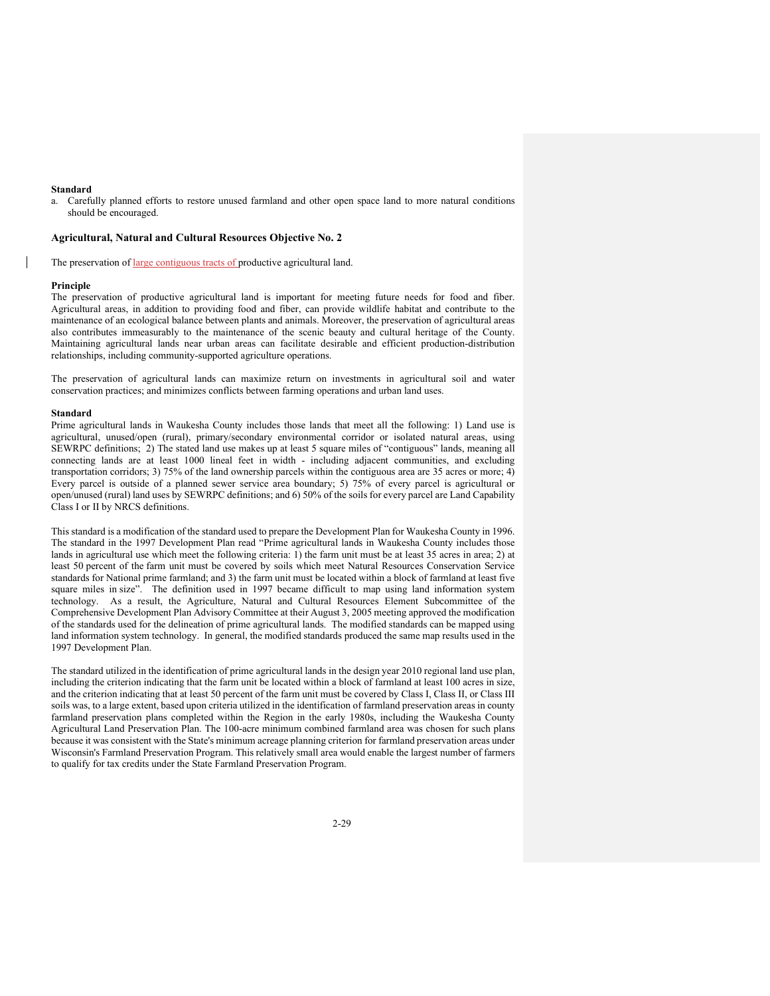#### **Standard**

a. Carefully planned efforts to restore unused farmland and other open space land to more natural conditions should be encouraged.

#### **Agricultural, Natural and Cultural Resources Objective No. 2**

The preservation of large contiguous tracts of productive agricultural land.

#### **Principle**

The preservation of productive agricultural land is important for meeting future needs for food and fiber. Agricultural areas, in addition to providing food and fiber, can provide wildlife habitat and contribute to the maintenance of an ecological balance between plants and animals. Moreover, the preservation of agricultural areas also contributes immeasurably to the maintenance of the scenic beauty and cultural heritage of the County. Maintaining agricultural lands near urban areas can facilitate desirable and efficient production-distribution relationships, including community-supported agriculture operations.

The preservation of agricultural lands can maximize return on investments in agricultural soil and water conservation practices; and minimizes conflicts between farming operations and urban land uses.

#### **Standard**

Prime agricultural lands in Waukesha County includes those lands that meet all the following: 1) Land use is agricultural, unused/open (rural), primary/secondary environmental corridor or isolated natural areas, using SEWRPC definitions; 2) The stated land use makes up at least 5 square miles of "contiguous" lands, meaning all connecting lands are at least 1000 lineal feet in width - including adjacent communities, and excluding transportation corridors; 3) 75% of the land ownership parcels within the contiguous area are 35 acres or more; 4) Every parcel is outside of a planned sewer service area boundary; 5) 75% of every parcel is agricultural or open/unused (rural) land uses by SEWRPC definitions; and 6) 50% of the soils for every parcel are Land Capability Class I or II by NRCS definitions.

This standard is a modification of the standard used to prepare the Development Plan for Waukesha County in 1996. The standard in the 1997 Development Plan read "Prime agricultural lands in Waukesha County includes those lands in agricultural use which meet the following criteria: 1) the farm unit must be at least 35 acres in area; 2) at least 50 percent of the farm unit must be covered by soils which meet Natural Resources Conservation Service standards for National prime farmland; and 3) the farm unit must be located within a block of farmland at least five square miles in size". The definition used in 1997 became difficult to map using land information system technology. As a result, the Agriculture, Natural and Cultural Resources Element Subcommittee of the Comprehensive Development Plan Advisory Committee at their August 3, 2005 meeting approved the modification of the standards used for the delineation of prime agricultural lands. The modified standards can be mapped using land information system technology. In general, the modified standards produced the same map results used in the 1997 Development Plan.

The standard utilized in the identification of prime agricultural lands in the design year 2010 regional land use plan, including the criterion indicating that the farm unit be located within a block of farmland at least 100 acres in size, and the criterion indicating that at least 50 percent of the farm unit must be covered by Class I, Class II, or Class III soils was, to a large extent, based upon criteria utilized in the identification of farmland preservation areas in county farmland preservation plans completed within the Region in the early 1980s, including the Waukesha County Agricultural Land Preservation Plan. The 100-acre minimum combined farmland area was chosen for such plans because it was consistent with the State's minimum acreage planning criterion for farmland preservation areas under Wisconsin's Farmland Preservation Program. This relatively small area would enable the largest number of farmers to qualify for tax credits under the State Farmland Preservation Program.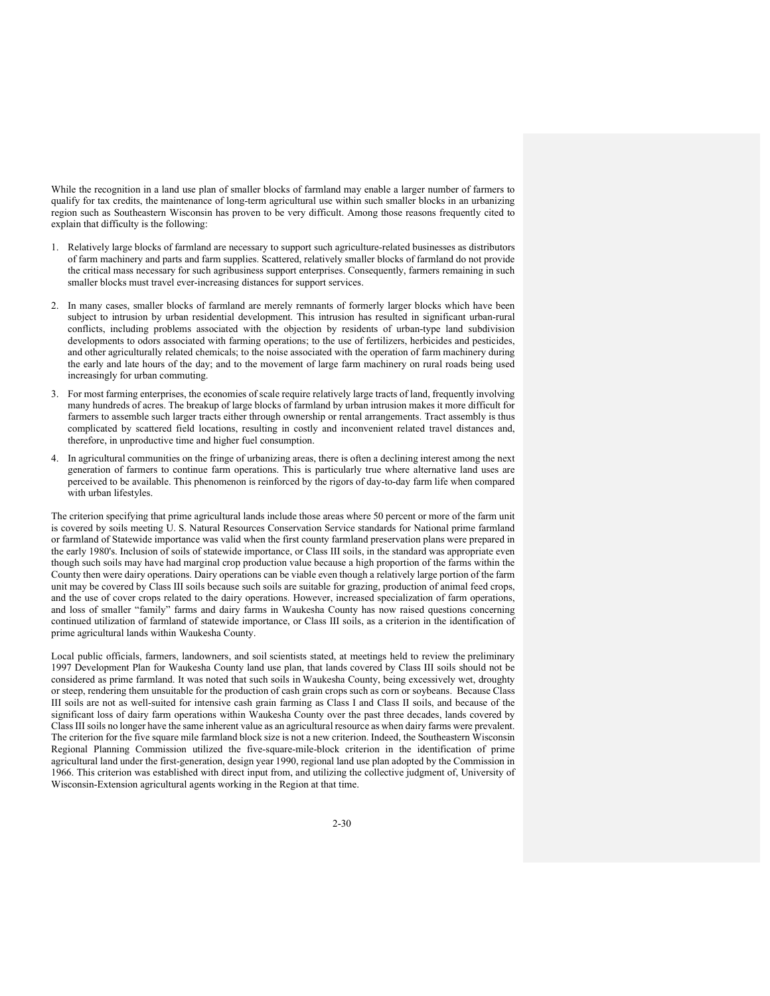While the recognition in a land use plan of smaller blocks of farmland may enable a larger number of farmers to qualify for tax credits, the maintenance of long-term agricultural use within such smaller blocks in an urbanizing region such as Southeastern Wisconsin has proven to be very difficult. Among those reasons frequently cited to explain that difficulty is the following:

- 1. Relatively large blocks of farmland are necessary to support such agriculture-related businesses as distributors of farm machinery and parts and farm supplies. Scattered, relatively smaller blocks of farmland do not provide the critical mass necessary for such agribusiness support enterprises. Consequently, farmers remaining in such smaller blocks must travel ever-increasing distances for support services.
- 2. In many cases, smaller blocks of farmland are merely remnants of formerly larger blocks which have been subject to intrusion by urban residential development. This intrusion has resulted in significant urban-rural conflicts, including problems associated with the objection by residents of urban-type land subdivision developments to odors associated with farming operations; to the use of fertilizers, herbicides and pesticides, and other agriculturally related chemicals; to the noise associated with the operation of farm machinery during the early and late hours of the day; and to the movement of large farm machinery on rural roads being used increasingly for urban commuting.
- 3. For most farming enterprises, the economies of scale require relatively large tracts of land, frequently involving many hundreds of acres. The breakup of large blocks of farmland by urban intrusion makes it more difficult for farmers to assemble such larger tracts either through ownership or rental arrangements. Tract assembly is thus complicated by scattered field locations, resulting in costly and inconvenient related travel distances and, therefore, in unproductive time and higher fuel consumption.
- 4. In agricultural communities on the fringe of urbanizing areas, there is often a declining interest among the next generation of farmers to continue farm operations. This is particularly true where alternative land uses are perceived to be available. This phenomenon is reinforced by the rigors of day-to-day farm life when compared with urban lifestyles.

The criterion specifying that prime agricultural lands include those areas where 50 percent or more of the farm unit is covered by soils meeting U. S. Natural Resources Conservation Service standards for National prime farmland or farmland of Statewide importance was valid when the first county farmland preservation plans were prepared in the early 1980's. Inclusion of soils of statewide importance, or Class III soils, in the standard was appropriate even though such soils may have had marginal crop production value because a high proportion of the farms within the County then were dairy operations. Dairy operations can be viable even though a relatively large portion of the farm unit may be covered by Class III soils because such soils are suitable for grazing, production of animal feed crops, and the use of cover crops related to the dairy operations. However, increased specialization of farm operations, and loss of smaller "family" farms and dairy farms in Waukesha County has now raised questions concerning continued utilization of farmland of statewide importance, or Class III soils, as a criterion in the identification of prime agricultural lands within Waukesha County.

Local public officials, farmers, landowners, and soil scientists stated, at meetings held to review the preliminary 1997 Development Plan for Waukesha County land use plan, that lands covered by Class III soils should not be considered as prime farmland. It was noted that such soils in Waukesha County, being excessively wet, droughty or steep, rendering them unsuitable for the production of cash grain crops such as corn or soybeans. Because Class III soils are not as well-suited for intensive cash grain farming as Class I and Class II soils, and because of the significant loss of dairy farm operations within Waukesha County over the past three decades, lands covered by Class III soils no longer have the same inherent value as an agricultural resource as when dairy farms were prevalent. The criterion for the five square mile farmland block size is not a new criterion. Indeed, the Southeastern Wisconsin Regional Planning Commission utilized the five-square-mile-block criterion in the identification of prime agricultural land under the first-generation, design year 1990, regional land use plan adopted by the Commission in 1966. This criterion was established with direct input from, and utilizing the collective judgment of, University of Wisconsin-Extension agricultural agents working in the Region at that time.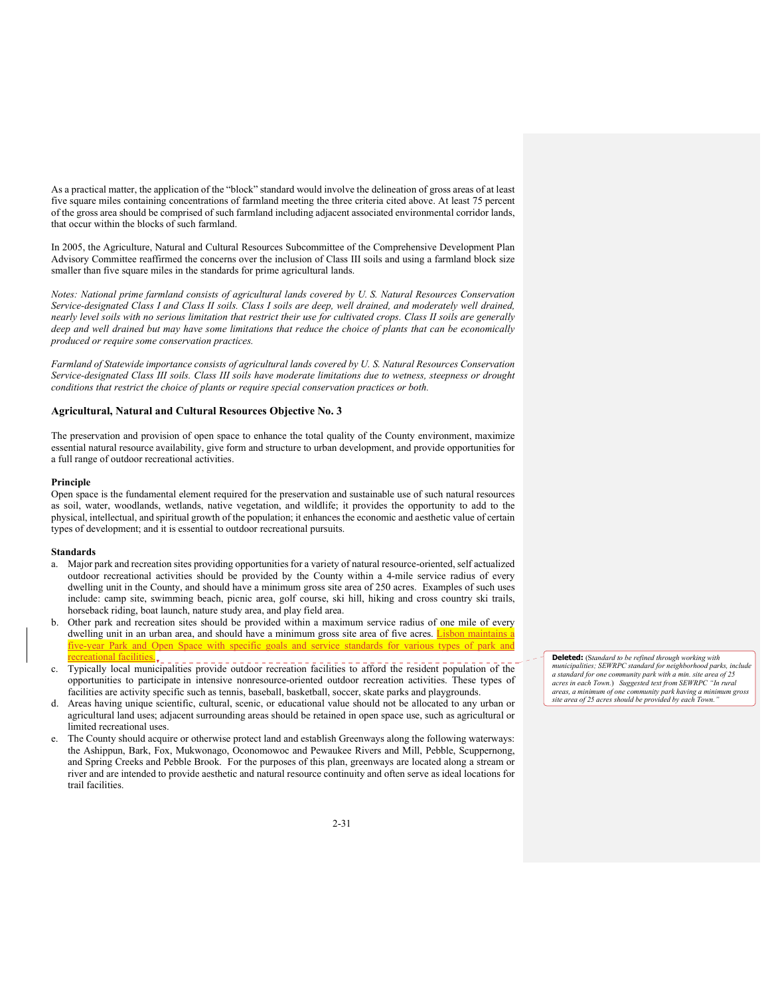As a practical matter, the application of the "block" standard would involve the delineation of gross areas of at least five square miles containing concentrations of farmland meeting the three criteria cited above. At least 75 percent of the gross area should be comprised of such farmland including adjacent associated environmental corridor lands, that occur within the blocks of such farmland.

In 2005, the Agriculture, Natural and Cultural Resources Subcommittee of the Comprehensive Development Plan Advisory Committee reaffirmed the concerns over the inclusion of Class III soils and using a farmland block size smaller than five square miles in the standards for prime agricultural lands.

*Notes: National prime farmland consists of agricultural lands covered by U. S. Natural Resources Conservation*  Service-designated Class I and Class II soils. Class I soils are deep, well drained, and moderately well drained, *nearly level soils with no serious limitation that restrict their use for cultivated crops. Class II soils are generally deep and well drained but may have some limitations that reduce the choice of plants that can be economically produced or require some conservation practices.* 

*Farmland of Statewide importance consists of agricultural lands covered by U. S. Natural Resources Conservation Service-designated Class III soils. Class III soils have moderate limitations due to wetness, steepness or drought conditions that restrict the choice of plants or require special conservation practices or both.*

#### **Agricultural, Natural and Cultural Resources Objective No. 3**

The preservation and provision of open space to enhance the total quality of the County environment, maximize essential natural resource availability, give form and structure to urban development, and provide opportunities for a full range of outdoor recreational activities.

### **Principle**

Open space is the fundamental element required for the preservation and sustainable use of such natural resources as soil, water, woodlands, wetlands, native vegetation, and wildlife; it provides the opportunity to add to the physical, intellectual, and spiritual growth of the population; it enhances the economic and aesthetic value of certain types of development; and it is essential to outdoor recreational pursuits.

#### **Standards**

- a. Major park and recreation sites providing opportunities for a variety of natural resource-oriented, self actualized outdoor recreational activities should be provided by the County within a 4-mile service radius of every dwelling unit in the County, and should have a minimum gross site area of 250 acres. Examples of such uses include: camp site, swimming beach, picnic area, golf course, ski hill, hiking and cross country ski trails, horseback riding, boat launch, nature study area, and play field area.
- b. Other park and recreation sites should be provided within a maximum service radius of one mile of every dwelling unit in an urban area, and should have a minimum gross site area of five acres. Lisbon maintains a five-year Park and Open Space with specific goals and service standards for various types of park and ecreational facilities.<sub>v\_\_</sub> \_\_\_\_\_\_\_\_\_\_\_\_\_\_\_\_\_\_\_\_\_\_\_
- c. Typically local municipalities provide outdoor recreation facilities to afford the resident population of the opportunities to participate in intensive nonresource-oriented outdoor recreation activities. These types of facilities are activity specific such as tennis, baseball, basketball, soccer, skate parks and playgrounds.
- d. Areas having unique scientific, cultural, scenic, or educational value should not be allocated to any urban or agricultural land uses; adjacent surrounding areas should be retained in open space use, such as agricultural or limited recreational uses.
- e. The County should acquire or otherwise protect land and establish Greenways along the following waterways: the Ashippun, Bark, Fox, Mukwonago, Oconomowoc and Pewaukee Rivers and Mill, Pebble, Scuppernong, and Spring Creeks and Pebble Brook. For the purposes of this plan, greenways are located along a stream or river and are intended to provide aesthetic and natural resource continuity and often serve as ideal locations for trail facilities.

**Deleted:** (S*tandard to be refined through working with municipalities; SEWRPC standard for neighborhood parks, include a standard for one community park with a min. site area of 25 acres in each Town.*) *Suggested text from SEWRPC "In rural areas, a minimum of one community park having a minimum gross site area of 25 acres should be provided by each Town."*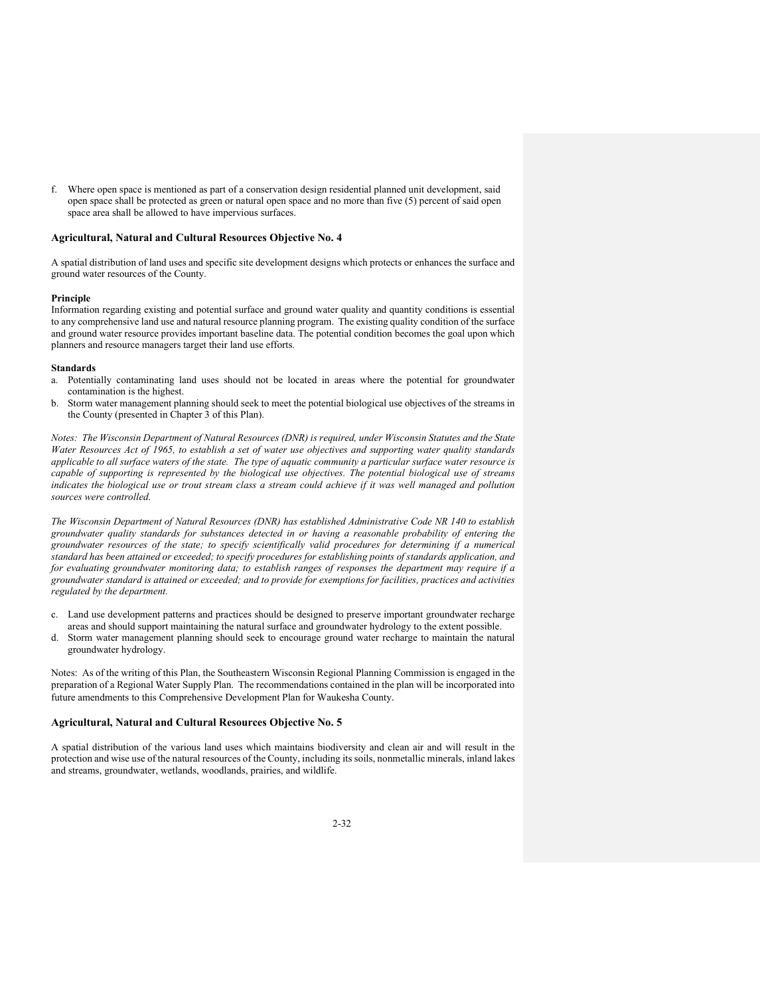f. Where open space is mentioned as part of a conservation design residential planned unit development, said open space shall be protected as green or natural open space and no more than five (5) percent of said open space area shall be allowed to have impervious surfaces.

#### **Agricultural, Natural and Cultural Resources Objective No. 4**

A spatial distribution of land uses and specific site development designs which protects or enhances the surface and ground water resources of the County.

### **Principle**

Information regarding existing and potential surface and ground water quality and quantity conditions is essential to any comprehensive land use and natural resource planning program. The existing quality condition of the surface and ground water resource provides important baseline data. The potential condition becomes the goal upon which planners and resource managers target their land use efforts.

#### **Standards**

- a. Potentially contaminating land uses should not be located in areas where the potential for groundwater contamination is the highest.
- b. Storm water management planning should seek to meet the potential biological use objectives of the streams in the County (presented in Chapter 3 of this Plan).

*Notes: The Wisconsin Department of Natural Resources (DNR) is required, under Wisconsin Statutes and the State Water Resources Act of 1965, to establish a set of water use objectives and supporting water quality standards applicable to all surface waters of the state. The type of aquatic community a particular surface water resource is capable of supporting is represented by the biological use objectives. The potential biological use of streams indicates the biological use or trout stream class a stream could achieve if it was well managed and pollution sources were controlled.* 

*The Wisconsin Department of Natural Resources (DNR) has established Administrative Code NR 140 to establish groundwater quality standards for substances detected in or having a reasonable probability of entering the groundwater resources of the state; to specify scientifically valid procedures for determining if a numerical standard has been attained or exceeded; to specify procedures for establishing points of standards application, and for evaluating groundwater monitoring data; to establish ranges of responses the department may require if a groundwater standard is attained or exceeded; and to provide for exemptions for facilities, practices and activities regulated by the department.*

- c. Land use development patterns and practices should be designed to preserve important groundwater recharge areas and should support maintaining the natural surface and groundwater hydrology to the extent possible.
- d. Storm water management planning should seek to encourage ground water recharge to maintain the natural groundwater hydrology.

Notes: As of the writing of this Plan, the Southeastern Wisconsin Regional Planning Commission is engaged in the preparation of a Regional Water Supply Plan. The recommendations contained in the plan will be incorporated into future amendments to this Comprehensive Development Plan for Waukesha County.

### **Agricultural, Natural and Cultural Resources Objective No. 5**

A spatial distribution of the various land uses which maintains biodiversity and clean air and will result in the protection and wise use of the natural resources of the County, including its soils, nonmetallic minerals, inland lakes and streams, groundwater, wetlands, woodlands, prairies, and wildlife.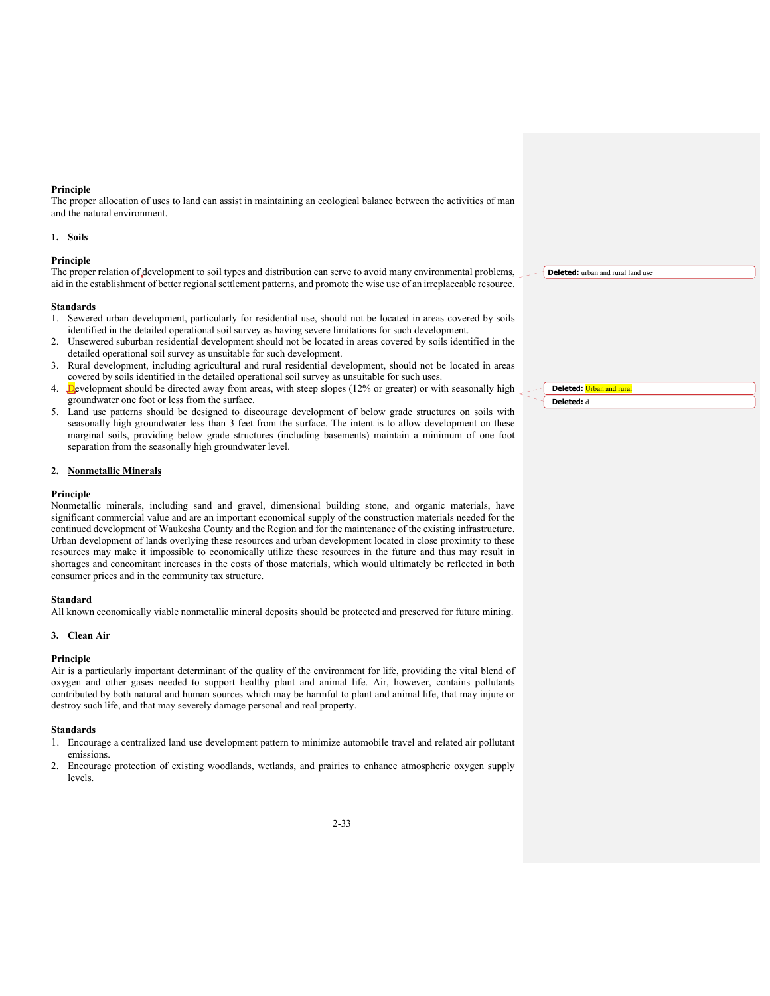#### **Principle**

The proper allocation of uses to land can assist in maintaining an ecological balance between the activities of man and the natural environment.

#### **1. Soils**

#### **Principle**

The proper relation of development to soil types and distribution can serve to avoid many environmental problems, aid in the establishment of better regional settlement patterns, and promote the wise use of an irreplaceable resource.

### **Standards**

- 1. Sewered urban development, particularly for residential use, should not be located in areas covered by soils identified in the detailed operational soil survey as having severe limitations for such development.
- 2. Unsewered suburban residential development should not be located in areas covered by soils identified in the detailed operational soil survey as unsuitable for such development.
- 3. Rural development, including agricultural and rural residential development, should not be located in areas covered by soils identified in the detailed operational soil survey as unsuitable for such uses.
- Development should be directed away from areas, with steep slopes (12% or greater) or with seasonally high groundwater one foot or less from the surface.
- 5. Land use patterns should be designed to discourage development of below grade structures on soils with seasonally high groundwater less than 3 feet from the surface. The intent is to allow development on these marginal soils, providing below grade structures (including basements) maintain a minimum of one foot separation from the seasonally high groundwater level.

### **2. Nonmetallic Minerals**

#### **Principle**

Nonmetallic minerals, including sand and gravel, dimensional building stone, and organic materials, have significant commercial value and are an important economical supply of the construction materials needed for the continued development of Waukesha County and the Region and for the maintenance of the existing infrastructure. Urban development of lands overlying these resources and urban development located in close proximity to these resources may make it impossible to economically utilize these resources in the future and thus may result in shortages and concomitant increases in the costs of those materials, which would ultimately be reflected in both consumer prices and in the community tax structure.

#### **Standard**

All known economically viable nonmetallic mineral deposits should be protected and preserved for future mining.

### **3. Clean Air**

### **Principle**

Air is a particularly important determinant of the quality of the environment for life, providing the vital blend of oxygen and other gases needed to support healthy plant and animal life. Air, however, contains pollutants contributed by both natural and human sources which may be harmful to plant and animal life, that may injure or destroy such life, and that may severely damage personal and real property.

#### **Standards**

- 1. Encourage a centralized land use development pattern to minimize automobile travel and related air pollutant emissions.
- 2. Encourage protection of existing woodlands, wetlands, and prairies to enhance atmospheric oxygen supply levels.

**Deleted:** urban and rural land use

**Deleted:** Urban and rural

**Deleted:** d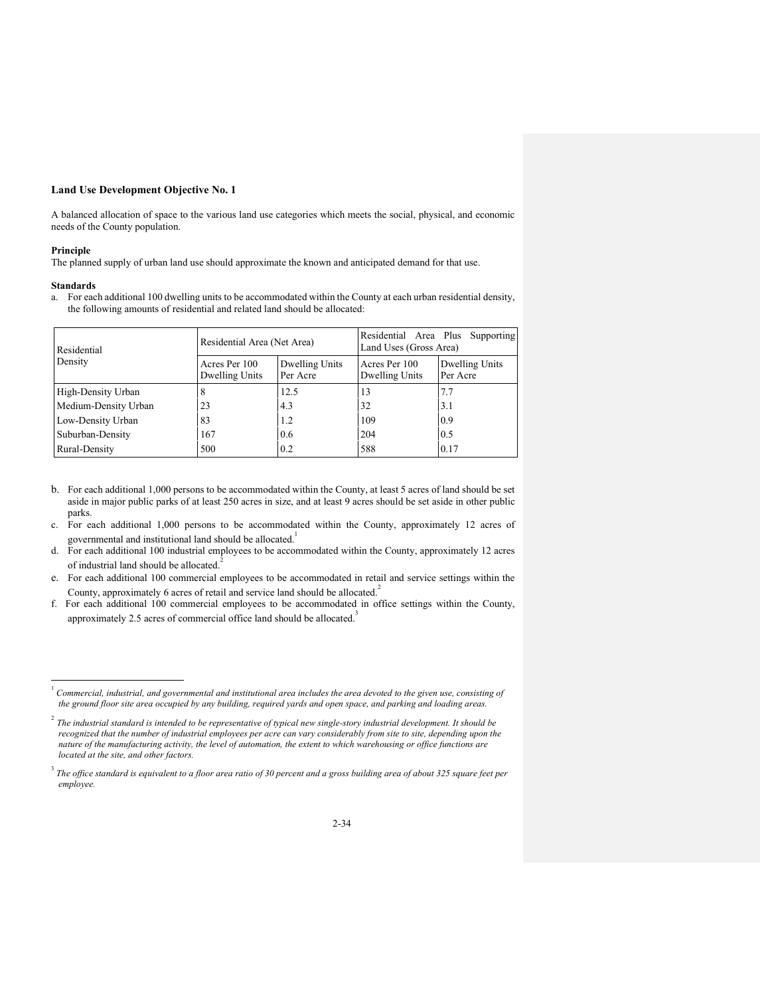A balanced allocation of space to the various land use categories which meets the social, physical, and economic needs of the County population.

# **Principle**

The planned supply of urban land use should approximate the known and anticipated demand for that use.

# **Standards**

a. For each additional 100 dwelling units to be accommodated within the County at each urban residential density, the following amounts of residential and related land should be allocated:

| Residential          | Residential Area (Net Area)     |                            | Residential Area Plus Supporting<br>Land Uses (Gross Area) |                            |  |  |
|----------------------|---------------------------------|----------------------------|------------------------------------------------------------|----------------------------|--|--|
| Density              | Acres Per 100<br>Dwelling Units | Dwelling Units<br>Per Acre | Acres Per 100<br>Dwelling Units                            | Dwelling Units<br>Per Acre |  |  |
| High-Density Urban   |                                 | 12.5                       | 13                                                         | 7.7                        |  |  |
| Medium-Density Urban | 23                              | 4.3                        | 32                                                         | 3.1                        |  |  |
| Low-Density Urban    | 83                              | 1.2                        | 109                                                        | 0.9                        |  |  |
| Suburban-Density     | 167                             | 0.6                        | 204                                                        | 0.5                        |  |  |
| Rural-Density        | 500                             | 0.2                        | 588                                                        | 0.17                       |  |  |

- b. For each additional 1,000 persons to be accommodated within the County, at least 5 acres of land should be set aside in major public parks of at least 250 acres in size, and at least 9 acres should be set aside in other public parks.
- c. For each additional 1,000 persons to be accommodated within the County, approximately 12 acres of governmental and institutional land should be allocated.<sup>1</sup>
- d. For each additional 100 industrial employees to be accommodated within the County, approximately 12 acres of industrial land should be allocated.<sup>2</sup>
- e. For each additional 100 commercial employees to be accommodated in retail and service settings within the County, approximately 6 acres of retail and service land should be allocated.<sup>2</sup>
- f. For each additional 100 commercial employees to be accommodated in office settings within the County, approximately 2.5 acres of commercial office land should be allocated.<sup>3</sup>

<sup>&</sup>lt;sup>1</sup> Commercial, industrial, and governmental and institutional area includes the area devoted to the given use, consisting of *the ground floor site area occupied by any building, required yards and open space, and parking and loading areas.*

<sup>2</sup> *The industrial standard is intended to be representative of typical new single-story industrial development. It should be recognized that the number of industrial employees per acre can vary considerably from site to site, depending upon the nature of the manufacturing activity, the level of automation, the extent to which warehousing or office functions are located at the site, and other factors.*

<sup>3</sup> *The office standard is equivalent to a floor area ratio of 30 percent and a gross building area of about 325 square feet per employee.*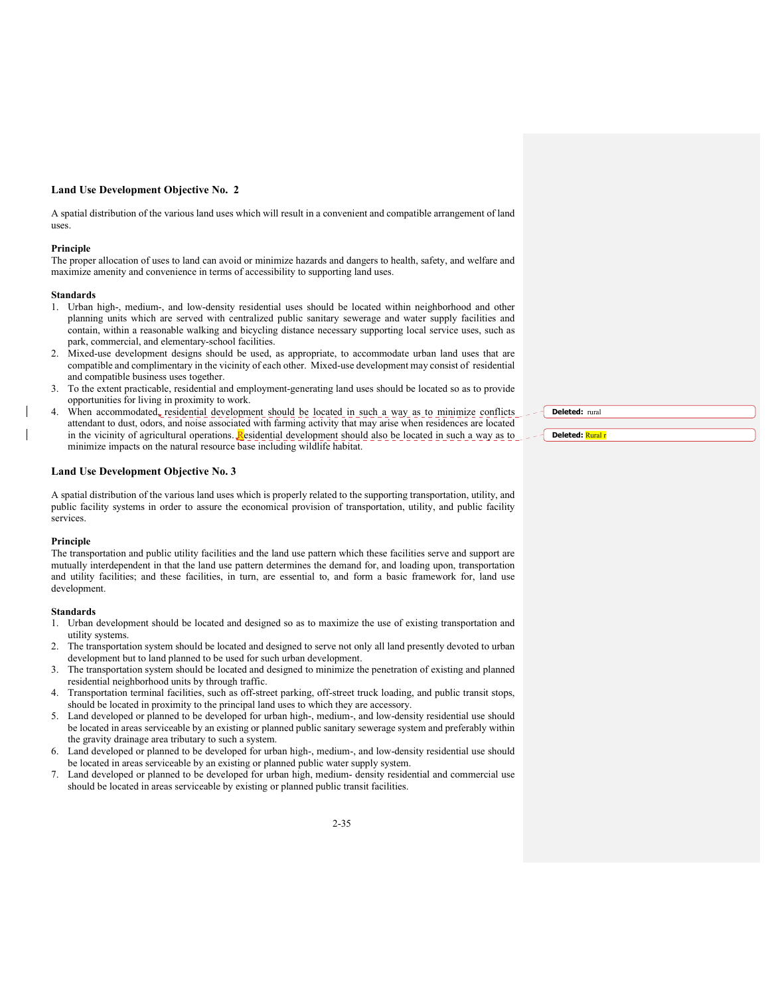A spatial distribution of the various land uses which will result in a convenient and compatible arrangement of land uses.

#### **Principle**

The proper allocation of uses to land can avoid or minimize hazards and dangers to health, safety, and welfare and maximize amenity and convenience in terms of accessibility to supporting land uses.

#### **Standards**

- 1. Urban high-, medium-, and low-density residential uses should be located within neighborhood and other planning units which are served with centralized public sanitary sewerage and water supply facilities and contain, within a reasonable walking and bicycling distance necessary supporting local service uses, such as park, commercial, and elementary-school facilities.
- 2. Mixed-use development designs should be used, as appropriate, to accommodate urban land uses that are compatible and complimentary in the vicinity of each other. Mixed-use development may consist of residential and compatible business uses together.
- 3. To the extent practicable, residential and employment-generating land uses should be located so as to provide opportunities for living in proximity to work.
- When accommodated, residential development should be located in such a way as to minimize conflicts attendant to dust, odors, and noise associated with farming activity that may arise when residences are located in the vicinity of agricultural operations.  $\frac{R}{R}$  esidential development should also be located in such a way as to minimize impacts on the natural resource base including wildlife habitat.

### **Land Use Development Objective No. 3**

A spatial distribution of the various land uses which is properly related to the supporting transportation, utility, and public facility systems in order to assure the economical provision of transportation, utility, and public facility services.

#### **Principle**

The transportation and public utility facilities and the land use pattern which these facilities serve and support are mutually interdependent in that the land use pattern determines the demand for, and loading upon, transportation and utility facilities; and these facilities, in turn, are essential to, and form a basic framework for, land use development.

#### **Standards**

- 1. Urban development should be located and designed so as to maximize the use of existing transportation and utility systems.
- 2. The transportation system should be located and designed to serve not only all land presently devoted to urban development but to land planned to be used for such urban development.
- 3. The transportation system should be located and designed to minimize the penetration of existing and planned residential neighborhood units by through traffic.
- 4. Transportation terminal facilities, such as off-street parking, off-street truck loading, and public transit stops, should be located in proximity to the principal land uses to which they are accessory.
- 5. Land developed or planned to be developed for urban high-, medium-, and low-density residential use should be located in areas serviceable by an existing or planned public sanitary sewerage system and preferably within the gravity drainage area tributary to such a system.
- 6. Land developed or planned to be developed for urban high-, medium-, and low-density residential use should be located in areas serviceable by an existing or planned public water supply system.
- 7. Land developed or planned to be developed for urban high, medium- density residential and commercial use should be located in areas serviceable by existing or planned public transit facilities.

**Deleted:** rural **Deleted:** Rural r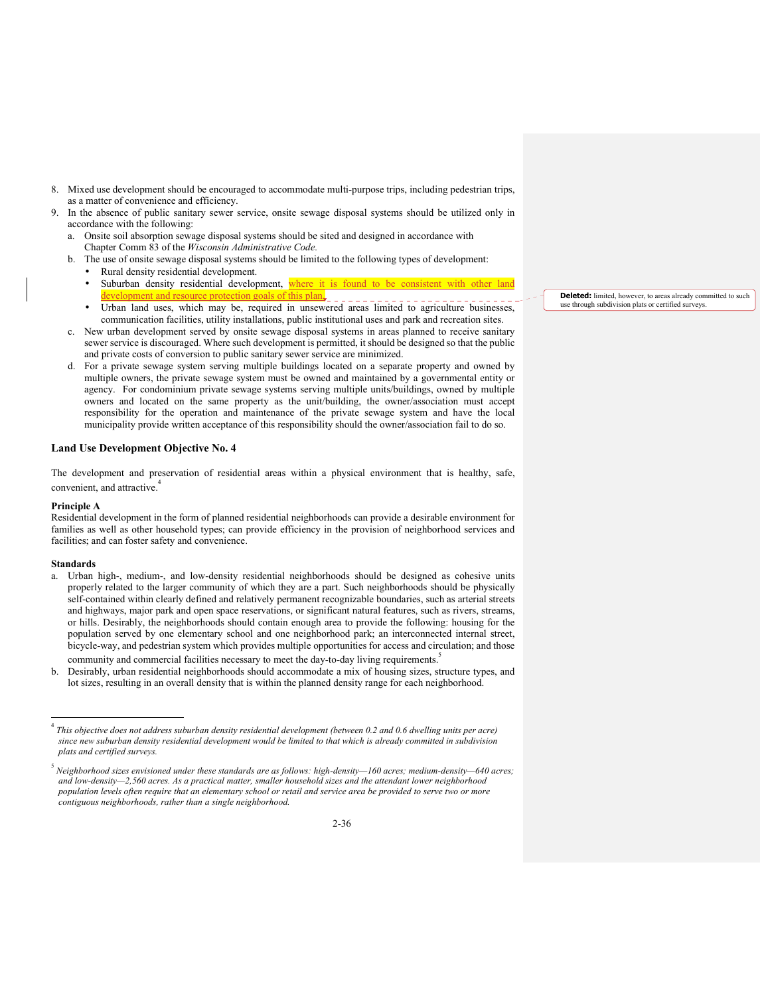- 8. Mixed use development should be encouraged to accommodate multi-purpose trips, including pedestrian trips, as a matter of convenience and efficiency.
- In the absence of public sanitary sewer service, onsite sewage disposal systems should be utilized only in accordance with the following:
	- a. Onsite soil absorption sewage disposal systems should be sited and designed in accordance with Chapter Comm 83 of the *Wisconsin Administrative Code.*
	- b. The use of onsite sewage disposal systems should be limited to the following types of development:
		- Rural density residential development.
		- Suburban density residential development, where it is found to be consistent with other land evelopment and resource protection goals of this plan.
		- Urban land uses, which may be, required in unsewered areas limited to agriculture businesses, communication facilities, utility installations, public institutional uses and park and recreation sites.
	- c. New urban development served by onsite sewage disposal systems in areas planned to receive sanitary sewer service is discouraged. Where such development is permitted, it should be designed so that the public and private costs of conversion to public sanitary sewer service are minimized.
	- d. For a private sewage system serving multiple buildings located on a separate property and owned by multiple owners, the private sewage system must be owned and maintained by a governmental entity or agency. For condominium private sewage systems serving multiple units/buildings, owned by multiple owners and located on the same property as the unit/building, the owner/association must accept responsibility for the operation and maintenance of the private sewage system and have the local municipality provide written acceptance of this responsibility should the owner/association fail to do so.

The development and preservation of residential areas within a physical environment that is healthy, safe, convenient, and attractive.<sup>4</sup>

### Principle **A**

Residential development in the form of planned residential neighborhoods can provide a desirable environment for families as well as other household types; can provide efficiency in the provision of neighborhood services and facilities; and can foster safety and convenience.

### **Standards**

- a. Urban high-, medium-, and low-density residential neighborhoods should be designed as cohesive units properly related to the larger community of which they are a part. Such neighborhoods should be physically self-contained within clearly defined and relatively permanent recognizable boundaries, such as arterial streets and highways, major park and open space reservations, or significant natural features, such as rivers, streams, or hills. Desirably, the neighborhoods should contain enough area to provide the following: housing for the population served by one elementary school and one neighborhood park; an interconnected internal street, bicycle-way, and pedestrian system which provides multiple opportunities for access and circulation; and those community and commercial facilities necessary to meet the day-to-day living requirements.<sup>5</sup>
- b. Desirably, urban residential neighborhoods should accommodate a mix of housing sizes, structure types, and lot sizes, resulting in an overall density that is within the planned density range for each neighborhood.

**Deleted:** limited, however, to areas already committed to such use through subdivision plats or certified surveys.

<sup>4</sup> *This objective does not address suburban density residential development (between 0.2 and 0.6 dwelling units per acre) since new suburban density residential development would be limited to that which is already committed in subdivision plats and certified surveys.*

<sup>5</sup> *Neighborhood sizes envisioned under these standards are as follows: high-density—160 acres; medium-density—640 acres; and low-density—2,560 acres. As a practical matter, smaller household sizes and the attendant lower neighborhood population levels often require that an elementary school or retail and service area be provided to serve two or more contiguous neighborhoods, rather than a single neighborhood.*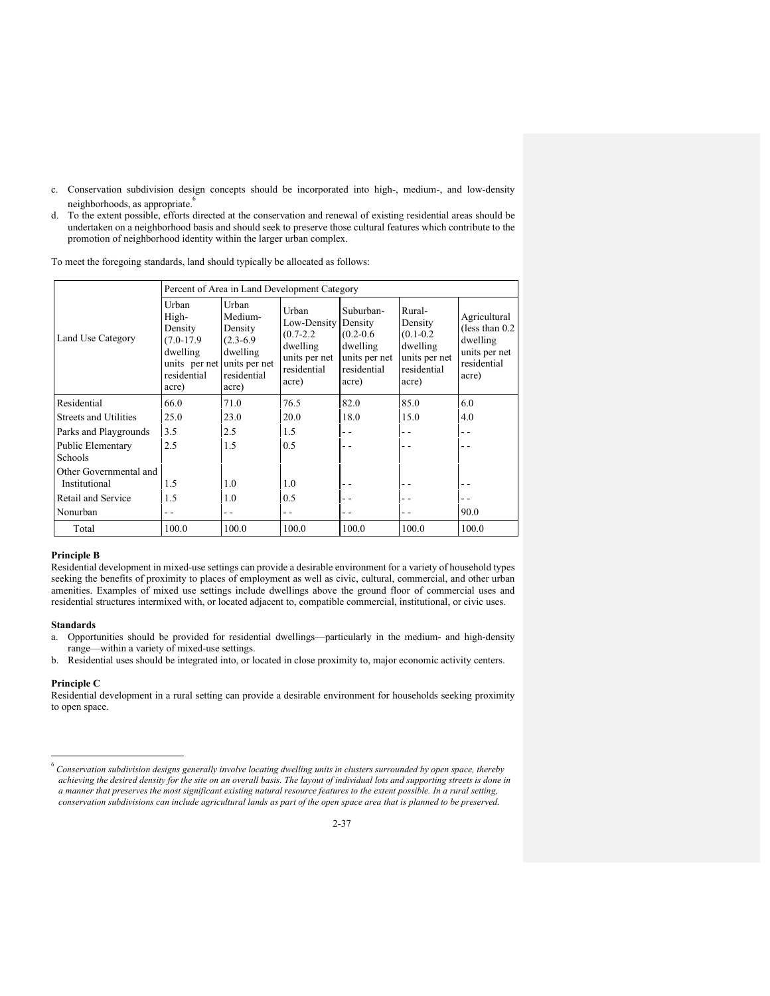- c. Conservation subdivision design concepts should be incorporated into high-, medium-, and low-density neighborhoods, as appropriate.<sup>6</sup>
- d. To the extent possible, efforts directed at the conservation and renewal of existing residential areas should be undertaken on a neighborhood basis and should seek to preserve those cultural features which contribute to the promotion of neighborhood identity within the larger urban complex.

To meet the foregoing standards, land should typically be allocated as follows:

|                                         |                                                                                                              | Percent of Area in Land Development Category                                   |                                                                                            |                                                                                            |                                                                                         |                                                                                         |  |  |  |  |  |  |
|-----------------------------------------|--------------------------------------------------------------------------------------------------------------|--------------------------------------------------------------------------------|--------------------------------------------------------------------------------------------|--------------------------------------------------------------------------------------------|-----------------------------------------------------------------------------------------|-----------------------------------------------------------------------------------------|--|--|--|--|--|--|
| Land Use Category                       | Urban<br>High-<br>Density<br>$(7.0-17.9)$<br>dwelling<br>units per net units per net<br>residential<br>acre) | Urban<br>Medium-<br>Density<br>$(2.3-6.9)$<br>dwelling<br>residential<br>acre) | Urban<br>Low-Density<br>$(0.7 - 2.2)$<br>dwelling<br>units per net<br>residential<br>acre) | Suburban-<br>Density<br>$(0.2 - 0.6)$<br>dwelling<br>units per net<br>residential<br>acre) | Rural-<br>Density<br>$(0.1 - 0.2)$<br>dwelling<br>units per net<br>residential<br>acre) | Agricultural<br>(less than $0.2$ )<br>dwelling<br>units per net<br>residential<br>acre) |  |  |  |  |  |  |
| Residential                             | 66.0                                                                                                         | 71.0                                                                           | 76.5                                                                                       | 82.0                                                                                       | 85.0                                                                                    | 6.0                                                                                     |  |  |  |  |  |  |
| Streets and Utilities                   | 25.0                                                                                                         | 23.0                                                                           | 20.0                                                                                       | 18.0                                                                                       | 15.0                                                                                    | 4.0                                                                                     |  |  |  |  |  |  |
| Parks and Playgrounds                   | 3.5                                                                                                          | 2.5                                                                            | 1.5                                                                                        | - -                                                                                        |                                                                                         | - -                                                                                     |  |  |  |  |  |  |
| Public Elementary<br><b>Schools</b>     | 2.5                                                                                                          | 1.5                                                                            | 0.5                                                                                        | - -                                                                                        |                                                                                         | . .                                                                                     |  |  |  |  |  |  |
| Other Governmental and<br>Institutional | 1.5                                                                                                          | 1.0                                                                            | 1.0                                                                                        |                                                                                            |                                                                                         |                                                                                         |  |  |  |  |  |  |
| Retail and Service                      | 1.5                                                                                                          | 1.0                                                                            | 0.5                                                                                        |                                                                                            |                                                                                         |                                                                                         |  |  |  |  |  |  |
| Nonurban                                |                                                                                                              | - -                                                                            | . .                                                                                        |                                                                                            |                                                                                         | 90.0                                                                                    |  |  |  |  |  |  |
| Total                                   | 100.0                                                                                                        | 100.0                                                                          | 100.0                                                                                      | 100.0                                                                                      | 100.0                                                                                   | 100.0                                                                                   |  |  |  |  |  |  |

### **Principle B**

Residential development in mixed-use settings can provide a desirable environment for a variety of household types seeking the benefits of proximity to places of employment as well as civic, cultural, commercial, and other urban amenities. Examples of mixed use settings include dwellings above the ground floor of commercial uses and residential structures intermixed with, or located adjacent to, compatible commercial, institutional, or civic uses.

#### **Standards**

- a. Opportunities should be provided for residential dwellings—particularly in the medium- and high-density range—within a variety of mixed-use settings.
- b. Residential uses should be integrated into, or located in close proximity to, major economic activity centers.

### **Principle C**

Residential development in a rural setting can provide a desirable environment for households seeking proximity to open space.

<sup>6</sup> *Conservation subdivision designs generally involve locating dwelling units in clusters surrounded by open space, thereby achieving the desired density for the site on an overall basis. The layout of individual lots and supporting streets is done in a manner that preserves the most significant existing natural resource features to the extent possible. In a rural setting, conservation subdivisions can include agricultural lands as part of the open space area that is planned to be preserved.*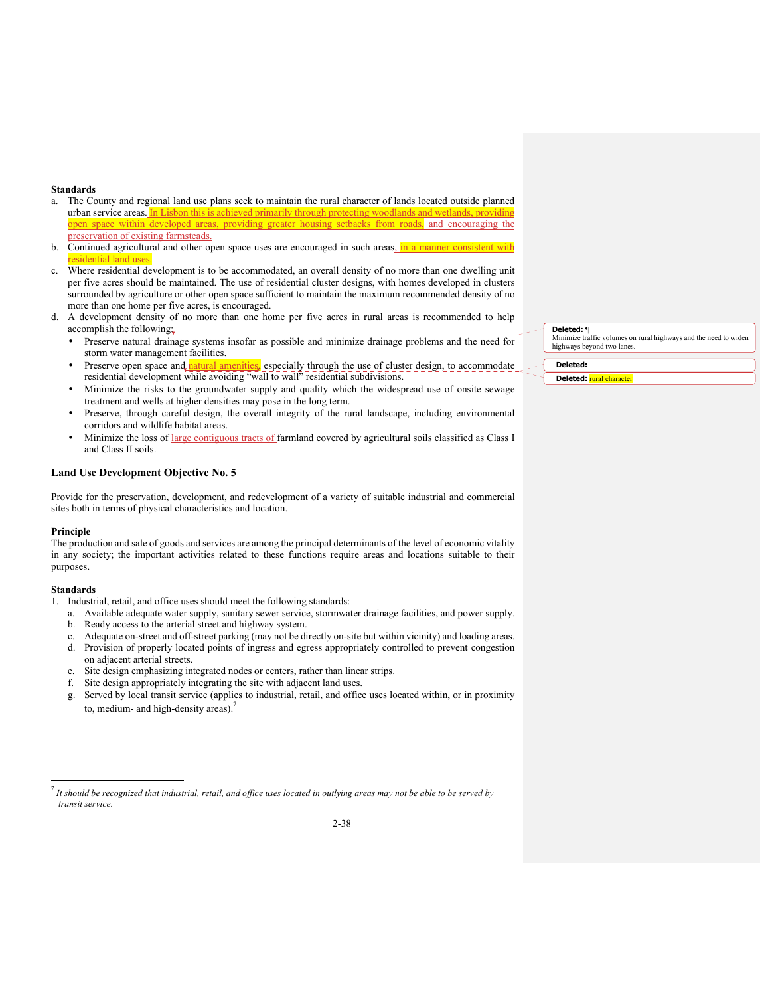#### **Standards**

- a. The County and regional land use plans seek to maintain the rural character of lands located outside planned urban service areas. In Lisbon this is achieved primarily through protecting woodlands and wetlands, providing open space within developed areas, providing greater housing setbacks from roads, and encouraging the preservation of existing farmsteads.
- b. Continued agricultural and other open space uses are encouraged in such areas, in a manner consistent with esidential land uses
- Where residential development is to be accommodated, an overall density of no more than one dwelling unit per five acres should be maintained. The use of residential cluster designs, with homes developed in clusters surrounded by agriculture or other open space sufficient to maintain the maximum recommended density of no more than one home per five acres, is encouraged.
- d. A development density of no more than one home per five acres in rural areas is recommended to help accomplish the following:
	- Preserve natural drainage systems insofar as possible and minimize drainage problems and the need for storm water management facilities.
	- Preserve open space and natural amenities, especially through the use of cluster design, to accommodate residential development while avoiding "wall to wall" residential subdivisions.
	- Minimize the risks to the groundwater supply and quality which the widespread use of onsite sewage treatment and wells at higher densities may pose in the long term.
	- Preserve, through careful design, the overall integrity of the rural landscape, including environmental corridors and wildlife habitat areas.
	- Minimize the loss of large contiguous tracts of farmland covered by agricultural soils classified as Class I and Class II soils.

### **Land Use Development Objective No. 5**

Provide for the preservation, development, and redevelopment of a variety of suitable industrial and commercial sites both in terms of physical characteristics and location.

### **Principle**

The production and sale of goods and services are among the principal determinants of the level of economic vitality in any society; the important activities related to these functions require areas and locations suitable to their purposes.

#### **Standards**

- 1. Industrial, retail, and office uses should meet the following standards:
	- a. Available adequate water supply, sanitary sewer service, stormwater drainage facilities, and power supply.
	- b. Ready access to the arterial street and highway system.
	- Adequate on-street and off-street parking (may not be directly on-site but within vicinity) and loading areas.
	- d. Provision of properly located points of ingress and egress appropriately controlled to prevent congestion on adjacent arterial streets.
	- e. Site design emphasizing integrated nodes or centers, rather than linear strips.
	- f. Site design appropriately integrating the site with adjacent land uses.
	- g. Served by local transit service (applies to industrial, retail, and office uses located within, or in proximity to, medium- and high-density areas).

**Deleted:** ¶

Minimize traffic volumes on rural highways and the need to widen highways beyond two lanes.

**Deleted:** 

**Deleted:** rural character

<sup>7</sup> *It should be recognized that industrial, retail, and office uses located in outlying areas may not be able to be served by transit service.*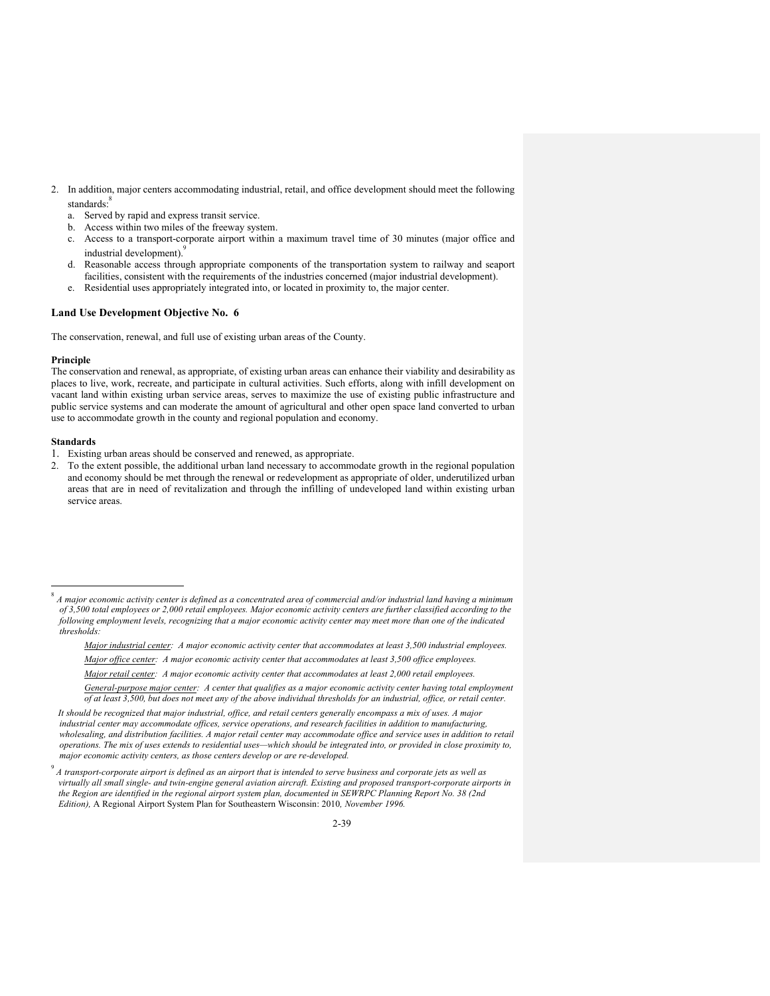- 2. In addition, major centers accommodating industrial, retail, and office development should meet the following standards:
	- a. Served by rapid and express transit service.
	- b. Access within two miles of the freeway system.
	- c. Access to a transport-corporate airport within a maximum travel time of 30 minutes (major office and industrial development).
	- d. Reasonable access through appropriate components of the transportation system to railway and seaport facilities, consistent with the requirements of the industries concerned (major industrial development).
	- e. Residential uses appropriately integrated into, or located in proximity to, the major center.

The conservation, renewal, and full use of existing urban areas of the County.

### **Principle**

The conservation and renewal, as appropriate, of existing urban areas can enhance their viability and desirability as places to live, work, recreate, and participate in cultural activities. Such efforts, along with infill development on vacant land within existing urban service areas, serves to maximize the use of existing public infrastructure and public service systems and can moderate the amount of agricultural and other open space land converted to urban use to accommodate growth in the county and regional population and economy.

### **Standards**

- 1. Existing urban areas should be conserved and renewed, as appropriate.
- 2. To the extent possible, the additional urban land necessary to accommodate growth in the regional population and economy should be met through the renewal or redevelopment as appropriate of older, underutilized urban areas that are in need of revitalization and through the infilling of undeveloped land within existing urban service areas.

*Major industrial center: A major economic activity center that accommodates at least 3,500 industrial employees.* 

- *Major office center: A major economic activity center that accommodates at least 3,500 office employees.*
- *Major retail center: A major economic activity center that accommodates at least 2,000 retail employees.*

<sup>8</sup> *A major economic activity center is defined as a concentrated area of commercial and/or industrial land having a minimum of 3,500 total employees or 2,000 retail employees. Major economic activity centers are further classified according to the following employment levels, recognizing that a major economic activity center may meet more than one of the indicated thresholds:* 

*General-purpose major center: A center that qualifies as a major economic activity center having total employment of at least 3,500, but does not meet any of the above individual thresholds for an industrial, office, or retail center.* 

*It should be recognized that major industrial, office, and retail centers generally encompass a mix of uses. A major industrial center may accommodate offices, service operations, and research facilities in addition to manufacturing,*  wholesaling, and distribution facilities. A major retail center may accommodate office and service uses in addition to retail *operations. The mix of uses extends to residential uses—which should be integrated into, or provided in close proximity to, major economic activity centers, as those centers develop or are re-developed.*

<sup>9</sup> *A transport-corporate airport is defined as an airport that is intended to serve business and corporate jets as well as virtually all small single- and twin-engine general aviation aircraft. Existing and proposed transport-corporate airports in the Region are identified in the regional airport system plan, documented in SEWRPC Planning Report No. 38 (2nd Edition),* A Regional Airport System Plan for Southeastern Wisconsin: 2010*, November 1996.*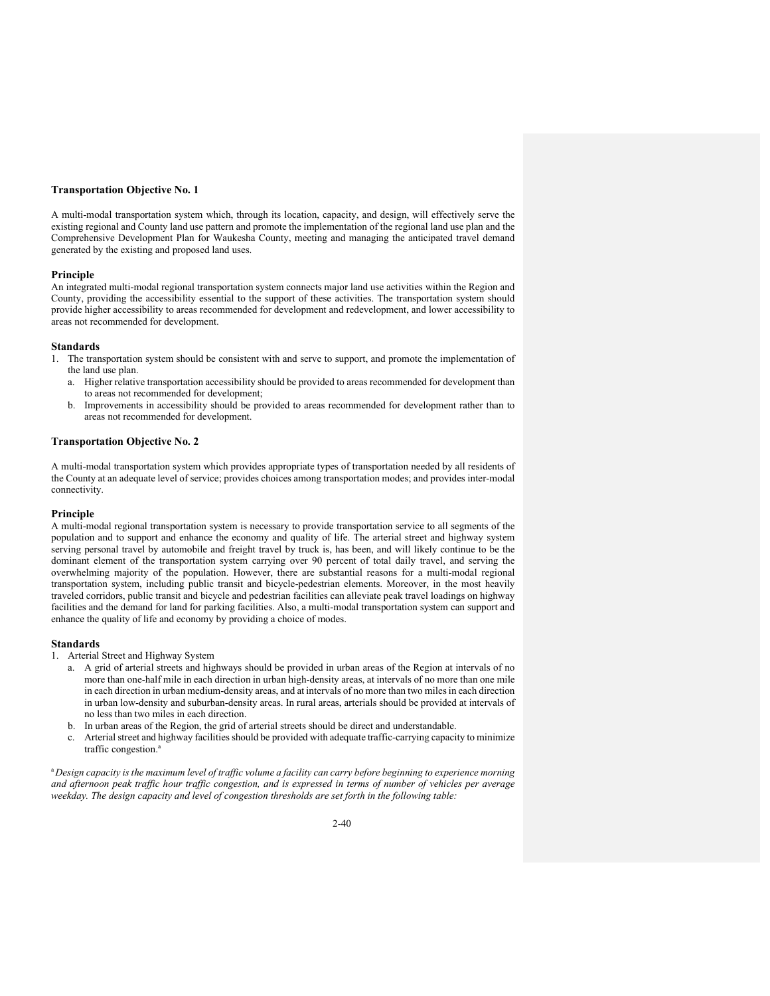#### **Transportation Objective No. 1**

A multi-modal transportation system which, through its location, capacity, and design, will effectively serve the existing regional and County land use pattern and promote the implementation of the regional land use plan and the Comprehensive Development Plan for Waukesha County, meeting and managing the anticipated travel demand generated by the existing and proposed land uses.

### **Principle**

An integrated multi-modal regional transportation system connects major land use activities within the Region and County, providing the accessibility essential to the support of these activities. The transportation system should provide higher accessibility to areas recommended for development and redevelopment, and lower accessibility to areas not recommended for development.

#### **Standards**

- 1. The transportation system should be consistent with and serve to support, and promote the implementation of the land use plan.
	- a. Higher relative transportation accessibility should be provided to areas recommended for development than to areas not recommended for development;
	- b. Improvements in accessibility should be provided to areas recommended for development rather than to areas not recommended for development.

### **Transportation Objective No. 2**

A multi-modal transportation system which provides appropriate types of transportation needed by all residents of the County at an adequate level of service; provides choices among transportation modes; and provides inter-modal connectivity.

#### **Principle**

A multi-modal regional transportation system is necessary to provide transportation service to all segments of the population and to support and enhance the economy and quality of life. The arterial street and highway system serving personal travel by automobile and freight travel by truck is, has been, and will likely continue to be the dominant element of the transportation system carrying over 90 percent of total daily travel, and serving the overwhelming majority of the population. However, there are substantial reasons for a multi-modal regional transportation system, including public transit and bicycle-pedestrian elements. Moreover, in the most heavily traveled corridors, public transit and bicycle and pedestrian facilities can alleviate peak travel loadings on highway facilities and the demand for land for parking facilities. Also, a multi-modal transportation system can support and enhance the quality of life and economy by providing a choice of modes.

### **Standards**

- 1.Arterial Street and Highway System
	- a. A grid of arterial streets and highways should be provided in urban areas of the Region at intervals of no more than one-half mile in each direction in urban high-density areas, at intervals of no more than one mile in each direction in urban medium-density areas, and at intervals of no more than two miles in each direction in urban low-density and suburban-density areas. In rural areas, arterials should be provided at intervals of no less than two miles in each direction.
	- b. In urban areas of the Region, the grid of arterial streets should be direct and understandable.
	- c. Arterial street and highway facilities should be provided with adequate traffic-carrying capacity to minimize traffic congestion.<sup>a</sup>

<sup>a</sup>*Design capacity is the maximum level of traffic volume a facility can carry before beginning to experience morning and afternoon peak traffic hour traffic congestion, and is expressed in terms of number of vehicles per average weekday. The design capacity and level of congestion thresholds are set forth in the following table:*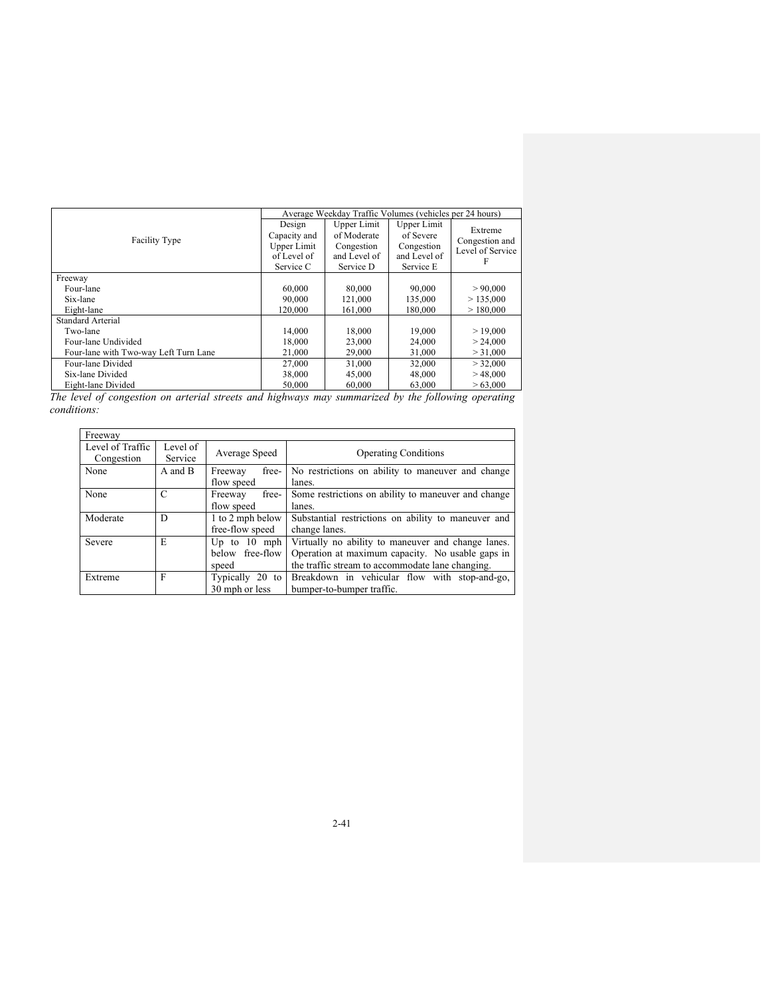|                                       |                                                                   | Average Weekday Traffic Volumes (vehicles per 24 hours)               |                                                                     |                                               |
|---------------------------------------|-------------------------------------------------------------------|-----------------------------------------------------------------------|---------------------------------------------------------------------|-----------------------------------------------|
| Facility Type                         | Design<br>Capacity and<br>Upper Limit<br>of Level of<br>Service C | Upper Limit<br>of Moderate<br>Congestion<br>and Level of<br>Service D | Upper Limit<br>of Severe<br>Congestion<br>and Level of<br>Service E | Extreme<br>Congestion and<br>Level of Service |
| Freeway                               |                                                                   |                                                                       |                                                                     |                                               |
| Four-lane                             | 60,000                                                            | 80,000                                                                | 90,000                                                              | > 90,000                                      |
| Six-lane                              | 90,000                                                            | 121,000                                                               | 135,000                                                             | > 135,000                                     |
| Eight-lane                            | 120,000                                                           | 161,000                                                               | 180,000                                                             | >180,000                                      |
| Standard Arterial                     |                                                                   |                                                                       |                                                                     |                                               |
| Two-lane                              | 14,000                                                            | 18,000                                                                | 19,000                                                              | >19,000                                       |
| Four-lane Undivided                   | 18,000                                                            | 23,000                                                                | 24,000                                                              | > 24,000                                      |
| Four-lane with Two-way Left Turn Lane | 21,000                                                            | 29,000                                                                | 31,000                                                              | > 31,000                                      |
| Four-lane Divided                     | 27,000                                                            | 31,000                                                                | 32,000                                                              | > 32,000                                      |
| Six-lane Divided                      | 38,000                                                            | 45,000                                                                | 48,000                                                              | >48,000                                       |
| Eight-lane Divided                    | 50,000                                                            | 60,000                                                                | 63,000                                                              | > 63,000                                      |

*The level of congestion on arterial streets and highways may summarized by the following operating conditions:* 

| Freeway          |          |                   |                                                     |  |  |  |
|------------------|----------|-------------------|-----------------------------------------------------|--|--|--|
| Level of Traffic | Level of | Average Speed     |                                                     |  |  |  |
| Congestion       | Service  |                   | <b>Operating Conditions</b>                         |  |  |  |
| None             | A and B  | free-<br>Freeway  | No restrictions on ability to maneuver and change   |  |  |  |
|                  |          | flow speed        | lanes.                                              |  |  |  |
| None             | C        | free-<br>Freeway  | Some restrictions on ability to maneuver and change |  |  |  |
|                  |          | flow speed        | lanes.                                              |  |  |  |
| Moderate         | D        | 1 to 2 mph below  | Substantial restrictions on ability to maneuver and |  |  |  |
|                  |          | free-flow speed   | change lanes.                                       |  |  |  |
| Severe           | E        | Up to $10$ mph    | Virtually no ability to maneuver and change lanes.  |  |  |  |
|                  |          | below free-flow   | Operation at maximum capacity. No usable gaps in    |  |  |  |
|                  |          | speed             | the traffic stream to accommodate lane changing.    |  |  |  |
| Extreme          | F        | Typically $20$ to | Breakdown in vehicular flow with stop-and-go,       |  |  |  |
|                  |          | 30 mph or less    | bumper-to-bumper traffic.                           |  |  |  |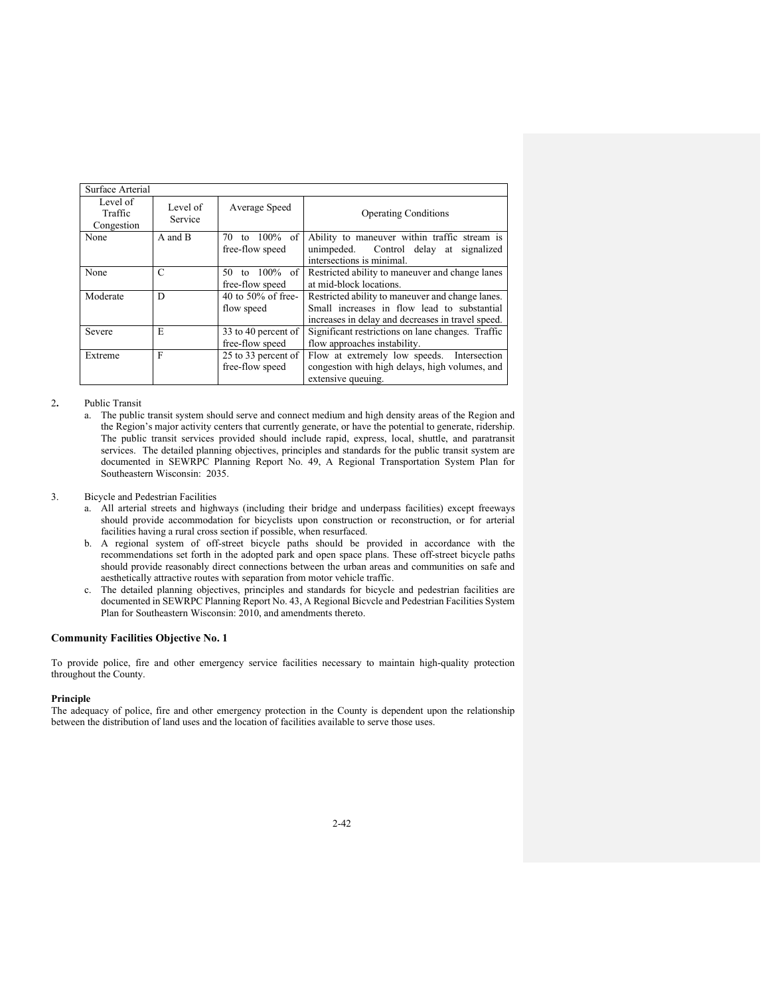| Surface Arterial                  |                     |                                           |                                                                                                                                                      |
|-----------------------------------|---------------------|-------------------------------------------|------------------------------------------------------------------------------------------------------------------------------------------------------|
| Level of<br>Traffic<br>Congestion | Level of<br>Service | Average Speed                             | <b>Operating Conditions</b>                                                                                                                          |
| None                              | A and B             | $100\%$ of<br>70<br>to<br>free-flow speed | Ability to maneuver within traffic stream is<br>unimpeded. Control delay at signalized<br>intersections is minimal.                                  |
| None                              | C                   | to 100% of<br>50.<br>free-flow speed      | Restricted ability to maneuver and change lanes<br>at mid-block locations.                                                                           |
| Moderate                          | D                   | 40 to 50% of free-<br>flow speed          | Restricted ability to maneuver and change lanes.<br>Small increases in flow lead to substantial<br>increases in delay and decreases in travel speed. |
| Severe                            | E                   | 33 to 40 percent of<br>free-flow speed    | Significant restrictions on lane changes. Traffic<br>flow approaches instability.                                                                    |
| Extreme                           | F                   | 25 to 33 percent of<br>free-flow speed    | Flow at extremely low speeds. Intersection<br>congestion with high delays, high volumes, and<br>extensive queuing.                                   |

### 2**.** Public Transit

 a. The public transit system should serve and connect medium and high density areas of the Region and the Region's major activity centers that currently generate, or have the potential to generate, ridership. The public transit services provided should include rapid, express, local, shuttle, and paratransit services. The detailed planning objectives, principles and standards for the public transit system are documented in SEWRPC Planning Report No. 49, A Regional Transportation System Plan for Southeastern Wisconsin: 2035.

### 3. Bicycle and Pedestrian Facilities

- a. All arterial streets and highways (including their bridge and underpass facilities) except freeways should provide accommodation for bicyclists upon construction or reconstruction, or for arterial facilities having a rural cross section if possible, when resurfaced.
- b. A regional system of off-street bicycle paths should be provided in accordance with the recommendations set forth in the adopted park and open space plans. These off-street bicycle paths should provide reasonably direct connections between the urban areas and communities on safe and aesthetically attractive routes with separation from motor vehicle traffic.
- c. The detailed planning objectives, principles and standards for bicycle and pedestrian facilities are documented in SEWRPC Planning Report No. 43, A Regional Bicvcle and Pedestrian Facilities System Plan for Southeastern Wisconsin: 2010, and amendments thereto.

# **Community Facilities Objective No. 1**

To provide police, fire and other emergency service facilities necessary to maintain high-quality protection throughout the County.

#### **Principle**

The adequacy of police, fire and other emergency protection in the County is dependent upon the relationship between the distribution of land uses and the location of facilities available to serve those uses.